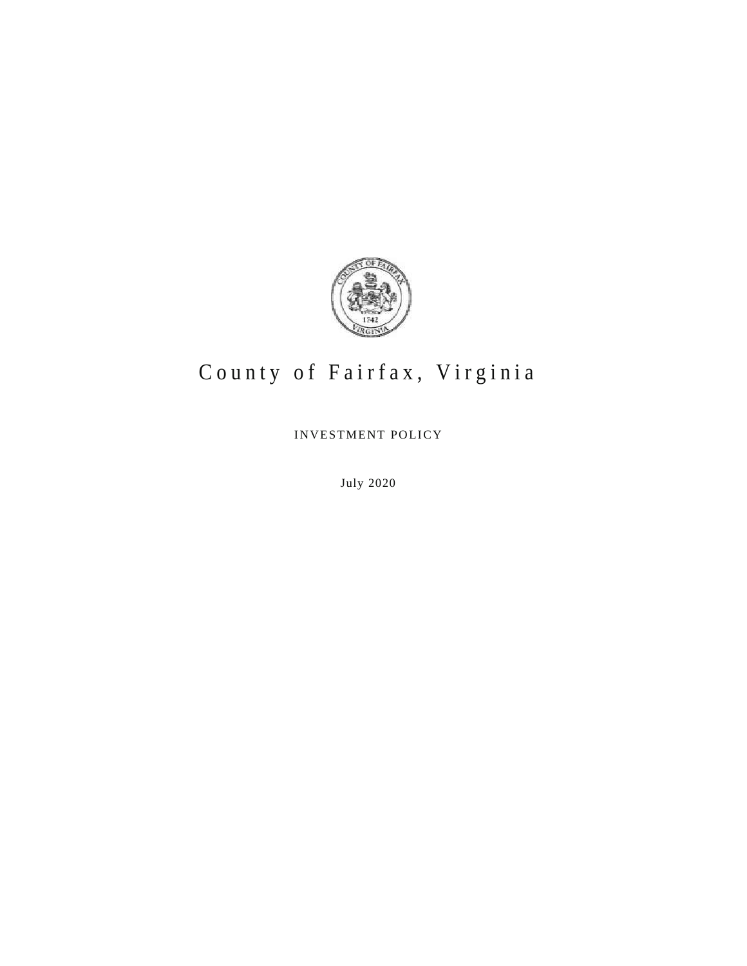

# County of Fairfax, Virginia

INVESTMENT POLICY

July 2020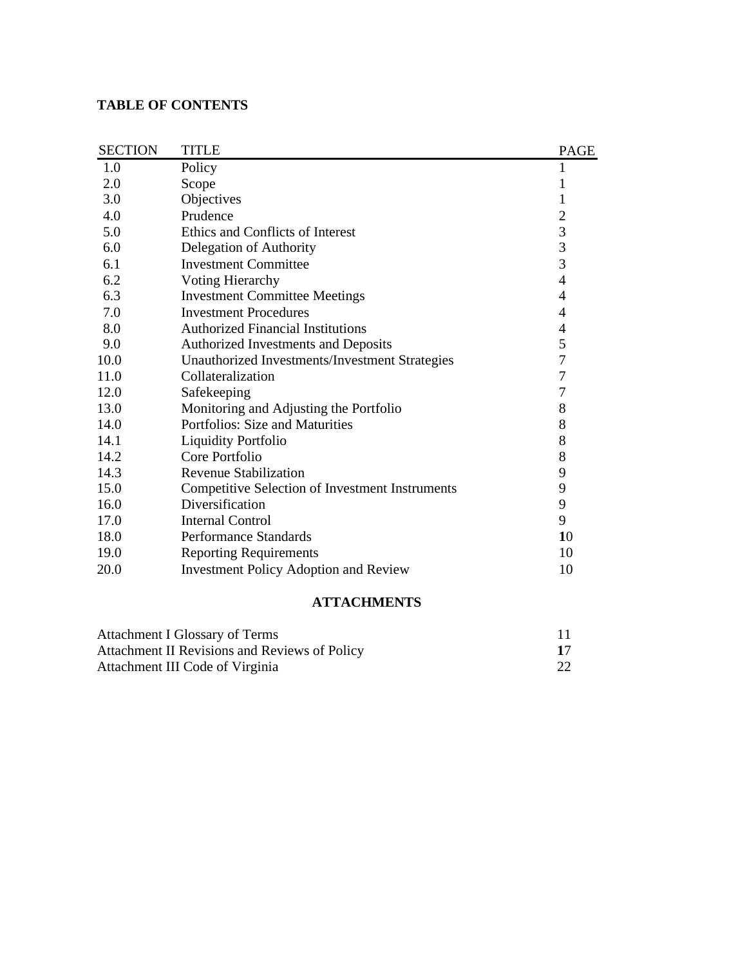#### **TABLE OF CONTENTS**

| <b>SECTION</b> | <b>TITLE</b>                                           | <b>PAGE</b>                                |
|----------------|--------------------------------------------------------|--------------------------------------------|
| 1.0            | Policy                                                 | $\mathbf{1}$                               |
| 2.0            | Scope                                                  | 1                                          |
| 3.0            | Objectives                                             | $\mathbf{1}$                               |
| 4.0            | Prudence                                               |                                            |
| 5.0            | Ethics and Conflicts of Interest                       | $\begin{array}{c} 2 \\ 3 \\ 3 \end{array}$ |
| 6.0            | Delegation of Authority                                |                                            |
| 6.1            | <b>Investment Committee</b>                            |                                            |
| 6.2            | <b>Voting Hierarchy</b>                                | $\overline{4}$                             |
| 6.3            | <b>Investment Committee Meetings</b>                   | 4                                          |
| 7.0            | <b>Investment Procedures</b>                           | $\overline{4}$                             |
| 8.0            | <b>Authorized Financial Institutions</b>               | $\overline{4}$                             |
| 9.0            | Authorized Investments and Deposits                    | 5                                          |
| 10.0           | Unauthorized Investments/Investment Strategies         | $\overline{7}$                             |
| 11.0           | Collateralization                                      | $\overline{7}$                             |
| 12.0           | Safekeeping                                            | 7                                          |
| 13.0           | Monitoring and Adjusting the Portfolio                 | 8                                          |
| 14.0           | Portfolios: Size and Maturities                        | 8                                          |
| 14.1           | <b>Liquidity Portfolio</b>                             | 8                                          |
| 14.2           | Core Portfolio                                         | 8                                          |
| 14.3           | <b>Revenue Stabilization</b>                           | 9                                          |
| 15.0           | <b>Competitive Selection of Investment Instruments</b> | 9                                          |
| 16.0           | Diversification                                        | 9                                          |
| 17.0           | <b>Internal Control</b>                                | 9                                          |
| 18.0           | Performance Standards                                  | 10                                         |
| 19.0           | <b>Reporting Requirements</b>                          | 10                                         |
| 20.0           | <b>Investment Policy Adoption and Review</b>           | 10                                         |

#### **ATTACHMENTS**

| Attachment I Glossary of Terms                |  |
|-----------------------------------------------|--|
| Attachment II Revisions and Reviews of Policy |  |
| Attachment III Code of Virginia               |  |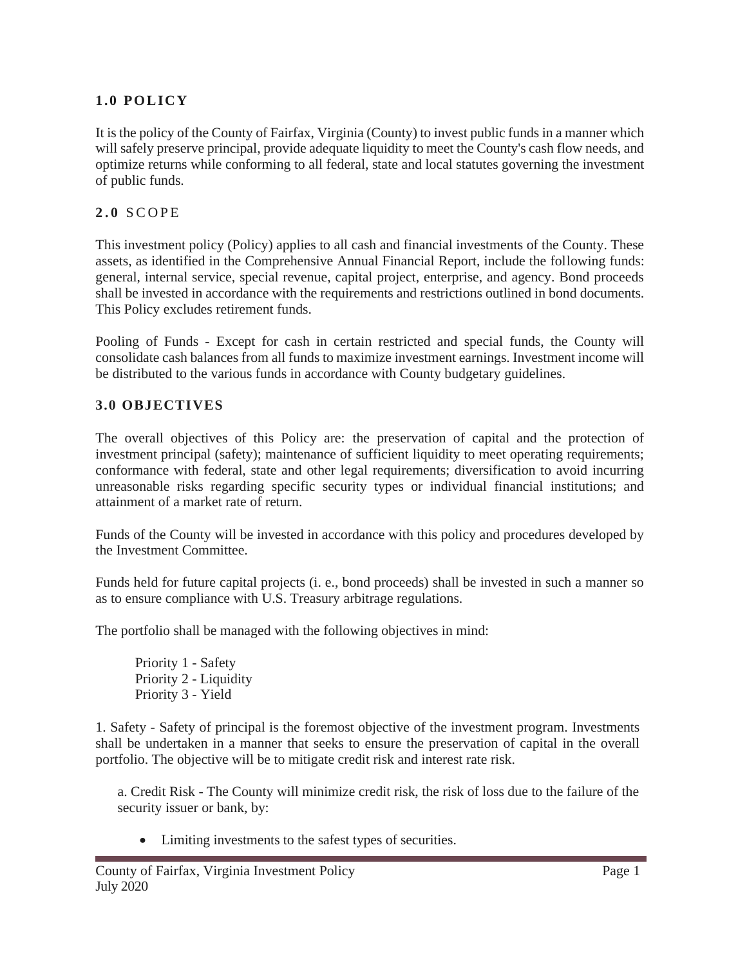## 1.0 **POLICY**

It is the policy of the County of Fairfax, Virginia (County) to invest public funds in a manner which will safely preserve principal, provide adequate liquidity to meet the County's cash flow needs, and optimize returns while conforming to all federal, state and local statutes governing the investment of public funds.

### **2.0** S C O P E

This investment policy (Policy) applies to all cash and financial investments of the County. These assets, as identified in the Comprehensive Annual Financial Report, include the following funds: general, internal service, special revenue, capital project, enterprise, and agency. Bond proceeds shall be invested in accordance with the requirements and restrictions outlined in bond documents. This Policy excludes retirement funds.

Pooling of Funds - Except for cash in certain restricted and special funds, the County will consolidate cash balances from all funds to maximize investment earnings. Investment income will be distributed to the various funds in accordance with County budgetary guidelines.

### **3.0 OBJECTIVES**

The overall objectives of this Policy are: the preservation of capital and the protection of investment principal (safety); maintenance of sufficient liquidity to meet operating requirements; conformance with federal, state and other legal requirements; diversification to avoid incurring unreasonable risks regarding specific security types or individual financial institutions; and attainment of a market rate of return.

Funds of the County will be invested in accordance with this policy and procedures developed by the Investment Committee.

Funds held for future capital projects (i. e., bond proceeds) shall be invested in such a manner so as to ensure compliance with U.S. Treasury arbitrage regulations.

The portfolio shall be managed with the following objectives in mind:

Priority 1 - Safety Priority 2 - Liquidity Priority 3 - Yield

1. Safety - Safety of principal is the foremost objective of the investment program. Investments shall be undertaken in a manner that seeks to ensure the preservation of capital in the overall portfolio. The objective will be to mitigate credit risk and interest rate risk.

a. Credit Risk - The County will minimize credit risk, the risk of loss due to the failure of the security issuer or bank, by:

• Limiting investments to the safest types of securities.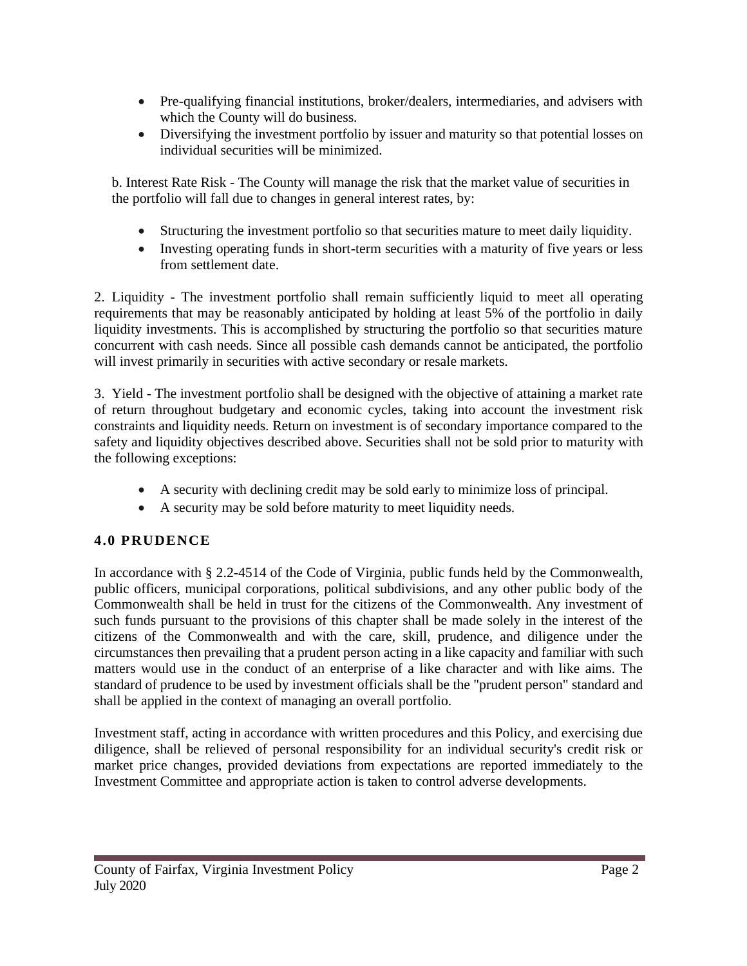- Pre-qualifying financial institutions, broker/dealers, intermediaries, and advisers with which the County will do business.
- Diversifying the investment portfolio by issuer and maturity so that potential losses on individual securities will be minimized.

b. Interest Rate Risk - The County will manage the risk that the market value of securities in the portfolio will fall due to changes in general interest rates, by:

- Structuring the investment portfolio so that securities mature to meet daily liquidity.
- Investing operating funds in short-term securities with a maturity of five years or less from settlement date.

2. Liquidity - The investment portfolio shall remain sufficiently liquid to meet all operating requirements that may be reasonably anticipated by holding at least 5% of the portfolio in daily liquidity investments. This is accomplished by structuring the portfolio so that securities mature concurrent with cash needs. Since all possible cash demands cannot be anticipated, the portfolio will invest primarily in securities with active secondary or resale markets.

3. Yield - The investment portfolio shall be designed with the objective of attaining a market rate of return throughout budgetary and economic cycles, taking into account the investment risk constraints and liquidity needs. Return on investment is of secondary importance compared to the safety and liquidity objectives described above. Securities shall not be sold prior to maturity with the following exceptions:

- A security with declining credit may be sold early to minimize loss of principal.
- A security may be sold before maturity to meet liquidity needs.

### **4.0 PRUDENCE**

In accordance with § 2.2-4514 of the Code of Virginia, public funds held by the Commonwealth, public officers, municipal corporations, political subdivisions, and any other public body of the Commonwealth shall be held in trust for the citizens of the Commonwealth. Any investment of such funds pursuant to the provisions of this chapter shall be made solely in the interest of the citizens of the Commonwealth and with the care, skill, prudence, and diligence under the circumstances then prevailing that a prudent person acting in a like capacity and familiar with such matters would use in the conduct of an enterprise of a like character and with like aims. The standard of prudence to be used by investment officials shall be the "prudent person" standard and shall be applied in the context of managing an overall portfolio.

Investment staff, acting in accordance with written procedures and this Policy, and exercising due diligence, shall be relieved of personal responsibility for an individual security's credit risk or market price changes, provided deviations from expectations are reported immediately to the Investment Committee and appropriate action is taken to control adverse developments.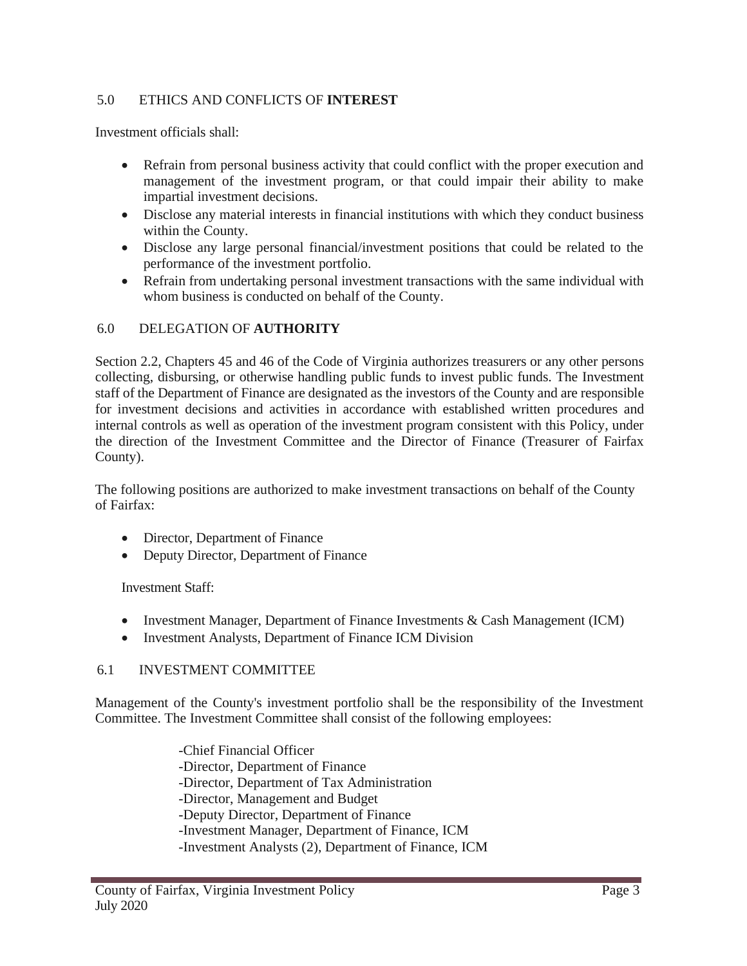#### 5.0 ETHICS AND CONFLICTS OF **INTEREST**

Investment officials shall:

- Refrain from personal business activity that could conflict with the proper execution and management of the investment program, or that could impair their ability to make impartial investment decisions.
- Disclose any material interests in financial institutions with which they conduct business within the County.
- Disclose any large personal financial/investment positions that could be related to the performance of the investment portfolio.
- Refrain from undertaking personal investment transactions with the same individual with whom business is conducted on behalf of the County.

#### 6.0 DELEGATION OF **AUTHORITY**

Section 2.2, Chapters 45 and 46 of the Code of Virginia authorizes treasurers or any other persons collecting, disbursing, or otherwise handling public funds to invest public funds. The Investment staff of the Department of Finance are designated as the investors of the County and are responsible for investment decisions and activities in accordance with established written procedures and internal controls as well as operation of the investment program consistent with this Policy, under the direction of the Investment Committee and the Director of Finance (Treasurer of Fairfax County).

The following positions are authorized to make investment transactions on behalf of the County of Fairfax:

- Director, Department of Finance
- Deputy Director, Department of Finance

Investment Staff:

- Investment Manager, Department of Finance Investments & Cash Management (ICM)
- Investment Analysts, Department of Finance ICM Division

#### 6.1 INVESTMENT COMMITTEE

Management of the County's investment portfolio shall be the responsibility of the Investment Committee. The Investment Committee shall consist of the following employees:

-Chief Financial Officer

- -Director, Department of Finance
- -Director, Department of Tax Administration
- -Director, Management and Budget
- -Deputy Director, Department of Finance
- -Investment Manager, Department of Finance, ICM
- -Investment Analysts (2), Department of Finance, ICM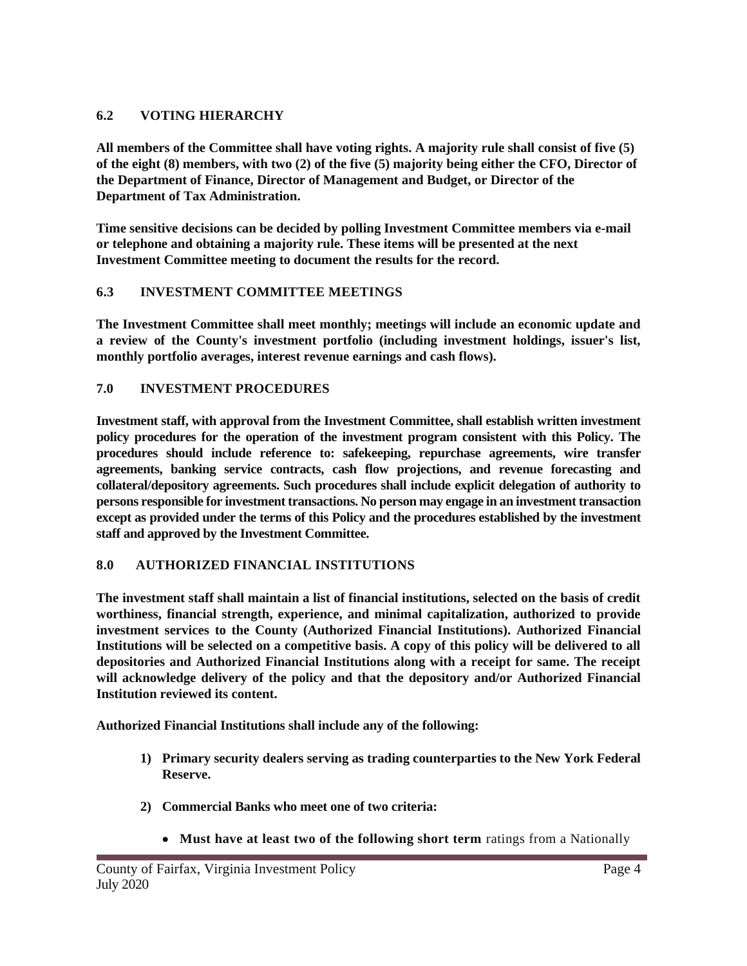#### **6.2 VOTING HIERARCHY**

**All members of the Committee shall have voting rights. A majority rule shall consist of five (5) of the eight (8) members, with two (2) of the five (5) majority being either the CFO, Director of the Department of Finance, Director of Management and Budget, or Director of the Department of Tax Administration.**

**Time sensitive decisions can be decided by polling Investment Committee members via e-mail or telephone and obtaining a majority rule. These items will be presented at the next Investment Committee meeting to document the results for the record.**

#### **6.3 INVESTMENT COMMITTEE MEETINGS**

**The Investment Committee shall meet monthly; meetings will include an economic update and a review of the County's investment portfolio (including investment holdings, issuer's list, monthly portfolio averages, interest revenue earnings and cash flows).**

#### **7.0 INVESTMENT PROCEDURES**

**Investment staff, with approval from the Investment Committee, shall establish written investment policy procedures for the operation of the investment program consistent with this Policy. The procedures should include reference to: safekeeping, repurchase agreements, wire transfer agreements, banking service contracts, cash flow projections, and revenue forecasting and collateral/depository agreements. Such procedures shall include explicit delegation of authority to persons responsible for investment transactions. No person may engage in an investment transaction except as provided under the terms of this Policy and the procedures established by the investment staff and approved by the Investment Committee.**

#### **8.0 AUTHORIZED FINANCIAL INSTITUTIONS**

**The investment staff shall maintain a list of financial institutions, selected on the basis of credit worthiness, financial strength, experience, and minimal capitalization, authorized to provide investment services to the County (Authorized Financial Institutions). Authorized Financial Institutions will be selected on a competitive basis. A copy of this policy will be delivered to all depositories and Authorized Financial Institutions along with a receipt for same. The receipt will acknowledge delivery of the policy and that the depository and/or Authorized Financial Institution reviewed its content.**

**Authorized Financial Institutions shall include any of the following:**

- **1) Primary security dealers serving as trading counterparties to the New York Federal Reserve.**
- **2) Commercial Banks who meet one of two criteria:**
	- **Must have at least two of the following short term** ratings from a Nationally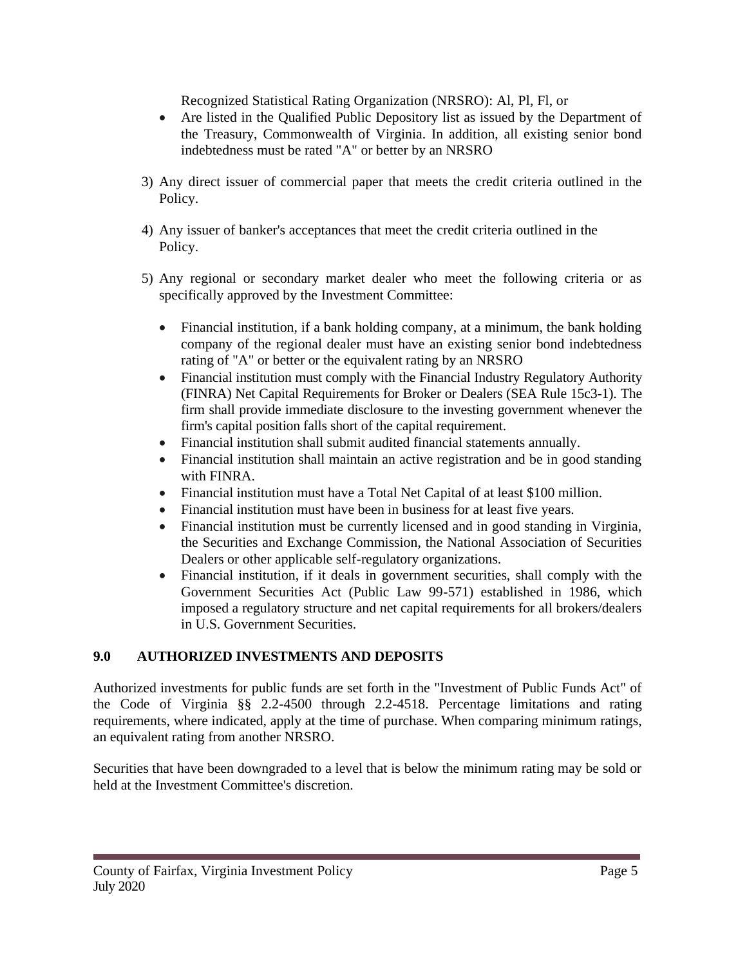Recognized Statistical Rating Organization (NRSRO): Al, Pl, Fl, or

- Are listed in the Qualified Public Depository list as issued by the Department of the Treasury, Commonwealth of Virginia. In addition, all existing senior bond indebtedness must be rated "A" or better by an NRSRO
- 3) Any direct issuer of commercial paper that meets the credit criteria outlined in the Policy.
- 4) Any issuer of banker's acceptances that meet the credit criteria outlined in the Policy.
- 5) Any regional or secondary market dealer who meet the following criteria or as specifically approved by the Investment Committee:
	- Financial institution, if a bank holding company, at a minimum, the bank holding company of the regional dealer must have an existing senior bond indebtedness rating of "A" or better or the equivalent rating by an NRSRO
	- Financial institution must comply with the Financial Industry Regulatory Authority (FINRA) Net Capital Requirements for Broker or Dealers (SEA Rule 15c3-1). The firm shall provide immediate disclosure to the investing government whenever the firm's capital position falls short of the capital requirement.
	- Financial institution shall submit audited financial statements annually.
	- Financial institution shall maintain an active registration and be in good standing with FINRA.
	- Financial institution must have a Total Net Capital of at least \$100 million.
	- Financial institution must have been in business for at least five years.
	- Financial institution must be currently licensed and in good standing in Virginia, the Securities and Exchange Commission, the National Association of Securities Dealers or other applicable self-regulatory organizations.
	- Financial institution, if it deals in government securities, shall comply with the Government Securities Act (Public Law 99-571) established in 1986, which imposed a regulatory structure and net capital requirements for all brokers/dealers in U.S. Government Securities.

#### **9.0 AUTHORIZED INVESTMENTS AND DEPOSITS**

Authorized investments for public funds are set forth in the "Investment of Public Funds Act" of the Code of Virginia §§ 2.2-4500 through 2.2-4518. Percentage limitations and rating requirements, where indicated, apply at the time of purchase. When comparing minimum ratings, an equivalent rating from another NRSRO.

Securities that have been downgraded to a level that is below the minimum rating may be sold or held at the Investment Committee's discretion.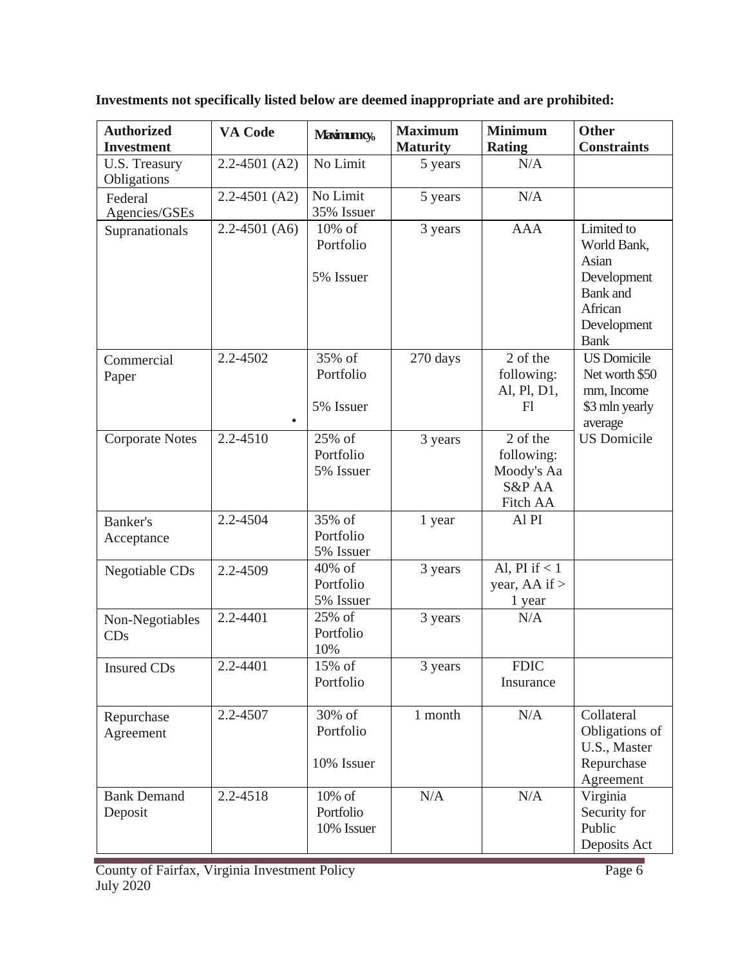| <b>Authorized</b><br><b>Investment</b> | <b>VA Code</b>    | <b>Maximumcy</b> <sub>o</sub>        | <b>Maximum</b><br><b>Maturity</b> | <b>Minimum</b><br><b>Rating</b>                            | <b>Other</b><br><b>Constraints</b>                                                                            |
|----------------------------------------|-------------------|--------------------------------------|-----------------------------------|------------------------------------------------------------|---------------------------------------------------------------------------------------------------------------|
| U.S. Treasury<br>Obligations           | $2.2 - 4501$ (A2) | No Limit                             | 5 years                           | N/A                                                        |                                                                                                               |
| Federal<br>Agencies/GSEs               | $2.2 - 4501$ (A2) | No Limit<br>35% Issuer               | 5 years                           | N/A                                                        |                                                                                                               |
| Supranationals                         | $2.2 - 4501$ (A6) | 10% of<br>Portfolio<br>5% Issuer     | 3 years                           | <b>AAA</b>                                                 | Limited to<br>World Bank,<br>Asian<br>Development<br><b>Bank</b> and<br>African<br>Development<br><b>Bank</b> |
| Commercial<br>Paper                    | 2.2-4502          | 35% of<br>Portfolio<br>5% Issuer     | 270 days                          | 2 of the<br>following:<br>Al, Pl, D1,<br>F1                | <b>US</b> Domicile<br>Net worth \$50<br>mm, Income<br>\$3 mln yearly<br>average                               |
| <b>Corporate Notes</b>                 | 2.2-4510          | 25% of<br>Portfolio<br>5% Issuer     | 3 years                           | 2 of the<br>following:<br>Moody's Aa<br>S&P AA<br>Fitch AA | <b>US</b> Domicile                                                                                            |
| Banker's<br>Acceptance                 | 2.2-4504          | 35% of<br>Portfolio<br>5% Issuer     | 1 year                            | Al PI                                                      |                                                                                                               |
| Negotiable CDs                         | 2.2-4509          | 40% of<br>Portfolio<br>5% Issuer     | 3 years                           | Al, PI if $< 1$<br>year, AA if $>$<br>1 year               |                                                                                                               |
| Non-Negotiables<br>CDs                 | 2.2-4401          | 25% of<br>Portfolio<br>10%           | 3 years                           | N/A                                                        |                                                                                                               |
| <b>Insured CDs</b>                     | 2.2-4401          | $15\% \text{ of }$<br>Portfolio      | 3 years                           | <b>FDIC</b><br>Insurance                                   |                                                                                                               |
| Repurchase<br>Agreement                | 2.2-4507          | 30% of<br>Portfolio<br>10% Issuer    | 1 month                           | N/A                                                        | Collateral<br>Obligations of<br>U.S., Master<br>Repurchase<br>Agreement                                       |
| <b>Bank Demand</b><br>Deposit          | 2.2-4518          | $10\%$ of<br>Portfolio<br>10% Issuer | N/A                               | N/A                                                        | Virginia<br>Security for<br>Public<br>Deposits Act                                                            |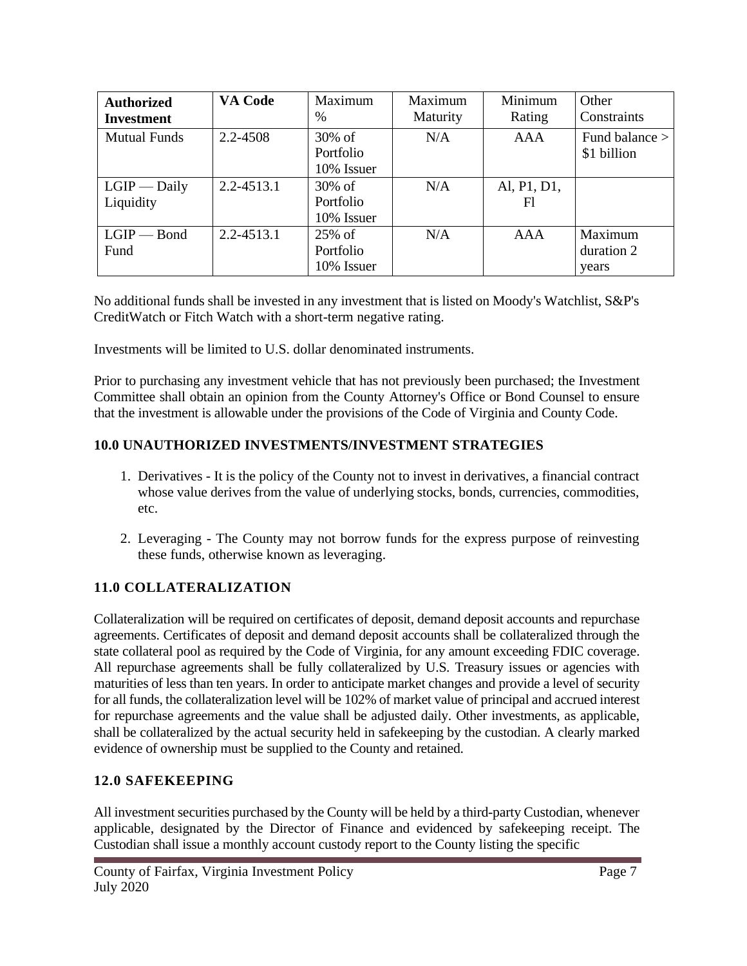| <b>Authorized</b><br><b>Investment</b> | VA Code        | Maximum<br>$\%$                      | Maximum<br>Maturity | Minimum<br>Rating | Other<br>Constraints           |
|----------------------------------------|----------------|--------------------------------------|---------------------|-------------------|--------------------------------|
| <b>Mutual Funds</b>                    | 2.2-4508       | $30\%$ of<br>Portfolio<br>10% Issuer | N/A                 | AAA               | Fund balance ><br>\$1 billion  |
| $LGIP$ — Daily<br>Liquidity            | $2.2 - 4513.1$ | $30\%$ of<br>Portfolio<br>10% Issuer | N/A                 | Al, P1, D1,<br>Fl |                                |
| $LGIP - Bond$<br>Fund                  | 2.2-4513.1     | $25\%$ of<br>Portfolio<br>10% Issuer | N/A                 | AAA               | Maximum<br>duration 2<br>years |

No additional funds shall be invested in any investment that is listed on Moody's Watchlist, S&P's CreditWatch or Fitch Watch with a short-term negative rating.

Investments will be limited to U.S. dollar denominated instruments.

Prior to purchasing any investment vehicle that has not previously been purchased; the Investment Committee shall obtain an opinion from the County Attorney's Office or Bond Counsel to ensure that the investment is allowable under the provisions of the Code of Virginia and County Code.

#### **10.0 UNAUTHORIZED INVESTMENTS/INVESTMENT STRATEGIES**

- 1. Derivatives It is the policy of the County not to invest in derivatives, a financial contract whose value derives from the value of underlying stocks, bonds, currencies, commodities, etc.
- 2. Leveraging The County may not borrow funds for the express purpose of reinvesting these funds, otherwise known as leveraging.

### **11.0 COLLATERALIZATION**

Collateralization will be required on certificates of deposit, demand deposit accounts and repurchase agreements. Certificates of deposit and demand deposit accounts shall be collateralized through the state collateral pool as required by the Code of Virginia, for any amount exceeding FDIC coverage. All repurchase agreements shall be fully collateralized by U.S. Treasury issues or agencies with maturities of less than ten years. In order to anticipate market changes and provide a level of security for all funds, the collateralization level will be 102% of market value of principal and accrued interest for repurchase agreements and the value shall be adjusted daily. Other investments, as applicable, shall be collateralized by the actual security held in safekeeping by the custodian. A clearly marked evidence of ownership must be supplied to the County and retained.

#### **12.0 SAFEKEEPING**

All investment securities purchased by the County will be held by a third-party Custodian, whenever applicable, designated by the Director of Finance and evidenced by safekeeping receipt. The Custodian shall issue a monthly account custody report to the County listing the specific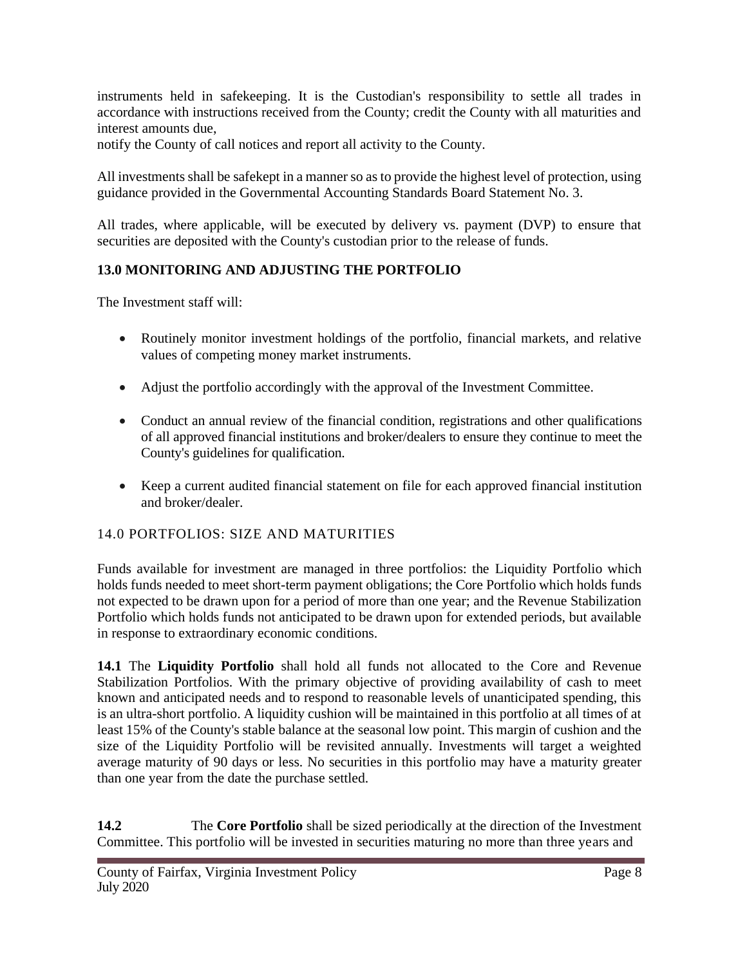instruments held in safekeeping. It is the Custodian's responsibility to settle all trades in accordance with instructions received from the County; credit the County with all maturities and interest amounts due,

notify the County of call notices and report all activity to the County.

All investments shall be safekept in a manner so as to provide the highest level of protection, using guidance provided in the Governmental Accounting Standards Board Statement No. 3.

All trades, where applicable, will be executed by delivery vs. payment (DVP) to ensure that securities are deposited with the County's custodian prior to the release of funds.

## **13.0 MONITORING AND ADJUSTING THE PORTFOLIO**

The Investment staff will:

- Routinely monitor investment holdings of the portfolio, financial markets, and relative values of competing money market instruments.
- Adjust the portfolio accordingly with the approval of the Investment Committee.
- Conduct an annual review of the financial condition, registrations and other qualifications of all approved financial institutions and broker/dealers to ensure they continue to meet the County's guidelines for qualification.
- Keep a current audited financial statement on file for each approved financial institution and broker/dealer.

### 14.0 PORTFOLIOS: SIZE AND MATURITIES

Funds available for investment are managed in three portfolios: the Liquidity Portfolio which holds funds needed to meet short-term payment obligations; the Core Portfolio which holds funds not expected to be drawn upon for a period of more than one year; and the Revenue Stabilization Portfolio which holds funds not anticipated to be drawn upon for extended periods, but available in response to extraordinary economic conditions.

**14.1** The **Liquidity Portfolio** shall hold all funds not allocated to the Core and Revenue Stabilization Portfolios. With the primary objective of providing availability of cash to meet known and anticipated needs and to respond to reasonable levels of unanticipated spending, this is an ultra-short portfolio. A liquidity cushion will be maintained in this portfolio at all times of at least 15% of the County's stable balance at the seasonal low point. This margin of cushion and the size of the Liquidity Portfolio will be revisited annually. Investments will target a weighted average maturity of 90 days or less. No securities in this portfolio may have a maturity greater than one year from the date the purchase settled.

**14.2** The **Core Portfolio** shall be sized periodically at the direction of the Investment Committee. This portfolio will be invested in securities maturing no more than three years and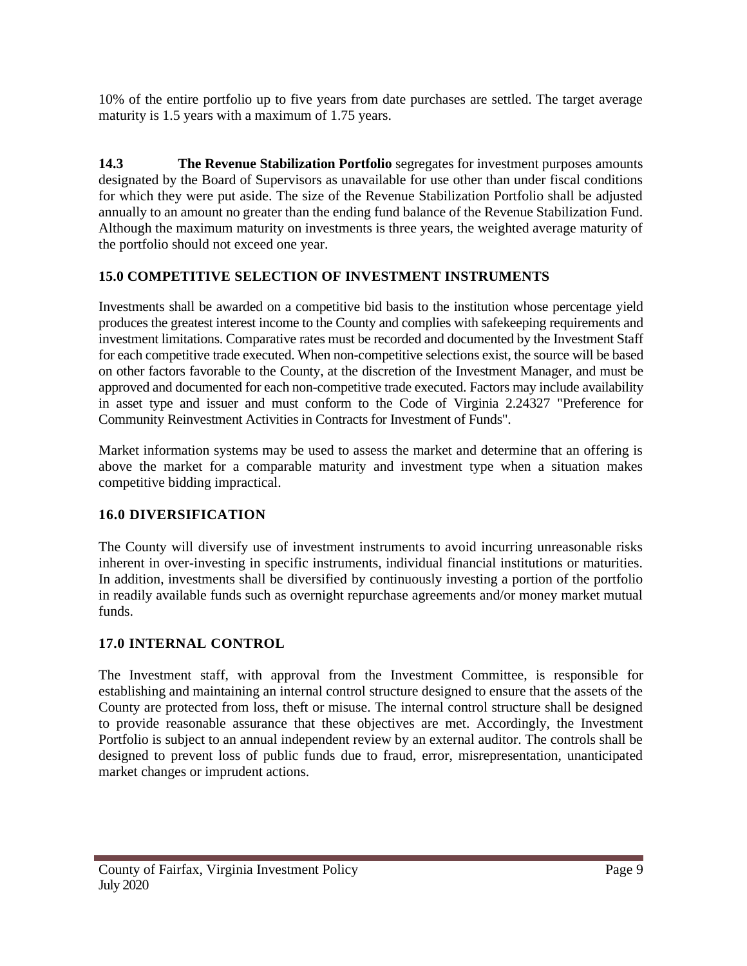10% of the entire portfolio up to five years from date purchases are settled. The target average maturity is 1.5 years with a maximum of 1.75 years.

**14.3 The Revenue Stabilization Portfolio** segregates for investment purposes amounts designated by the Board of Supervisors as unavailable for use other than under fiscal conditions for which they were put aside. The size of the Revenue Stabilization Portfolio shall be adjusted annually to an amount no greater than the ending fund balance of the Revenue Stabilization Fund. Although the maximum maturity on investments is three years, the weighted average maturity of the portfolio should not exceed one year.

#### **15.0 COMPETITIVE SELECTION OF INVESTMENT INSTRUMENTS**

Investments shall be awarded on a competitive bid basis to the institution whose percentage yield produces the greatest interest income to the County and complies with safekeeping requirements and investment limitations. Comparative rates must be recorded and documented by the Investment Staff for each competitive trade executed. When non-competitive selections exist, the source will be based on other factors favorable to the County, at the discretion of the Investment Manager, and must be approved and documented for each non-competitive trade executed. Factors may include availability in asset type and issuer and must conform to the Code of Virginia 2.24327 "Preference for Community Reinvestment Activities in Contracts for Investment of Funds".

Market information systems may be used to assess the market and determine that an offering is above the market for a comparable maturity and investment type when a situation makes competitive bidding impractical.

### **16.0 DIVERSIFICATION**

The County will diversify use of investment instruments to avoid incurring unreasonable risks inherent in over-investing in specific instruments, individual financial institutions or maturities. In addition, investments shall be diversified by continuously investing a portion of the portfolio in readily available funds such as overnight repurchase agreements and/or money market mutual funds.

#### **17.0 INTERNAL CONTROL**

The Investment staff, with approval from the Investment Committee, is responsible for establishing and maintaining an internal control structure designed to ensure that the assets of the County are protected from loss, theft or misuse. The internal control structure shall be designed to provide reasonable assurance that these objectives are met. Accordingly, the Investment Portfolio is subject to an annual independent review by an external auditor. The controls shall be designed to prevent loss of public funds due to fraud, error, misrepresentation, unanticipated market changes or imprudent actions.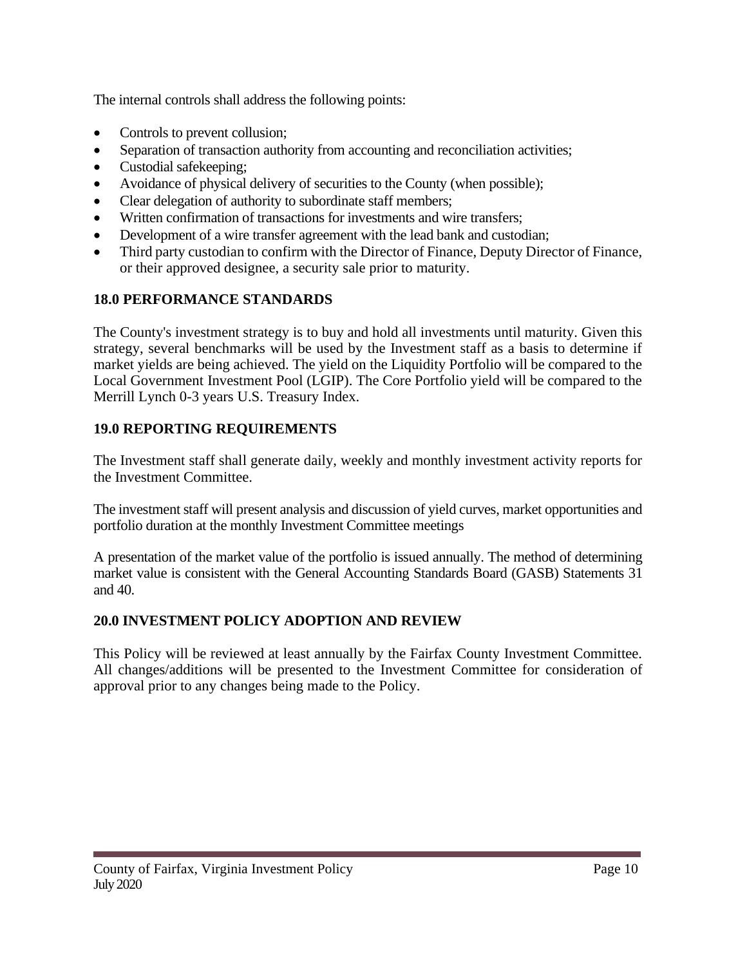The internal controls shall address the following points:

- Controls to prevent collusion;
- Separation of transaction authority from accounting and reconciliation activities;
- Custodial safekeeping;
- Avoidance of physical delivery of securities to the County (when possible);
- Clear delegation of authority to subordinate staff members;
- Written confirmation of transactions for investments and wire transfers;
- Development of a wire transfer agreement with the lead bank and custodian;
- Third party custodian to confirm with the Director of Finance, Deputy Director of Finance, or their approved designee, a security sale prior to maturity.

## **18.0 PERFORMANCE STANDARDS**

The County's investment strategy is to buy and hold all investments until maturity. Given this strategy, several benchmarks will be used by the Investment staff as a basis to determine if market yields are being achieved. The yield on the Liquidity Portfolio will be compared to the Local Government Investment Pool (LGIP). The Core Portfolio yield will be compared to the Merrill Lynch 0-3 years U.S. Treasury Index.

## **19.0 REPORTING REQUIREMENTS**

The Investment staff shall generate daily, weekly and monthly investment activity reports for the Investment Committee.

The investment staff will present analysis and discussion of yield curves, market opportunities and portfolio duration at the monthly Investment Committee meetings

A presentation of the market value of the portfolio is issued annually. The method of determining market value is consistent with the General Accounting Standards Board (GASB) Statements 31 and 40.

## **20.0 INVESTMENT POLICY ADOPTION AND REVIEW**

This Policy will be reviewed at least annually by the Fairfax County Investment Committee. All changes/additions will be presented to the Investment Committee for consideration of approval prior to any changes being made to the Policy.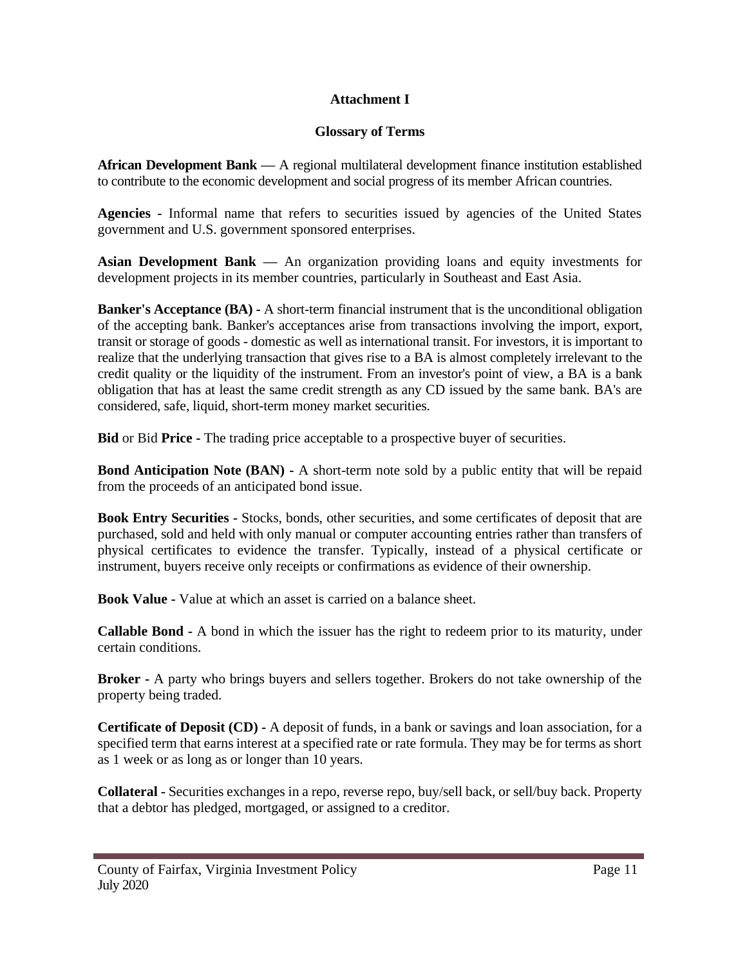#### **Attachment I**

#### **Glossary of Terms**

**African Development Bank —** A regional multilateral development finance institution established to contribute to the economic development and social progress of its member African countries.

**Agencies -** Informal name that refers to securities issued by agencies of the United States government and U.S. government sponsored enterprises.

**Asian Development Bank —** An organization providing loans and equity investments for development projects in its member countries, particularly in Southeast and East Asia.

**Banker's Acceptance (BA) -** A short-term financial instrument that is the unconditional obligation of the accepting bank. Banker's acceptances arise from transactions involving the import, export, transit or storage of goods - domestic as well as international transit. For investors, it is important to realize that the underlying transaction that gives rise to a BA is almost completely irrelevant to the credit quality or the liquidity of the instrument. From an investor's point of view, a BA is a bank obligation that has at least the same credit strength as any CD issued by the same bank. BA's are considered, safe, liquid, short-term money market securities.

**Bid** or Bid **Price -** The trading price acceptable to a prospective buyer of securities.

**Bond Anticipation Note (BAN) -** A short-term note sold by a public entity that will be repaid from the proceeds of an anticipated bond issue.

**Book Entry Securities -** Stocks, bonds, other securities, and some certificates of deposit that are purchased, sold and held with only manual or computer accounting entries rather than transfers of physical certificates to evidence the transfer. Typically, instead of a physical certificate or instrument, buyers receive only receipts or confirmations as evidence of their ownership.

**Book Value -** Value at which an asset is carried on a balance sheet.

**Callable Bond -** A bond in which the issuer has the right to redeem prior to its maturity, under certain conditions.

**Broker -** A party who brings buyers and sellers together. Brokers do not take ownership of the property being traded.

**Certificate of Deposit (CD) -** A deposit of funds, in a bank or savings and loan association, for a specified term that earns interest at a specified rate or rate formula. They may be for terms as short as 1 week or as long as or longer than 10 years.

**Collateral -** Securities exchanges in a repo, reverse repo, buy/sell back, or sell/buy back. Property that a debtor has pledged, mortgaged, or assigned to a creditor.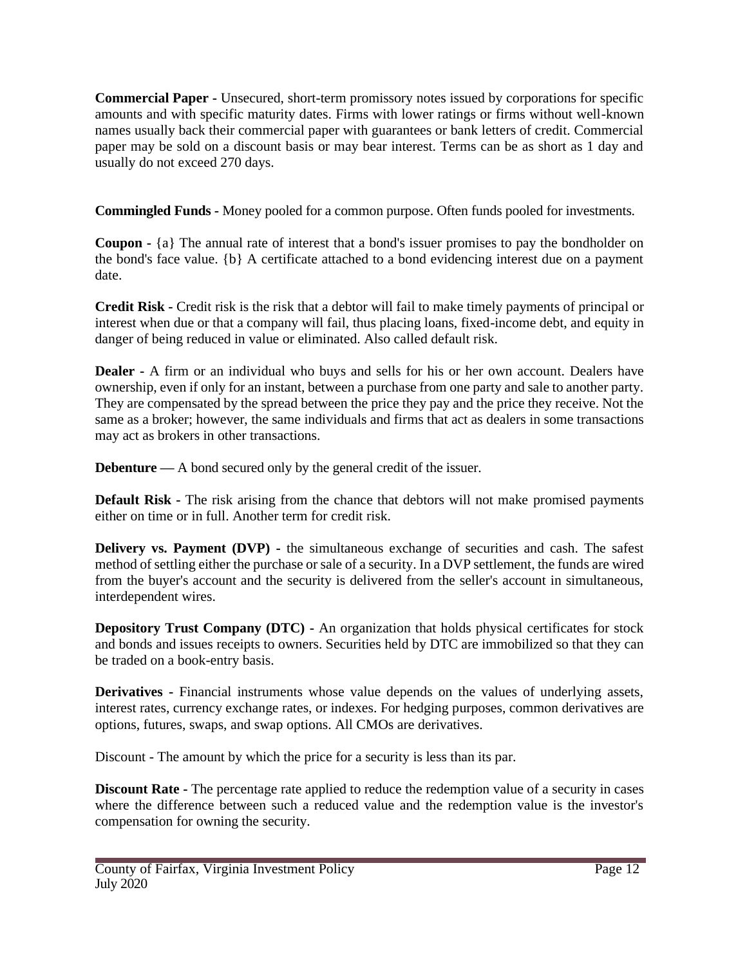**Commercial Paper -** Unsecured, short-term promissory notes issued by corporations for specific amounts and with specific maturity dates. Firms with lower ratings or firms without well-known names usually back their commercial paper with guarantees or bank letters of credit. Commercial paper may be sold on a discount basis or may bear interest. Terms can be as short as 1 day and usually do not exceed 270 days.

**Commingled Funds -** Money pooled for a common purpose. Often funds pooled for investments.

**Coupon -** {a} The annual rate of interest that a bond's issuer promises to pay the bondholder on the bond's face value. {b} A certificate attached to a bond evidencing interest due on a payment date.

**Credit Risk -** Credit risk is the risk that a debtor will fail to make timely payments of principal or interest when due or that a company will fail, thus placing loans, fixed-income debt, and equity in danger of being reduced in value or eliminated. Also called default risk.

**Dealer -** A firm or an individual who buys and sells for his or her own account. Dealers have ownership, even if only for an instant, between a purchase from one party and sale to another party. They are compensated by the spread between the price they pay and the price they receive. Not the same as a broker; however, the same individuals and firms that act as dealers in some transactions may act as brokers in other transactions.

**Debenture** — A bond secured only by the general credit of the issuer.

**Default Risk -** The risk arising from the chance that debtors will not make promised payments either on time or in full. Another term for credit risk.

**Delivery vs. Payment (DVP)** - the simultaneous exchange of securities and cash. The safest method of settling either the purchase or sale of a security. In a DVP settlement, the funds are wired from the buyer's account and the security is delivered from the seller's account in simultaneous, interdependent wires.

**Depository Trust Company (DTC) -** An organization that holds physical certificates for stock and bonds and issues receipts to owners. Securities held by DTC are immobilized so that they can be traded on a book-entry basis.

**Derivatives -** Financial instruments whose value depends on the values of underlying assets, interest rates, currency exchange rates, or indexes. For hedging purposes, common derivatives are options, futures, swaps, and swap options. All CMOs are derivatives.

Discount - The amount by which the price for a security is less than its par.

**Discount Rate -** The percentage rate applied to reduce the redemption value of a security in cases where the difference between such a reduced value and the redemption value is the investor's compensation for owning the security.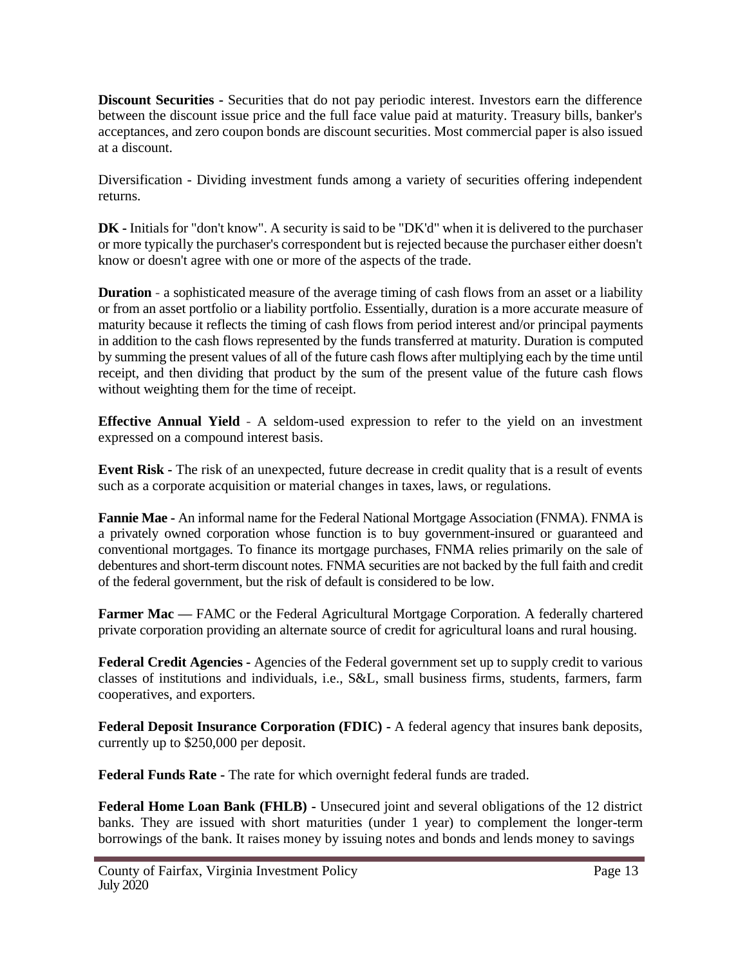**Discount Securities -** Securities that do not pay periodic interest. Investors earn the difference between the discount issue price and the full face value paid at maturity. Treasury bills, banker's acceptances, and zero coupon bonds are discount securities. Most commercial paper is also issued at a discount.

Diversification - Dividing investment funds among a variety of securities offering independent returns.

**DK -** Initials for "don't know". A security is said to be "DK'd" when it is delivered to the purchaser or more typically the purchaser's correspondent but is rejected because the purchaser either doesn't know or doesn't agree with one or more of the aspects of the trade.

**Duration** - a sophisticated measure of the average timing of cash flows from an asset or a liability or from an asset portfolio or a liability portfolio. Essentially, duration is a more accurate measure of maturity because it reflects the timing of cash flows from period interest and/or principal payments in addition to the cash flows represented by the funds transferred at maturity. Duration is computed by summing the present values of all of the future cash flows after multiplying each by the time until receipt, and then dividing that product by the sum of the present value of the future cash flows without weighting them for the time of receipt.

**Effective Annual Yield -** A seldom-used expression to refer to the yield on an investment expressed on a compound interest basis.

**Event Risk -** The risk of an unexpected, future decrease in credit quality that is a result of events such as a corporate acquisition or material changes in taxes, laws, or regulations.

**Fannie Mae -** An informal name for the Federal National Mortgage Association (FNMA). FNMA is a privately owned corporation whose function is to buy government-insured or guaranteed and conventional mortgages. To finance its mortgage purchases, FNMA relies primarily on the sale of debentures and short-term discount notes. FNMA securities are not backed by the full faith and credit of the federal government, but the risk of default is considered to be low.

**Farmer Mac — FAMC** or the Federal Agricultural Mortgage Corporation. A federally chartered private corporation providing an alternate source of credit for agricultural loans and rural housing.

**Federal Credit Agencies -** Agencies of the Federal government set up to supply credit to various classes of institutions and individuals, i.e., S&L, small business firms, students, farmers, farm cooperatives, and exporters.

**Federal Deposit Insurance Corporation (FDIC) -** A federal agency that insures bank deposits, currently up to \$250,000 per deposit.

**Federal Funds Rate -** The rate for which overnight federal funds are traded.

**Federal Home Loan Bank (FHLB) -** Unsecured joint and several obligations of the 12 district banks. They are issued with short maturities (under 1 year) to complement the longer-term borrowings of the bank. It raises money by issuing notes and bonds and lends money to savings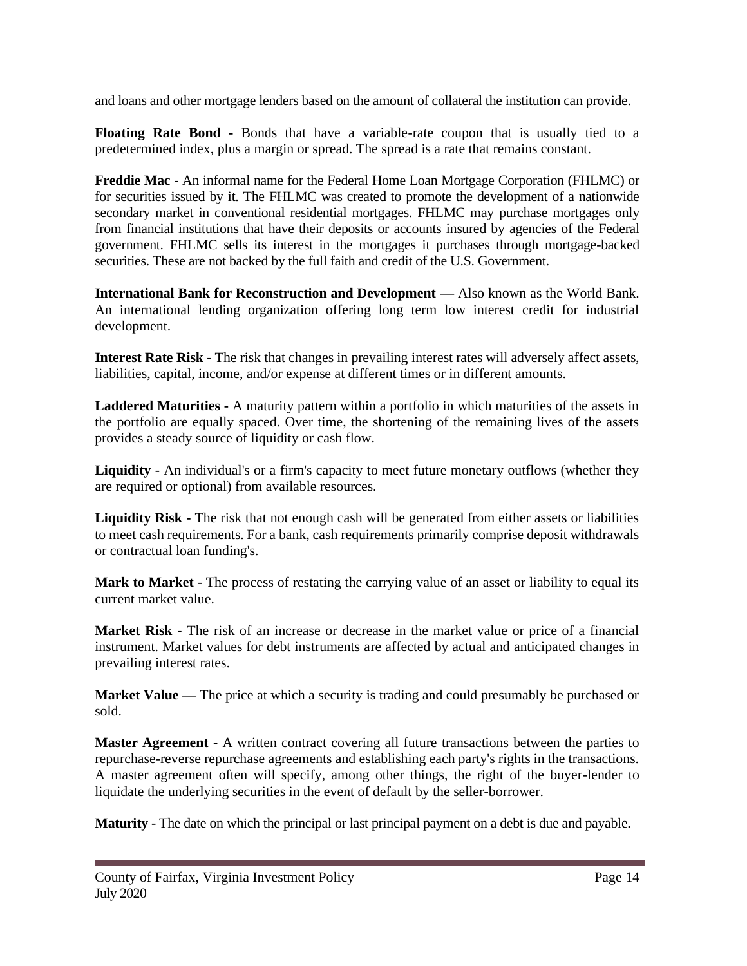and loans and other mortgage lenders based on the amount of collateral the institution can provide.

**Floating Rate Bond -** Bonds that have a variable-rate coupon that is usually tied to a predetermined index, plus a margin or spread. The spread is a rate that remains constant.

**Freddie Mac -** An informal name for the Federal Home Loan Mortgage Corporation (FHLMC) or for securities issued by it. The FHLMC was created to promote the development of a nationwide secondary market in conventional residential mortgages. FHLMC may purchase mortgages only from financial institutions that have their deposits or accounts insured by agencies of the Federal government. FHLMC sells its interest in the mortgages it purchases through mortgage-backed securities. These are not backed by the full faith and credit of the U.S. Government.

**International Bank for Reconstruction and Development —** Also known as the World Bank. An international lending organization offering long term low interest credit for industrial development.

**Interest Rate Risk -** The risk that changes in prevailing interest rates will adversely affect assets, liabilities, capital, income, and/or expense at different times or in different amounts.

**Laddered Maturities -** A maturity pattern within a portfolio in which maturities of the assets in the portfolio are equally spaced. Over time, the shortening of the remaining lives of the assets provides a steady source of liquidity or cash flow.

**Liquidity -** An individual's or a firm's capacity to meet future monetary outflows (whether they are required or optional) from available resources.

**Liquidity Risk -** The risk that not enough cash will be generated from either assets or liabilities to meet cash requirements. For a bank, cash requirements primarily comprise deposit withdrawals or contractual loan funding's.

**Mark to Market -** The process of restating the carrying value of an asset or liability to equal its current market value.

**Market Risk -** The risk of an increase or decrease in the market value or price of a financial instrument. Market values for debt instruments are affected by actual and anticipated changes in prevailing interest rates.

**Market Value** — The price at which a security is trading and could presumably be purchased or sold.

**Master Agreement -** A written contract covering all future transactions between the parties to repurchase-reverse repurchase agreements and establishing each party's rights in the transactions. A master agreement often will specify, among other things, the right of the buyer-lender to liquidate the underlying securities in the event of default by the seller-borrower.

**Maturity -** The date on which the principal or last principal payment on a debt is due and payable.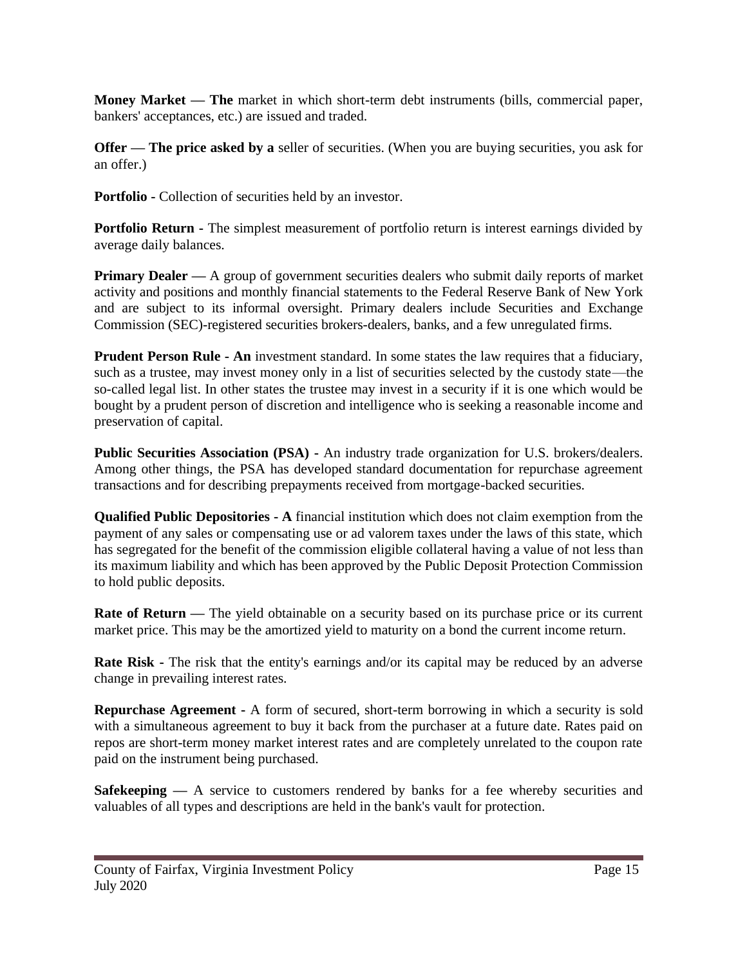**Money Market — The** market in which short-term debt instruments (bills, commercial paper, bankers' acceptances, etc.) are issued and traded.

**Offer — The price asked by a** seller of securities. (When you are buying securities, you ask for an offer.)

**Portfolio -** Collection of securities held by an investor.

**Portfolio Return -** The simplest measurement of portfolio return is interest earnings divided by average daily balances.

**Primary Dealer** — A group of government securities dealers who submit daily reports of market activity and positions and monthly financial statements to the Federal Reserve Bank of New York and are subject to its informal oversight. Primary dealers include Securities and Exchange Commission (SEC)-registered securities brokers-dealers, banks, and a few unregulated firms.

**Prudent Person Rule - An** investment standard. In some states the law requires that a fiduciary, such as a trustee, may invest money only in a list of securities selected by the custody state—the so-called legal list. In other states the trustee may invest in a security if it is one which would be bought by a prudent person of discretion and intelligence who is seeking a reasonable income and preservation of capital.

**Public Securities Association (PSA) -** An industry trade organization for U.S. brokers/dealers. Among other things, the PSA has developed standard documentation for repurchase agreement transactions and for describing prepayments received from mortgage-backed securities.

**Qualified Public Depositories - A** financial institution which does not claim exemption from the payment of any sales or compensating use or ad valorem taxes under the laws of this state, which has segregated for the benefit of the commission eligible collateral having a value of not less than its maximum liability and which has been approved by the Public Deposit Protection Commission to hold public deposits.

**Rate of Return** — The yield obtainable on a security based on its purchase price or its current market price. This may be the amortized yield to maturity on a bond the current income return.

**Rate Risk -** The risk that the entity's earnings and/or its capital may be reduced by an adverse change in prevailing interest rates.

**Repurchase Agreement -** A form of secured, short-term borrowing in which a security is sold with a simultaneous agreement to buy it back from the purchaser at a future date. Rates paid on repos are short-term money market interest rates and are completely unrelated to the coupon rate paid on the instrument being purchased.

**Safekeeping** — A service to customers rendered by banks for a fee whereby securities and valuables of all types and descriptions are held in the bank's vault for protection.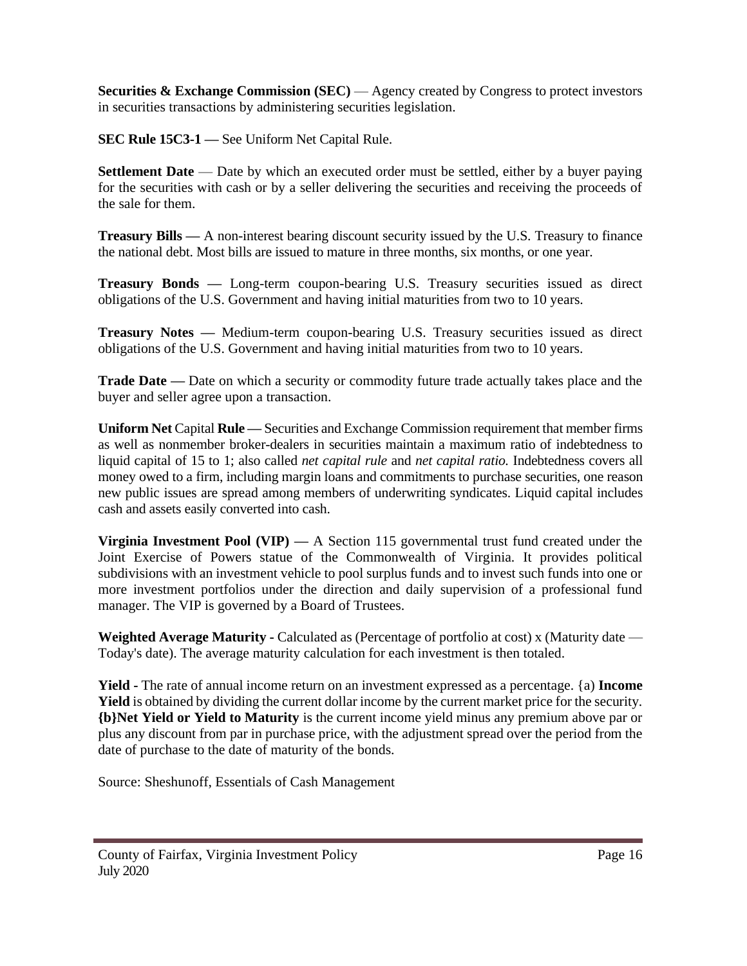**Securities & Exchange Commission (SEC) —** Agency created by Congress to protect investors in securities transactions by administering securities legislation.

**SEC Rule 15C3-1 —** See Uniform Net Capital Rule.

**Settlement Date** — Date by which an executed order must be settled, either by a buyer paying for the securities with cash or by a seller delivering the securities and receiving the proceeds of the sale for them.

**Treasury Bills** — A non-interest bearing discount security issued by the U.S. Treasury to finance the national debt. Most bills are issued to mature in three months, six months, or one year.

**Treasury Bonds** — Long-term coupon-bearing U.S. Treasury securities issued as direct obligations of the U.S. Government and having initial maturities from two to 10 years.

**Treasury Notes —** Medium-term coupon-bearing U.S. Treasury securities issued as direct obligations of the U.S. Government and having initial maturities from two to 10 years.

**Trade Date —** Date on which a security or commodity future trade actually takes place and the buyer and seller agree upon a transaction.

**Uniform Net** Capital **Rule —** Securities and Exchange Commission requirement that member firms as well as nonmember broker-dealers in securities maintain a maximum ratio of indebtedness to liquid capital of 15 to 1; also called *net capital rule* and *net capital ratio.* Indebtedness covers all money owed to a firm, including margin loans and commitments to purchase securities, one reason new public issues are spread among members of underwriting syndicates. Liquid capital includes cash and assets easily converted into cash.

**Virginia Investment Pool (VIP) —** A Section 115 governmental trust fund created under the Joint Exercise of Powers statue of the Commonwealth of Virginia. It provides political subdivisions with an investment vehicle to pool surplus funds and to invest such funds into one or more investment portfolios under the direction and daily supervision of a professional fund manager. The VIP is governed by a Board of Trustees.

**Weighted Average Maturity -** Calculated as (Percentage of portfolio at cost) x (Maturity date — Today's date). The average maturity calculation for each investment is then totaled.

**Yield -** The rate of annual income return on an investment expressed as a percentage. {a) **Income Yield** is obtained by dividing the current dollar income by the current market price for the security. **{b}Net Yield or Yield to Maturity** is the current income yield minus any premium above par or plus any discount from par in purchase price, with the adjustment spread over the period from the date of purchase to the date of maturity of the bonds.

Source: Sheshunoff, Essentials of Cash Management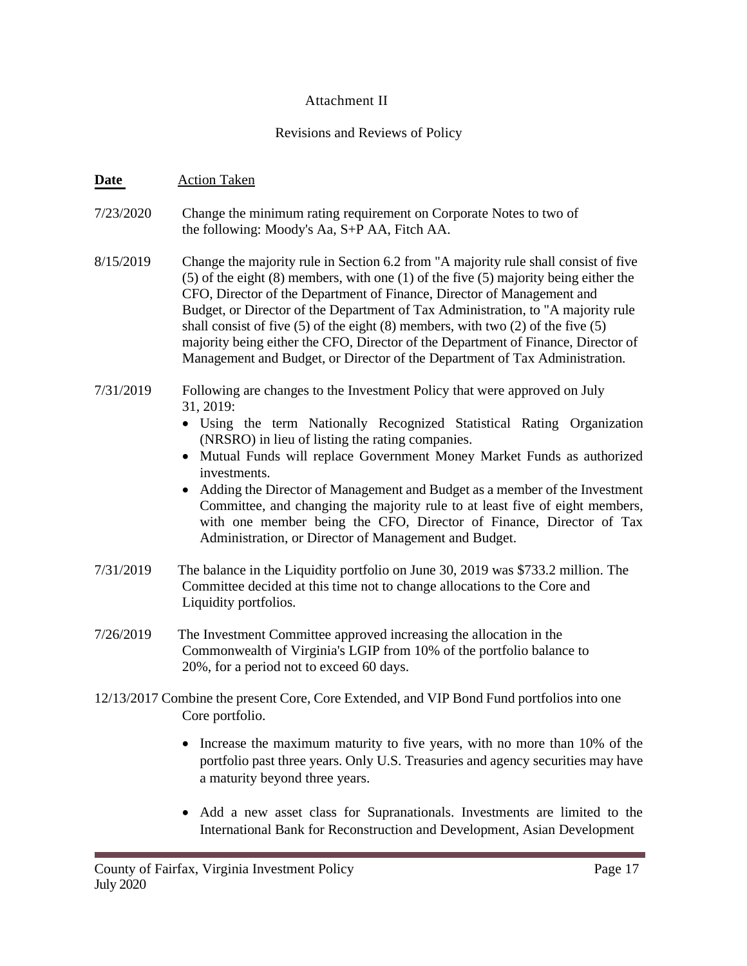#### Attachment II

#### Revisions and Reviews of Policy

#### **Date** Action Taken

- 7/23/2020 Change the minimum rating requirement on Corporate Notes to two of the following: Moody's Aa, S+P AA, Fitch AA.
- 8/15/2019 Change the majority rule in Section 6.2 from "A majority rule shall consist of five (5) of the eight (8) members, with one (1) of the five (5) majority being either the CFO, Director of the Department of Finance, Director of Management and Budget, or Director of the Department of Tax Administration, to "A majority rule shall consist of five  $(5)$  of the eight  $(8)$  members, with two  $(2)$  of the five  $(5)$ majority being either the CFO, Director of the Department of Finance, Director of Management and Budget, or Director of the Department of Tax Administration.
- 7/31/2019 Following are changes to the Investment Policy that were approved on July 31, 2019:
	- Using the term Nationally Recognized Statistical Rating Organization (NRSRO) in lieu of listing the rating companies.
	- Mutual Funds will replace Government Money Market Funds as authorized investments.
	- Adding the Director of Management and Budget as a member of the Investment Committee, and changing the majority rule to at least five of eight members, with one member being the CFO, Director of Finance, Director of Tax Administration, or Director of Management and Budget.
- 7/31/2019 The balance in the Liquidity portfolio on June 30, 2019 was \$733.2 million. The Committee decided at this time not to change allocations to the Core and Liquidity portfolios.
- 7/26/2019 The Investment Committee approved increasing the allocation in the Commonwealth of Virginia's LGIP from 10% of the portfolio balance to 20%, for a period not to exceed 60 days.
- 12/13/2017 Combine the present Core, Core Extended, and VIP Bond Fund portfolios into one Core portfolio.
	- Increase the maximum maturity to five years, with no more than 10% of the portfolio past three years. Only U.S. Treasuries and agency securities may have a maturity beyond three years.
	- Add a new asset class for Supranationals. Investments are limited to the International Bank for Reconstruction and Development, Asian Development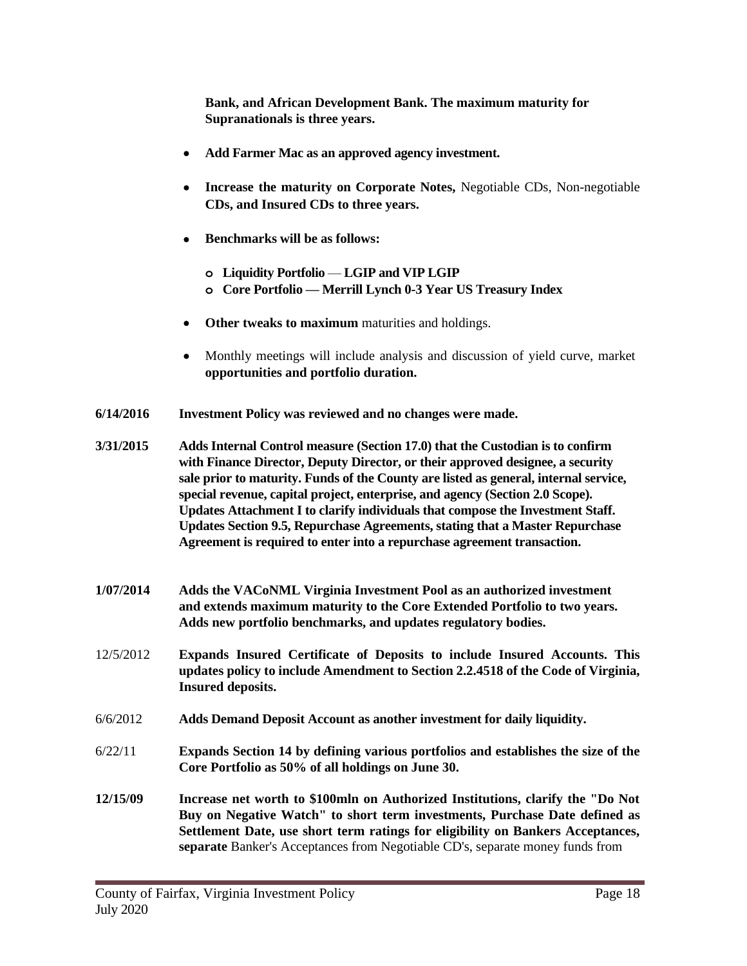**Bank, and African Development Bank. The maximum maturity for Supranationals is three years.**

- **Add Farmer Mac as an approved agency investment.**
- **Increase the maturity on Corporate Notes,** Negotiable CDs, Non-negotiable **CDs, and Insured CDs to three years.**
- **Benchmarks will be as follows:**
	- **o Liquidity Portfolio — LGIP and VIP LGIP**
	- **o Core Portfolio — Merrill Lynch 0-3 Year US Treasury Index**
- **Other tweaks to maximum** maturities and holdings.
- Monthly meetings will include analysis and discussion of yield curve, market **opportunities and portfolio duration.**
- **6/14/2016 Investment Policy was reviewed and no changes were made.**

**3/31/2015 Adds Internal Control measure (Section 17.0) that the Custodian is to confirm with Finance Director, Deputy Director, or their approved designee, a security sale prior to maturity. Funds of the County are listed as general, internal service, special revenue, capital project, enterprise, and agency (Section 2.0 Scope). Updates Attachment I to clarify individuals that compose the Investment Staff. Updates Section 9.5, Repurchase Agreements, stating that a Master Repurchase Agreement is required to enter into a repurchase agreement transaction.**

- **1/07/2014 Adds the VACoNML Virginia Investment Pool as an authorized investment and extends maximum maturity to the Core Extended Portfolio to two years. Adds new portfolio benchmarks, and updates regulatory bodies.**
- 12/5/2012 **Expands Insured Certificate of Deposits to include Insured Accounts. This updates policy to include Amendment to Section 2.2.4518 of the Code of Virginia, Insured deposits.**
- 6/6/2012 **Adds Demand Deposit Account as another investment for daily liquidity.**
- 6/22/11 **Expands Section 14 by defining various portfolios and establishes the size of the Core Portfolio as 50% of all holdings on June 30.**
- **12/15/09 Increase net worth to \$100mln on Authorized Institutions, clarify the "Do Not Buy on Negative Watch" to short term investments, Purchase Date defined as Settlement Date, use short term ratings for eligibility on Bankers Acceptances, separate** Banker's Acceptances from Negotiable CD's, separate money funds from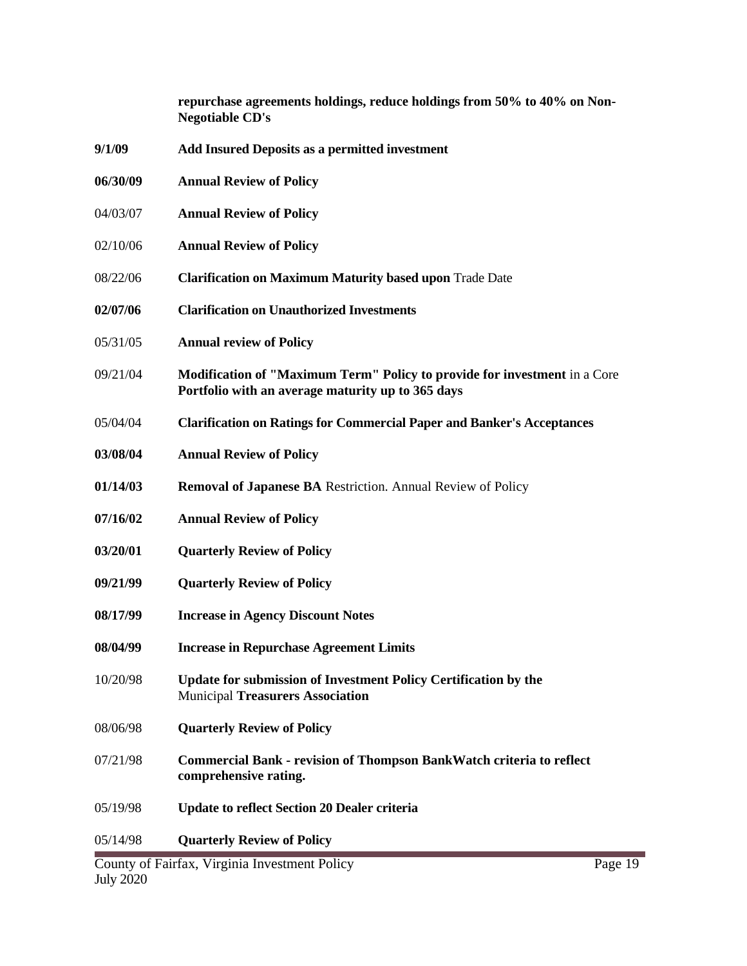|          | repurchase agreements holdings, reduce holdings from 50% to 40% on Non-<br><b>Negotiable CD's</b>                                     |
|----------|---------------------------------------------------------------------------------------------------------------------------------------|
| 9/1/09   | <b>Add Insured Deposits as a permitted investment</b>                                                                                 |
| 06/30/09 | <b>Annual Review of Policy</b>                                                                                                        |
| 04/03/07 | <b>Annual Review of Policy</b>                                                                                                        |
| 02/10/06 | <b>Annual Review of Policy</b>                                                                                                        |
| 08/22/06 | <b>Clarification on Maximum Maturity based upon Trade Date</b>                                                                        |
| 02/07/06 | <b>Clarification on Unauthorized Investments</b>                                                                                      |
| 05/31/05 | <b>Annual review of Policy</b>                                                                                                        |
| 09/21/04 | <b>Modification of "Maximum Term" Policy to provide for investment</b> in a Core<br>Portfolio with an average maturity up to 365 days |
| 05/04/04 | <b>Clarification on Ratings for Commercial Paper and Banker's Acceptances</b>                                                         |
| 03/08/04 | <b>Annual Review of Policy</b>                                                                                                        |
| 01/14/03 | <b>Removal of Japanese BA</b> Restriction. Annual Review of Policy                                                                    |
| 07/16/02 | <b>Annual Review of Policy</b>                                                                                                        |
| 03/20/01 | <b>Quarterly Review of Policy</b>                                                                                                     |
| 09/21/99 | <b>Quarterly Review of Policy</b>                                                                                                     |
| 08/17/99 | <b>Increase in Agency Discount Notes</b>                                                                                              |
| 08/04/99 | <b>Increase in Repurchase Agreement Limits</b>                                                                                        |
| 10/20/98 | Update for submission of Investment Policy Certification by the<br><b>Municipal Treasurers Association</b>                            |
| 08/06/98 | <b>Quarterly Review of Policy</b>                                                                                                     |
| 07/21/98 | <b>Commercial Bank - revision of Thompson BankWatch criteria to reflect</b><br>comprehensive rating.                                  |
| 05/19/98 | <b>Update to reflect Section 20 Dealer criteria</b>                                                                                   |
| 05/14/98 | <b>Quarterly Review of Policy</b>                                                                                                     |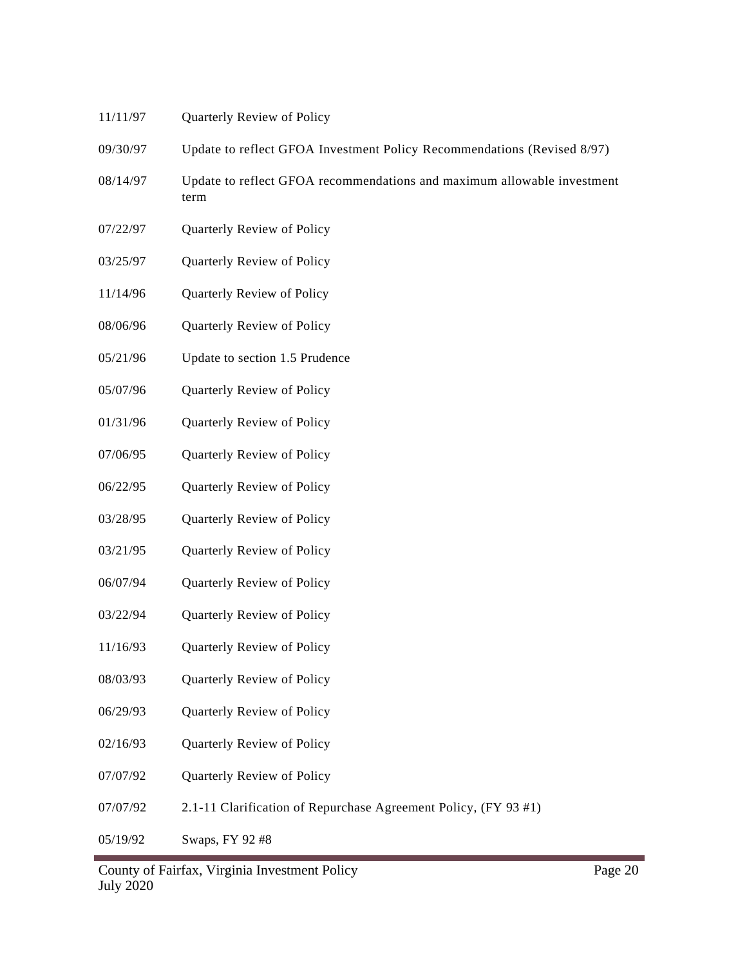- 11/11/97 Quarterly Review of Policy
- 09/30/97 Update to reflect GFOA Investment Policy Recommendations (Revised 8/97)
- 08/14/97 Update to reflect GFOA recommendations and maximum allowable investment term
- 07/22/97 Quarterly Review of Policy
- 03/25/97 Quarterly Review of Policy
- 11/14/96 Quarterly Review of Policy
- 08/06/96 Quarterly Review of Policy
- 05/21/96 Update to section 1.5 Prudence
- 05/07/96 Quarterly Review of Policy
- 01/31/96 Quarterly Review of Policy
- 07/06/95 Quarterly Review of Policy
- 06/22/95 Quarterly Review of Policy
- 03/28/95 Quarterly Review of Policy
- 03/21/95 Quarterly Review of Policy
- 06/07/94 Quarterly Review of Policy
- 03/22/94 Quarterly Review of Policy
- 11/16/93 Quarterly Review of Policy
- 08/03/93 Quarterly Review of Policy
- 06/29/93 Quarterly Review of Policy
- 02/16/93 Quarterly Review of Policy
- 07/07/92 Quarterly Review of Policy
- 07/07/92 2.1-11 Clarification of Repurchase Agreement Policy, (FY 93 #1)
- 05/19/92 Swaps, FY 92 #8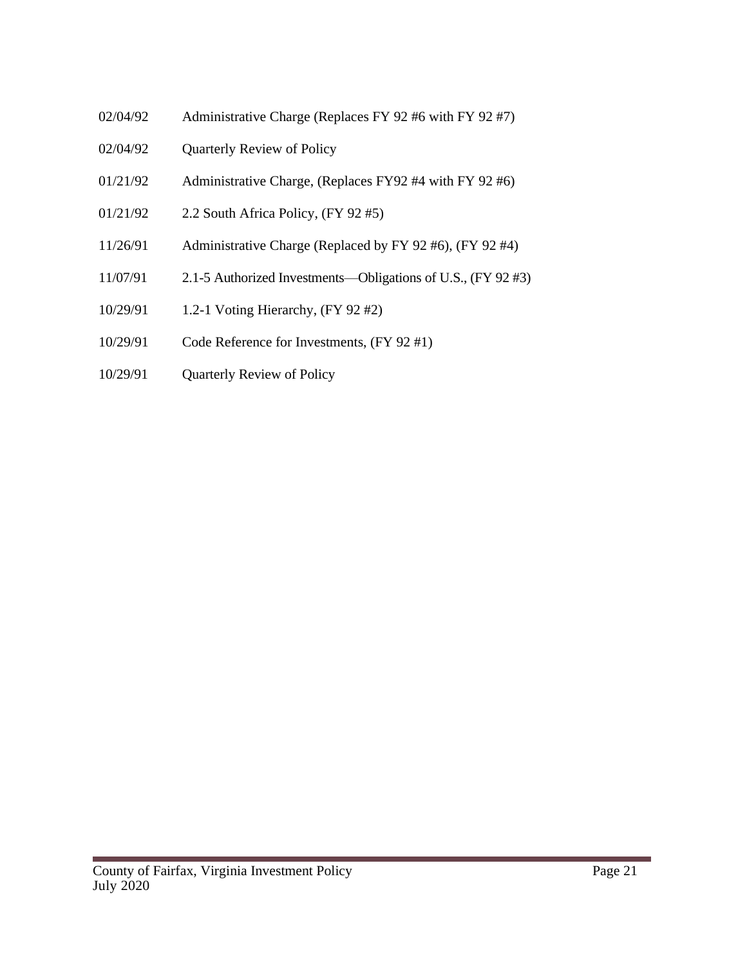- 02/04/92 Administrative Charge (Replaces FY 92 #6 with FY 92 #7)
- 02/04/92 Quarterly Review of Policy
- 01/21/92 Administrative Charge, (Replaces FY92 #4 with FY 92 #6)
- 01/21/92 2.2 South Africa Policy, (FY 92 #5)
- 11/26/91 Administrative Charge (Replaced by FY 92 #6), (FY 92 #4)
- 11/07/91 2.1-5 Authorized Investments—Obligations of U.S., (FY 92 #3)
- 10/29/91 1.2-1 Voting Hierarchy, (FY 92 #2)
- 10/29/91 Code Reference for Investments, (FY 92 #1)
- 10/29/91 Quarterly Review of Policy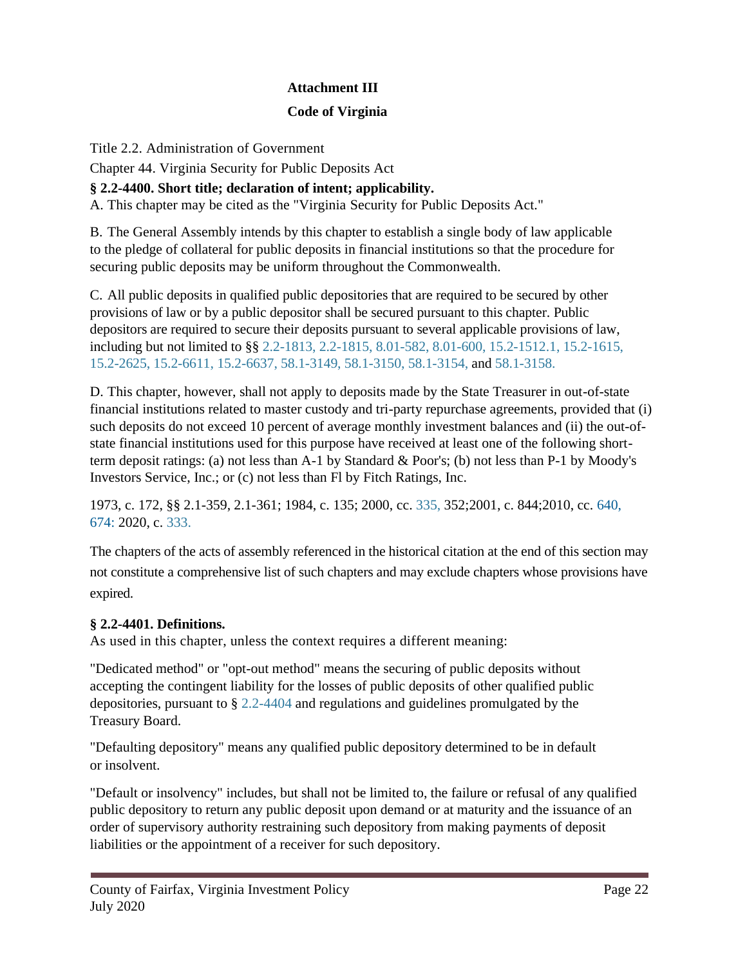## **Attachment III**

## **Code of Virginia**

Title 2.2. Administration of Government

Chapter 44. Virginia Security for Public Deposits Act

## **§ 2.2-4400. Short title; declaration of intent; applicability.**

A. This chapter may be cited as the "Virginia Security for Public Deposits Act."

B. The General Assembly intends by this chapter to establish a single body of law applicable to the pledge of collateral for public deposits in financial institutions so that the procedure for securing public deposits may be uniform throughout the Commonwealth.

C. All public deposits in qualified public depositories that are required to be secured by other provisions of law or by a public depositor shall be secured pursuant to this chapter. Public depositors are required to secure their deposits pursuant to several applicable provisions of law, including but not limited to §§ 2.2-1813, 2.2-1815, 8.01-582, 8.01-600, 15.2-1512.1, 15.2-1615, 15.2-2625, 15.2-6611, 15.2-6637, 58.1-3149, 58.1-3150, 58.1-3154, and 58.1-3158.

D. This chapter, however, shall not apply to deposits made by the State Treasurer in out-of-state financial institutions related to master custody and tri-party repurchase agreements, provided that (i) such deposits do not exceed 10 percent of average monthly investment balances and (ii) the out-ofstate financial institutions used for this purpose have received at least one of the following shortterm deposit ratings: (a) not less than A-1 by Standard & Poor's; (b) not less than P-1 by Moody's Investors Service, Inc.; or (c) not less than Fl by Fitch Ratings, Inc.

1973, c. 172, §§ 2.1-359, 2.1-361; 1984, c. 135; 2000, cc. 335, 352;2001, c. 844;2010, cc. 640, 674: 2020, c. 333.

The chapters of the acts of assembly referenced in the historical citation at the end of this section may not constitute a comprehensive list of such chapters and may exclude chapters whose provisions have expired.

### **§ 2.2-4401. Definitions.**

As used in this chapter, unless the context requires a different meaning:

"Dedicated method" or "opt-out method" means the securing of public deposits without accepting the contingent liability for the losses of public deposits of other qualified public depositories, pursuant to § 2.2-4404 and regulations and guidelines promulgated by the Treasury Board.

"Defaulting depository" means any qualified public depository determined to be in default or insolvent.

"Default or insolvency" includes, but shall not be limited to, the failure or refusal of any qualified public depository to return any public deposit upon demand or at maturity and the issuance of an order of supervisory authority restraining such depository from making payments of deposit liabilities or the appointment of a receiver for such depository.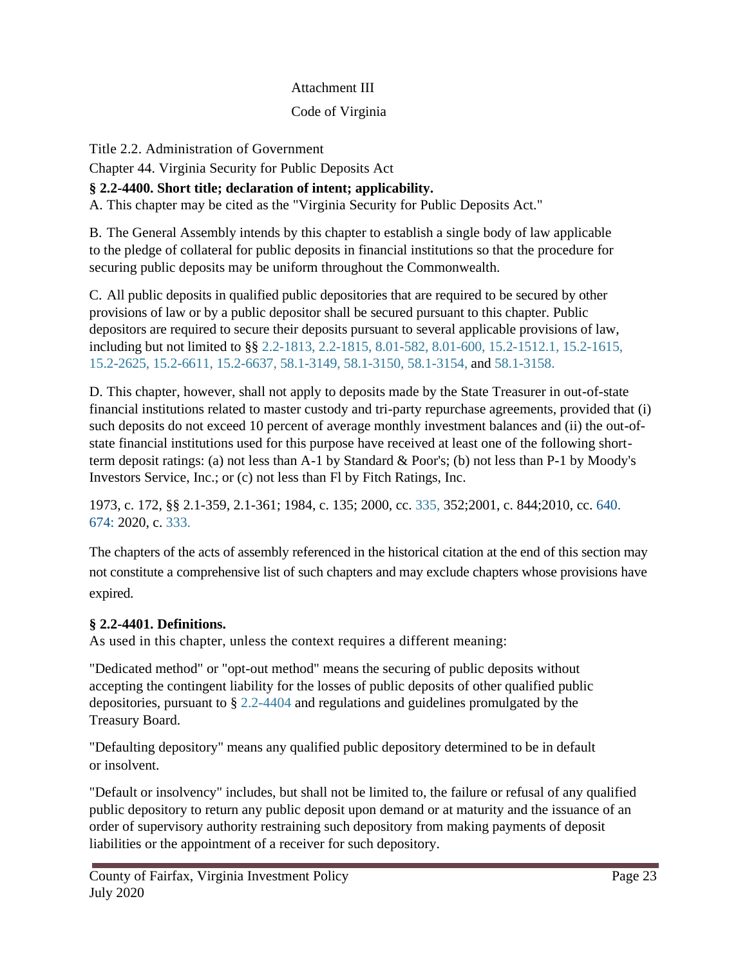#### Attachment III

#### Code of Virginia

#### Title 2.2. Administration of Government

Chapter 44. Virginia Security for Public Deposits Act

### **§ 2.2-4400. Short title; declaration of intent; applicability.**

A. This chapter may be cited as the "Virginia Security for Public Deposits Act."

B. The General Assembly intends by this chapter to establish a single body of law applicable to the pledge of collateral for public deposits in financial institutions so that the procedure for securing public deposits may be uniform throughout the Commonwealth.

C. All public deposits in qualified public depositories that are required to be secured by other provisions of law or by a public depositor shall be secured pursuant to this chapter. Public depositors are required to secure their deposits pursuant to several applicable provisions of law, including but not limited to §§ 2.2-1813, 2.2-1815, 8.01-582, 8.01-600, 15.2-1512.1, 15.2-1615, 15.2-2625, 15.2-6611, 15.2-6637, 58.1-3149, 58.1-3150, 58.1-3154, and 58.1-3158.

D. This chapter, however, shall not apply to deposits made by the State Treasurer in out-of-state financial institutions related to master custody and tri-party repurchase agreements, provided that (i) such deposits do not exceed 10 percent of average monthly investment balances and (ii) the out-ofstate financial institutions used for this purpose have received at least one of the following shortterm deposit ratings: (a) not less than A-1 by Standard & Poor's; (b) not less than P-1 by Moody's Investors Service, Inc.; or (c) not less than Fl by Fitch Ratings, Inc.

1973, c. 172, §§ 2.1-359, 2.1-361; 1984, c. 135; 2000, cc. 335, 352;2001, c. 844;2010, cc. 640. 674: 2020, c. 333.

The chapters of the acts of assembly referenced in the historical citation at the end of this section may not constitute a comprehensive list of such chapters and may exclude chapters whose provisions have expired.

### **§ 2.2-4401. Definitions.**

As used in this chapter, unless the context requires a different meaning:

"Dedicated method" or "opt-out method" means the securing of public deposits without accepting the contingent liability for the losses of public deposits of other qualified public depositories, pursuant to § 2.2-4404 and regulations and guidelines promulgated by the Treasury Board.

"Defaulting depository" means any qualified public depository determined to be in default or insolvent.

"Default or insolvency" includes, but shall not be limited to, the failure or refusal of any qualified public depository to return any public deposit upon demand or at maturity and the issuance of an order of supervisory authority restraining such depository from making payments of deposit liabilities or the appointment of a receiver for such depository.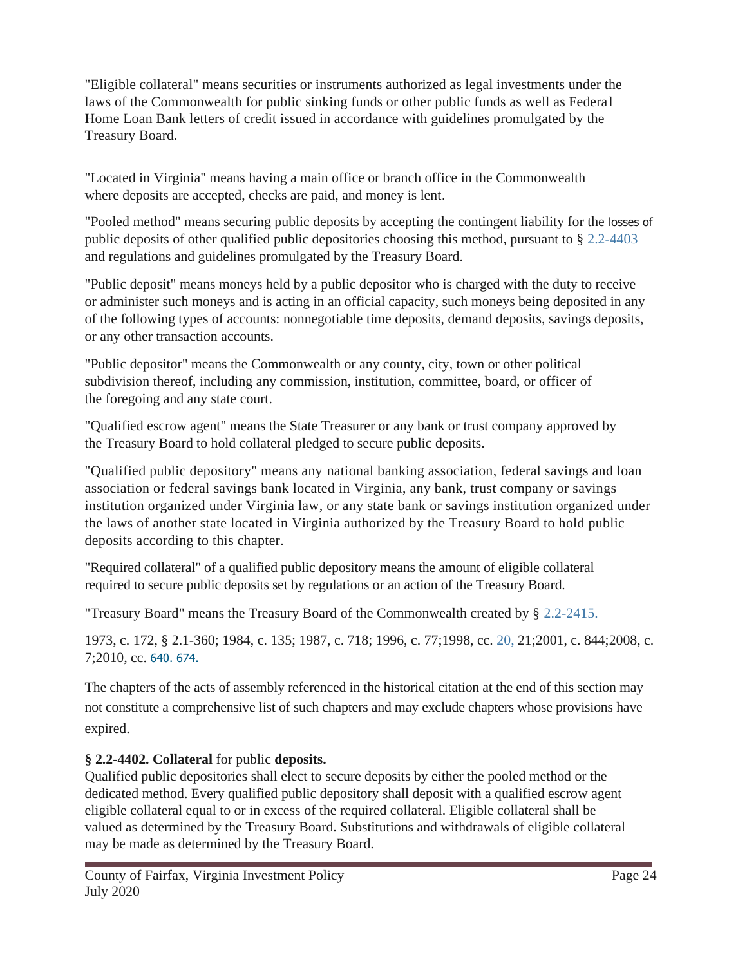"Eligible collateral" means securities or instruments authorized as legal investments under the laws of the Commonwealth for public sinking funds or other public funds as well as Federal Home Loan Bank letters of credit issued in accordance with guidelines promulgated by the Treasury Board.

"Located in Virginia" means having a main office or branch office in the Commonwealth where deposits are accepted, checks are paid, and money is lent.

"Pooled method" means securing public deposits by accepting the contingent liability for the losses of public deposits of other qualified public depositories choosing this method, pursuant to § 2.2-4403 and regulations and guidelines promulgated by the Treasury Board.

"Public deposit" means moneys held by a public depositor who is charged with the duty to receive or administer such moneys and is acting in an official capacity, such moneys being deposited in any of the following types of accounts: nonnegotiable time deposits, demand deposits, savings deposits, or any other transaction accounts.

"Public depositor" means the Commonwealth or any county, city, town or other political subdivision thereof, including any commission, institution, committee, board, or officer of the foregoing and any state court.

"Qualified escrow agent" means the State Treasurer or any bank or trust company approved by the Treasury Board to hold collateral pledged to secure public deposits.

"Qualified public depository" means any national banking association, federal savings and loan association or federal savings bank located in Virginia, any bank, trust company or savings institution organized under Virginia law, or any state bank or savings institution organized under the laws of another state located in Virginia authorized by the Treasury Board to hold public deposits according to this chapter.

"Required collateral" of a qualified public depository means the amount of eligible collateral required to secure public deposits set by regulations or an action of the Treasury Board.

"Treasury Board" means the Treasury Board of the Commonwealth created by § 2.2-2415.

1973, c. 172, § 2.1-360; 1984, c. 135; 1987, c. 718; 1996, c. 77;1998, cc. 20, 21;2001, c. 844;2008, c. 7;2010, cc. 640. 674.

The chapters of the acts of assembly referenced in the historical citation at the end of this section may not constitute a comprehensive list of such chapters and may exclude chapters whose provisions have expired.

## **§ 2.2-4402. Collateral** for public **deposits.**

Qualified public depositories shall elect to secure deposits by either the pooled method or the dedicated method. Every qualified public depository shall deposit with a qualified escrow agent eligible collateral equal to or in excess of the required collateral. Eligible collateral shall be valued as determined by the Treasury Board. Substitutions and withdrawals of eligible collateral may be made as determined by the Treasury Board.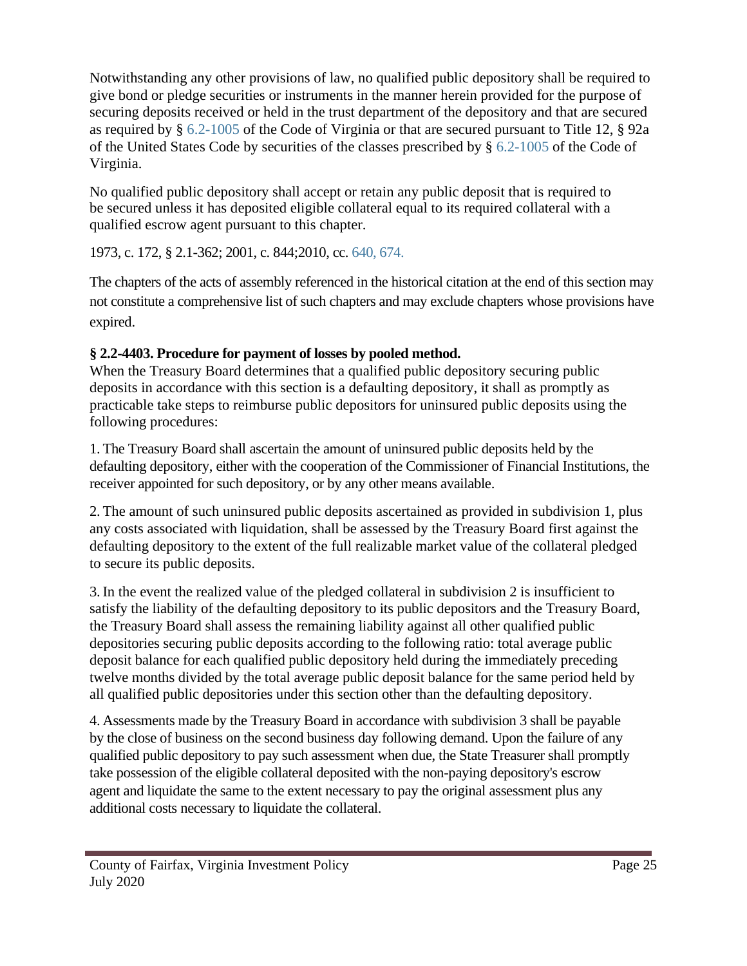Notwithstanding any other provisions of law, no qualified public depository shall be required to give bond or pledge securities or instruments in the manner herein provided for the purpose of securing deposits received or held in the trust department of the depository and that are secured as required by § 6.2-1005 of the Code of Virginia or that are secured pursuant to Title 12, § 92a of the United States Code by securities of the classes prescribed by § 6.2-1005 of the Code of Virginia.

No qualified public depository shall accept or retain any public deposit that is required to be secured unless it has deposited eligible collateral equal to its required collateral with a qualified escrow agent pursuant to this chapter.

1973, c. 172, § 2.1-362; 2001, c. 844;2010, cc. 640, 674.

The chapters of the acts of assembly referenced in the historical citation at the end of this section may not constitute a comprehensive list of such chapters and may exclude chapters whose provisions have expired.

## **§ 2.2-4403. Procedure for payment of losses by pooled method.**

When the Treasury Board determines that a qualified public depository securing public deposits in accordance with this section is a defaulting depository, it shall as promptly as practicable take steps to reimburse public depositors for uninsured public deposits using the following procedures:

1. The Treasury Board shall ascertain the amount of uninsured public deposits held by the defaulting depository, either with the cooperation of the Commissioner of Financial Institutions, the receiver appointed for such depository, or by any other means available.

2. The amount of such uninsured public deposits ascertained as provided in subdivision 1, plus any costs associated with liquidation, shall be assessed by the Treasury Board first against the defaulting depository to the extent of the full realizable market value of the collateral pledged to secure its public deposits.

3. In the event the realized value of the pledged collateral in subdivision 2 is insufficient to satisfy the liability of the defaulting depository to its public depositors and the Treasury Board, the Treasury Board shall assess the remaining liability against all other qualified public depositories securing public deposits according to the following ratio: total average public deposit balance for each qualified public depository held during the immediately preceding twelve months divided by the total average public deposit balance for the same period held by all qualified public depositories under this section other than the defaulting depository.

4. Assessments made by the Treasury Board in accordance with subdivision 3 shall be payable by the close of business on the second business day following demand. Upon the failure of any qualified public depository to pay such assessment when due, the State Treasurer shall promptly take possession of the eligible collateral deposited with the non-paying depository's escrow agent and liquidate the same to the extent necessary to pay the original assessment plus any additional costs necessary to liquidate the collateral.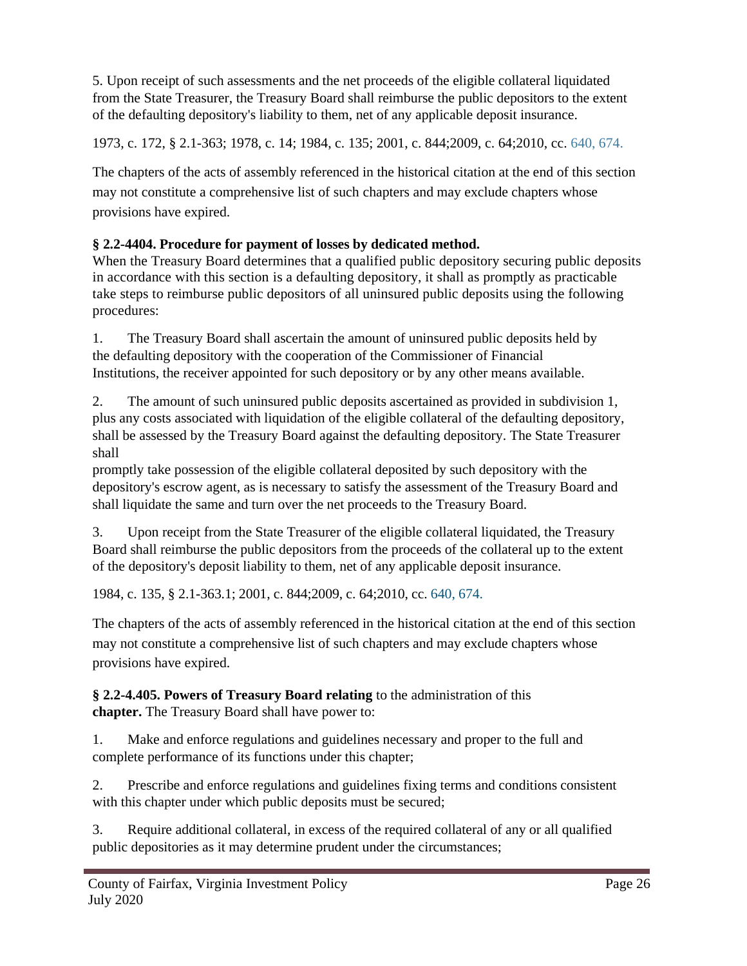5. Upon receipt of such assessments and the net proceeds of the eligible collateral liquidated from the State Treasurer, the Treasury Board shall reimburse the public depositors to the extent of the defaulting depository's liability to them, net of any applicable deposit insurance.

1973, c. 172, § 2.1-363; 1978, c. 14; 1984, c. 135; 2001, c. 844;2009, c. 64;2010, cc. 640, 674.

The chapters of the acts of assembly referenced in the historical citation at the end of this section may not constitute a comprehensive list of such chapters and may exclude chapters whose provisions have expired.

## **§ 2.2-4404. Procedure for payment of losses by dedicated method.**

When the Treasury Board determines that a qualified public depository securing public deposits in accordance with this section is a defaulting depository, it shall as promptly as practicable take steps to reimburse public depositors of all uninsured public deposits using the following procedures:

1. The Treasury Board shall ascertain the amount of uninsured public deposits held by the defaulting depository with the cooperation of the Commissioner of Financial Institutions, the receiver appointed for such depository or by any other means available.

2. The amount of such uninsured public deposits ascertained as provided in subdivision 1, plus any costs associated with liquidation of the eligible collateral of the defaulting depository, shall be assessed by the Treasury Board against the defaulting depository. The State Treasurer shall

promptly take possession of the eligible collateral deposited by such depository with the depository's escrow agent, as is necessary to satisfy the assessment of the Treasury Board and shall liquidate the same and turn over the net proceeds to the Treasury Board.

3. Upon receipt from the State Treasurer of the eligible collateral liquidated, the Treasury Board shall reimburse the public depositors from the proceeds of the collateral up to the extent of the depository's deposit liability to them, net of any applicable deposit insurance.

1984, c. 135, § 2.1-363.1; 2001, c. 844;2009, c. 64;2010, cc. 640, 674.

The chapters of the acts of assembly referenced in the historical citation at the end of this section may not constitute a comprehensive list of such chapters and may exclude chapters whose provisions have expired.

**§ 2.2-4.405. Powers of Treasury Board relating** to the administration of this **chapter.** The Treasury Board shall have power to:

1. Make and enforce regulations and guidelines necessary and proper to the full and complete performance of its functions under this chapter;

2. Prescribe and enforce regulations and guidelines fixing terms and conditions consistent with this chapter under which public deposits must be secured;

3. Require additional collateral, in excess of the required collateral of any or all qualified public depositories as it may determine prudent under the circumstances;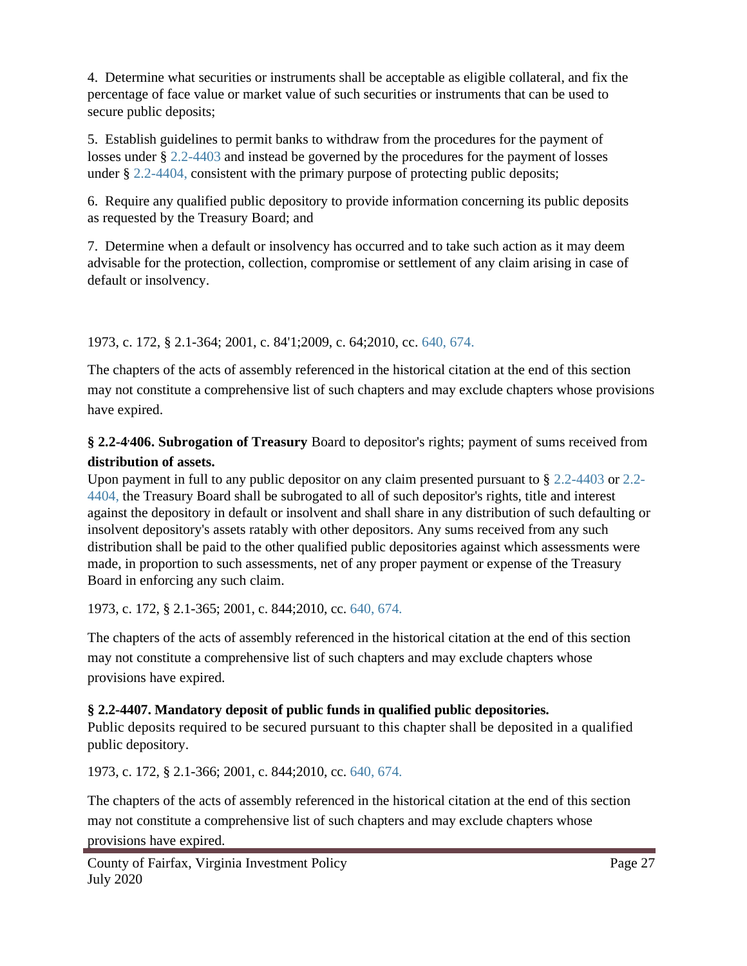4. Determine what securities or instruments shall be acceptable as eligible collateral, and fix the percentage of face value or market value of such securities or instruments that can be used to secure public deposits;

5. Establish guidelines to permit banks to withdraw from the procedures for the payment of losses under § 2.2-4403 and instead be governed by the procedures for the payment of losses under § 2.2-4404, consistent with the primary purpose of protecting public deposits;

6. Require any qualified public depository to provide information concerning its public deposits as requested by the Treasury Board; and

7. Determine when a default or insolvency has occurred and to take such action as it may deem advisable for the protection, collection, compromise or settlement of any claim arising in case of default or insolvency.

1973, c. 172, § 2.1-364; 2001, c. 84'1;2009, c. 64;2010, cc. 640, 674.

The chapters of the acts of assembly referenced in the historical citation at the end of this section may not constitute a comprehensive list of such chapters and may exclude chapters whose provisions have expired.

## § 2.2-4<sup>4</sup>406. Subrogation of Treasury Board to depositor's rights; payment of sums received from **distribution of assets.**

Upon payment in full to any public depositor on any claim presented pursuant to § 2.2-4403 or 2.2-4404, the Treasury Board shall be subrogated to all of such depositor's rights, title and interest against the depository in default or insolvent and shall share in any distribution of such defaulting or insolvent depository's assets ratably with other depositors. Any sums received from any such distribution shall be paid to the other qualified public depositories against which assessments were made, in proportion to such assessments, net of any proper payment or expense of the Treasury Board in enforcing any such claim.

1973, c. 172, § 2.1-365; 2001, c. 844;2010, cc. 640, 674.

The chapters of the acts of assembly referenced in the historical citation at the end of this section may not constitute a comprehensive list of such chapters and may exclude chapters whose provisions have expired.

### **§ 2.2-4407. Mandatory deposit of public funds in qualified public depositories.**

Public deposits required to be secured pursuant to this chapter shall be deposited in a qualified public depository.

1973, c. 172, § 2.1-366; 2001, c. 844;2010, cc. 640, 674.

The chapters of the acts of assembly referenced in the historical citation at the end of this section may not constitute a comprehensive list of such chapters and may exclude chapters whose provisions have expired.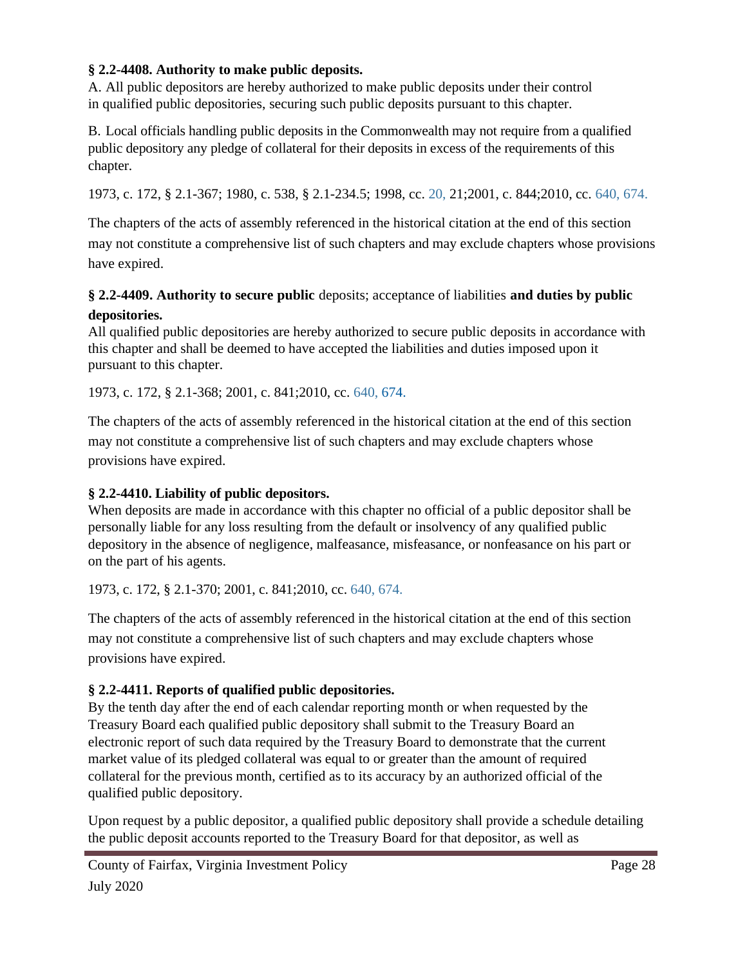#### **§ 2.2-4408. Authority to make public deposits.**

A. All public depositors are hereby authorized to make public deposits under their control in qualified public depositories, securing such public deposits pursuant to this chapter.

B. Local officials handling public deposits in the Commonwealth may not require from a qualified public depository any pledge of collateral for their deposits in excess of the requirements of this chapter.

1973, c. 172, § 2.1-367; 1980, c. 538, § 2.1-234.5; 1998, cc. 20, 21;2001, c. 844;2010, cc. 640, 674.

The chapters of the acts of assembly referenced in the historical citation at the end of this section may not constitute a comprehensive list of such chapters and may exclude chapters whose provisions have expired.

## **§ 2.2-4409. Authority to secure public** deposits; acceptance of liabilities **and duties by public**

#### **depositories.**

All qualified public depositories are hereby authorized to secure public deposits in accordance with this chapter and shall be deemed to have accepted the liabilities and duties imposed upon it pursuant to this chapter.

1973, c. 172, § 2.1-368; 2001, c. 841;2010, cc. 640, 674.

The chapters of the acts of assembly referenced in the historical citation at the end of this section may not constitute a comprehensive list of such chapters and may exclude chapters whose provisions have expired.

## **§ 2.2-4410. Liability of public depositors.**

When deposits are made in accordance with this chapter no official of a public depositor shall be personally liable for any loss resulting from the default or insolvency of any qualified public depository in the absence of negligence, malfeasance, misfeasance, or nonfeasance on his part or on the part of his agents.

1973, c. 172, § 2.1-370; 2001, c. 841;2010, cc. 640, 674.

The chapters of the acts of assembly referenced in the historical citation at the end of this section may not constitute a comprehensive list of such chapters and may exclude chapters whose provisions have expired.

## **§ 2.2-4411. Reports of qualified public depositories.**

By the tenth day after the end of each calendar reporting month or when requested by the Treasury Board each qualified public depository shall submit to the Treasury Board an electronic report of such data required by the Treasury Board to demonstrate that the current market value of its pledged collateral was equal to or greater than the amount of required collateral for the previous month, certified as to its accuracy by an authorized official of the qualified public depository.

Upon request by a public depositor, a qualified public depository shall provide a schedule detailing the public deposit accounts reported to the Treasury Board for that depositor, as well as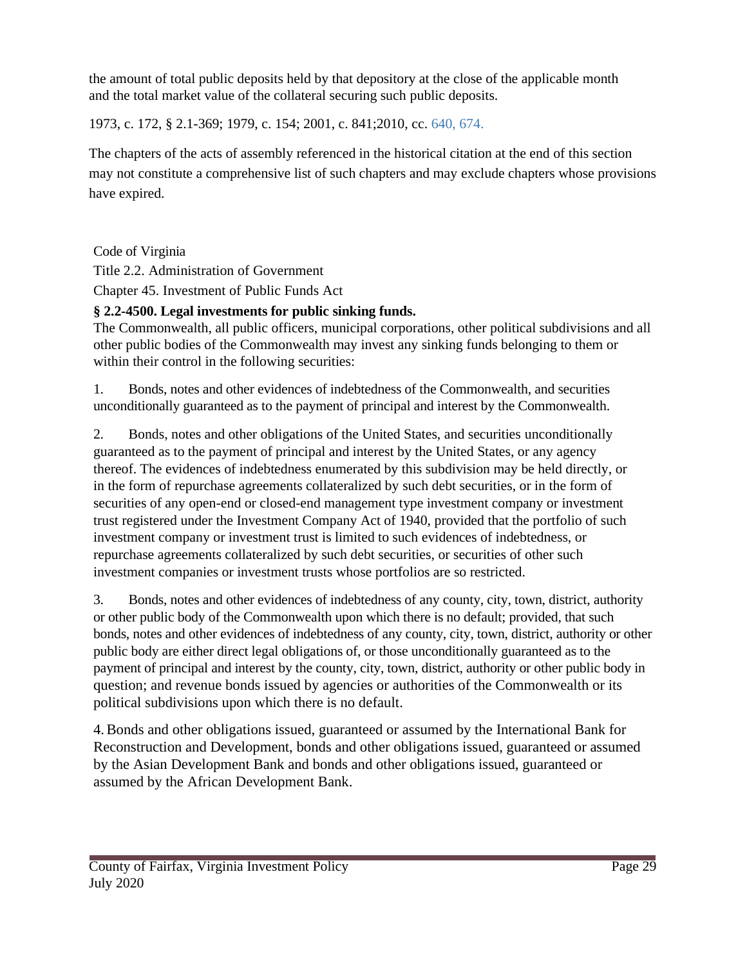the amount of total public deposits held by that depository at the close of the applicable month and the total market value of the collateral securing such public deposits.

1973, c. 172, § 2.1-369; 1979, c. 154; 2001, c. 841;2010, cc. 640, 674.

The chapters of the acts of assembly referenced in the historical citation at the end of this section may not constitute a comprehensive list of such chapters and may exclude chapters whose provisions have expired.

Code of Virginia

Title 2.2. Administration of Government

Chapter 45. Investment of Public Funds Act

## **§ 2.2-4500. Legal investments for public sinking funds.**

The Commonwealth, all public officers, municipal corporations, other political subdivisions and all other public bodies of the Commonwealth may invest any sinking funds belonging to them or within their control in the following securities:

1. Bonds, notes and other evidences of indebtedness of the Commonwealth, and securities unconditionally guaranteed as to the payment of principal and interest by the Commonwealth.

2. Bonds, notes and other obligations of the United States, and securities unconditionally guaranteed as to the payment of principal and interest by the United States, or any agency thereof. The evidences of indebtedness enumerated by this subdivision may be held directly, or in the form of repurchase agreements collateralized by such debt securities, or in the form of securities of any open-end or closed-end management type investment company or investment trust registered under the Investment Company Act of 1940, provided that the portfolio of such investment company or investment trust is limited to such evidences of indebtedness, or repurchase agreements collateralized by such debt securities, or securities of other such investment companies or investment trusts whose portfolios are so restricted.

3. Bonds, notes and other evidences of indebtedness of any county, city, town, district, authority or other public body of the Commonwealth upon which there is no default; provided, that such bonds, notes and other evidences of indebtedness of any county, city, town, district, authority or other public body are either direct legal obligations of, or those unconditionally guaranteed as to the payment of principal and interest by the county, city, town, district, authority or other public body in question; and revenue bonds issued by agencies or authorities of the Commonwealth or its political subdivisions upon which there is no default.

4.Bonds and other obligations issued, guaranteed or assumed by the International Bank for Reconstruction and Development, bonds and other obligations issued, guaranteed or assumed by the Asian Development Bank and bonds and other obligations issued, guaranteed or assumed by the African Development Bank.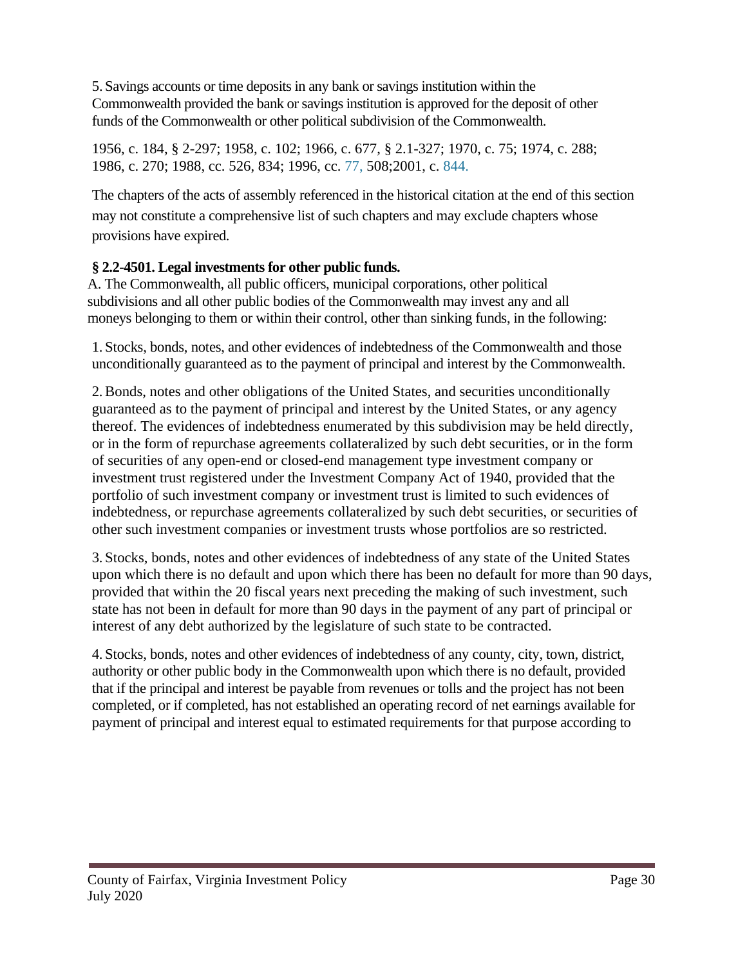5. Savings accounts or time deposits in any bank or savings institution within the Commonwealth provided the bank or savings institution is approved for the deposit of other funds of the Commonwealth or other political subdivision of the Commonwealth.

1956, c. 184, § 2-297; 1958, c. 102; 1966, c. 677, § 2.1-327; 1970, c. 75; 1974, c. 288; 1986, c. 270; 1988, cc. 526, 834; 1996, cc. 77, 508;2001, c. 844.

The chapters of the acts of assembly referenced in the historical citation at the end of this section may not constitute a comprehensive list of such chapters and may exclude chapters whose provisions have expired.

## **§ 2.2-4501. Legal investments for other public funds.**

A. The Commonwealth, all public officers, municipal corporations, other political subdivisions and all other public bodies of the Commonwealth may invest any and all moneys belonging to them or within their control, other than sinking funds, in the following:

1. Stocks, bonds, notes, and other evidences of indebtedness of the Commonwealth and those unconditionally guaranteed as to the payment of principal and interest by the Commonwealth.

2.Bonds, notes and other obligations of the United States, and securities unconditionally guaranteed as to the payment of principal and interest by the United States, or any agency thereof. The evidences of indebtedness enumerated by this subdivision may be held directly, or in the form of repurchase agreements collateralized by such debt securities, or in the form of securities of any open-end or closed-end management type investment company or investment trust registered under the Investment Company Act of 1940, provided that the portfolio of such investment company or investment trust is limited to such evidences of indebtedness, or repurchase agreements collateralized by such debt securities, or securities of other such investment companies or investment trusts whose portfolios are so restricted.

3. Stocks, bonds, notes and other evidences of indebtedness of any state of the United States upon which there is no default and upon which there has been no default for more than 90 days, provided that within the 20 fiscal years next preceding the making of such investment, such state has not been in default for more than 90 days in the payment of any part of principal or interest of any debt authorized by the legislature of such state to be contracted.

4. Stocks, bonds, notes and other evidences of indebtedness of any county, city, town, district, authority or other public body in the Commonwealth upon which there is no default, provided that if the principal and interest be payable from revenues or tolls and the project has not been completed, or if completed, has not established an operating record of net earnings available for payment of principal and interest equal to estimated requirements for that purpose according to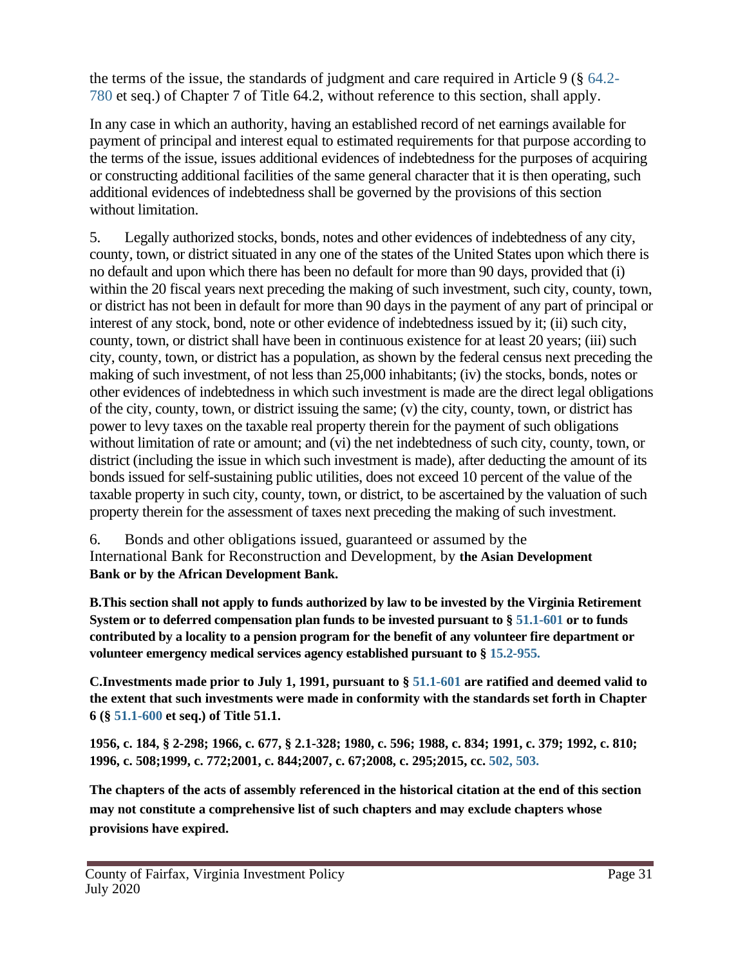the terms of the issue, the standards of judgment and care required in Article 9 (§ 64.2- 780 et seq.) of Chapter 7 of Title 64.2, without reference to this section, shall apply.

In any case in which an authority, having an established record of net earnings available for payment of principal and interest equal to estimated requirements for that purpose according to the terms of the issue, issues additional evidences of indebtedness for the purposes of acquiring or constructing additional facilities of the same general character that it is then operating, such additional evidences of indebtedness shall be governed by the provisions of this section without limitation.

5. Legally authorized stocks, bonds, notes and other evidences of indebtedness of any city, county, town, or district situated in any one of the states of the United States upon which there is no default and upon which there has been no default for more than 90 days, provided that (i) within the 20 fiscal years next preceding the making of such investment, such city, county, town, or district has not been in default for more than 90 days in the payment of any part of principal or interest of any stock, bond, note or other evidence of indebtedness issued by it; (ii) such city, county, town, or district shall have been in continuous existence for at least 20 years; (iii) such city, county, town, or district has a population, as shown by the federal census next preceding the making of such investment, of not less than 25,000 inhabitants; (iv) the stocks, bonds, notes or other evidences of indebtedness in which such investment is made are the direct legal obligations of the city, county, town, or district issuing the same; (v) the city, county, town, or district has power to levy taxes on the taxable real property therein for the payment of such obligations without limitation of rate or amount; and (vi) the net indebtedness of such city, county, town, or district (including the issue in which such investment is made), after deducting the amount of its bonds issued for self-sustaining public utilities, does not exceed 10 percent of the value of the taxable property in such city, county, town, or district, to be ascertained by the valuation of such property therein for the assessment of taxes next preceding the making of such investment.

6. Bonds and other obligations issued, guaranteed or assumed by the International Bank for Reconstruction and Development, by **the Asian Development Bank or by the African Development Bank.**

**B.This section shall not apply to funds authorized by law to be invested by the Virginia Retirement System or to deferred compensation plan funds to be invested pursuant to § 51.1-601 or to funds contributed by a locality to a pension program for the benefit of any volunteer fire department or volunteer emergency medical services agency established pursuant to § 15.2-955.**

**C.Investments made prior to July 1, 1991, pursuant to § 51.1-601 are ratified and deemed valid to the extent that such investments were made in conformity with the standards set forth in Chapter 6 (§ 51.1-600 et seq.) of Title 51.1.**

**1956, c. 184, § 2-298; 1966, c. 677, § 2.1-328; 1980, c. 596; 1988, c. 834; 1991, c. 379; 1992, c. 810; 1996, c. 508;1999, c. 772;2001, c. 844;2007, c. 67;2008, c. 295;2015, cc. 502, 503.**

**The chapters of the acts of assembly referenced in the historical citation at the end of this section may not constitute a comprehensive list of such chapters and may exclude chapters whose provisions have expired.**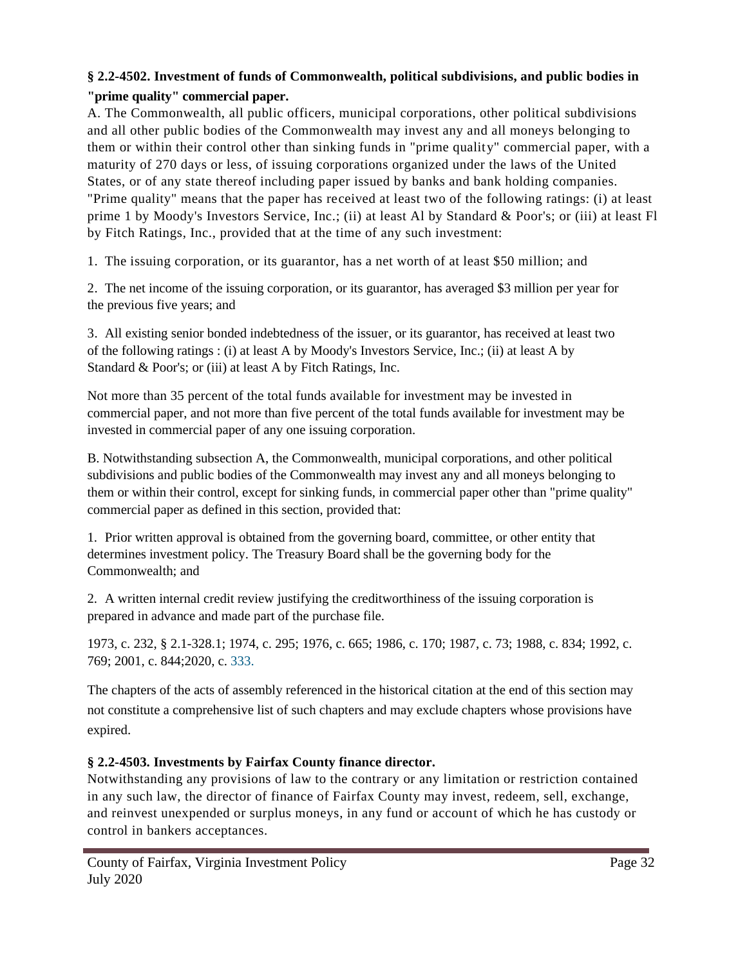### **§ 2.2-4502. Investment of funds of Commonwealth, political subdivisions, and public bodies in "prime quality" commercial paper.**

A. The Commonwealth, all public officers, municipal corporations, other political subdivisions and all other public bodies of the Commonwealth may invest any and all moneys belonging to them or within their control other than sinking funds in "prime quality" commercial paper, with a maturity of 270 days or less, of issuing corporations organized under the laws of the United States, or of any state thereof including paper issued by banks and bank holding companies. "Prime quality" means that the paper has received at least two of the following ratings: (i) at least prime 1 by Moody's Investors Service, Inc.; (ii) at least Al by Standard & Poor's; or (iii) at least Fl by Fitch Ratings, Inc., provided that at the time of any such investment:

1. The issuing corporation, or its guarantor, has a net worth of at least \$50 million; and

2. The net income of the issuing corporation, or its guarantor, has averaged \$3 million per year for the previous five years; and

3. All existing senior bonded indebtedness of the issuer, or its guarantor, has received at least two of the following ratings : (i) at least A by Moody's Investors Service, Inc.; (ii) at least A by Standard & Poor's; or (iii) at least A by Fitch Ratings, Inc.

Not more than 35 percent of the total funds available for investment may be invested in commercial paper, and not more than five percent of the total funds available for investment may be invested in commercial paper of any one issuing corporation.

B. Notwithstanding subsection A, the Commonwealth, municipal corporations, and other political subdivisions and public bodies of the Commonwealth may invest any and all moneys belonging to them or within their control, except for sinking funds, in commercial paper other than "prime quality" commercial paper as defined in this section, provided that:

1. Prior written approval is obtained from the governing board, committee, or other entity that determines investment policy. The Treasury Board shall be the governing body for the Commonwealth; and

2. A written internal credit review justifying the creditworthiness of the issuing corporation is prepared in advance and made part of the purchase file.

1973, c. 232, § 2.1-328.1; 1974, c. 295; 1976, c. 665; 1986, c. 170; 1987, c. 73; 1988, c. 834; 1992, c. 769; 2001, c. 844;2020, c. 333.

The chapters of the acts of assembly referenced in the historical citation at the end of this section may not constitute a comprehensive list of such chapters and may exclude chapters whose provisions have expired.

### **§ 2.2-4503. Investments by Fairfax County finance director.**

Notwithstanding any provisions of law to the contrary or any limitation or restriction contained in any such law, the director of finance of Fairfax County may invest, redeem, sell, exchange, and reinvest unexpended or surplus moneys, in any fund or account of which he has custody or control in bankers acceptances.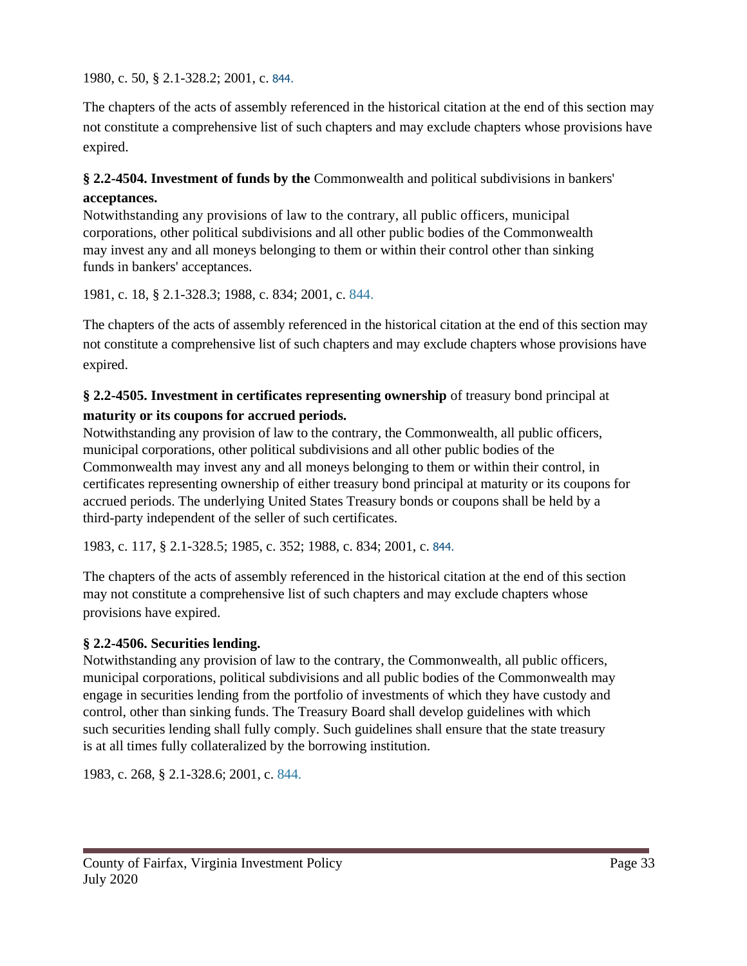1980, c. 50, § 2.1-328.2; 2001, c. 844.

The chapters of the acts of assembly referenced in the historical citation at the end of this section may not constitute a comprehensive list of such chapters and may exclude chapters whose provisions have expired.

## **§ 2.2-4504. Investment of funds by the** Commonwealth and political subdivisions in bankers'

#### **acceptances.**

Notwithstanding any provisions of law to the contrary, all public officers, municipal corporations, other political subdivisions and all other public bodies of the Commonwealth may invest any and all moneys belonging to them or within their control other than sinking funds in bankers' acceptances.

1981, c. 18, § 2.1-328.3; 1988, c. 834; 2001, c. 844.

The chapters of the acts of assembly referenced in the historical citation at the end of this section may not constitute a comprehensive list of such chapters and may exclude chapters whose provisions have expired.

### **§ 2.2-4505. Investment in certificates representing ownership** of treasury bond principal at **maturity or its coupons for accrued periods.**

Notwithstanding any provision of law to the contrary, the Commonwealth, all public officers, municipal corporations, other political subdivisions and all other public bodies of the Commonwealth may invest any and all moneys belonging to them or within their control, in certificates representing ownership of either treasury bond principal at maturity or its coupons for accrued periods. The underlying United States Treasury bonds or coupons shall be held by a third-party independent of the seller of such certificates.

1983, c. 117, § 2.1-328.5; 1985, c. 352; 1988, c. 834; 2001, c. 844.

The chapters of the acts of assembly referenced in the historical citation at the end of this section may not constitute a comprehensive list of such chapters and may exclude chapters whose provisions have expired.

### **§ 2.2-4506. Securities lending.**

Notwithstanding any provision of law to the contrary, the Commonwealth, all public officers, municipal corporations, political subdivisions and all public bodies of the Commonwealth may engage in securities lending from the portfolio of investments of which they have custody and control, other than sinking funds. The Treasury Board shall develop guidelines with which such securities lending shall fully comply. Such guidelines shall ensure that the state treasury is at all times fully collateralized by the borrowing institution.

1983, c. 268, § 2.1-328.6; 2001, c. 844.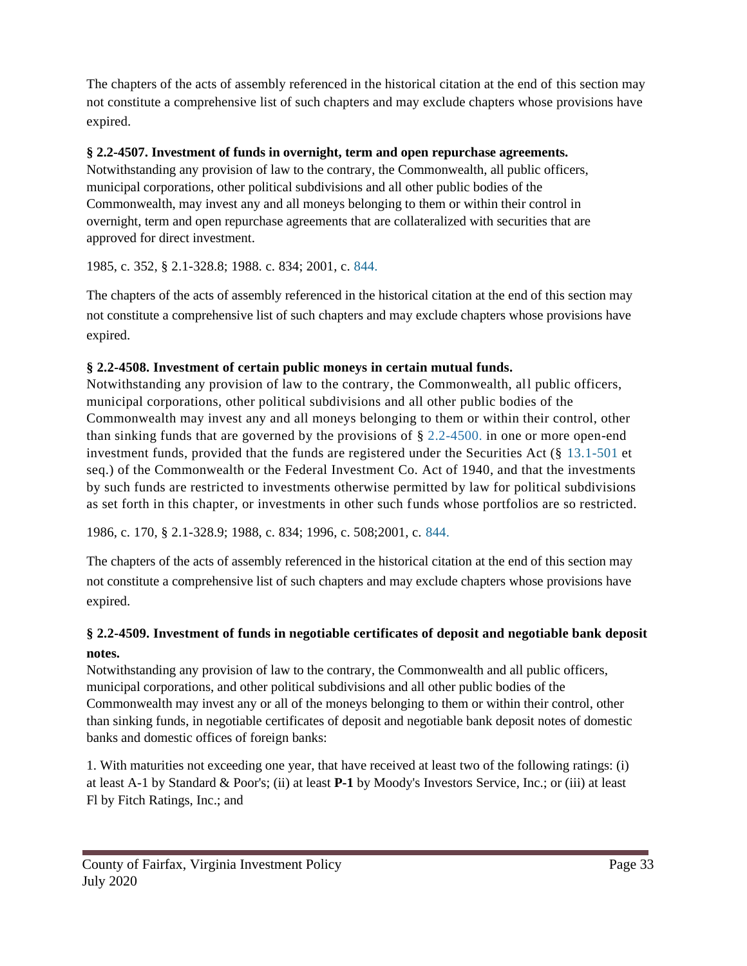The chapters of the acts of assembly referenced in the historical citation at the end of this section may not constitute a comprehensive list of such chapters and may exclude chapters whose provisions have expired.

#### **§ 2.2-4507. Investment of funds in overnight, term and open repurchase agreements.**

Notwithstanding any provision of law to the contrary, the Commonwealth, all public officers, municipal corporations, other political subdivisions and all other public bodies of the Commonwealth, may invest any and all moneys belonging to them or within their control in overnight, term and open repurchase agreements that are collateralized with securities that are approved for direct investment.

1985, c. 352, § 2.1-328.8; 1988. c. 834; 2001, c. 844.

The chapters of the acts of assembly referenced in the historical citation at the end of this section may not constitute a comprehensive list of such chapters and may exclude chapters whose provisions have expired.

#### **§ 2.2-4508. Investment of certain public moneys in certain mutual funds.**

Notwithstanding any provision of law to the contrary, the Commonwealth, all public officers, municipal corporations, other political subdivisions and all other public bodies of the Commonwealth may invest any and all moneys belonging to them or within their control, other than sinking funds that are governed by the provisions of § 2.2-4500. in one or more open-end investment funds, provided that the funds are registered under the Securities Act  $(\S 13.1-501$  et seq.) of the Commonwealth or the Federal Investment Co. Act of 1940, and that the investments by such funds are restricted to investments otherwise permitted by law for political subdivisions as set forth in this chapter, or investments in other such funds whose portfolios are so restricted.

1986, c. 170, § 2.1-328.9; 1988, c. 834; 1996, c. 508;2001, c. 844.

The chapters of the acts of assembly referenced in the historical citation at the end of this section may not constitute a comprehensive list of such chapters and may exclude chapters whose provisions have expired.

## **§ 2.2-4509. Investment of funds in negotiable certificates of deposit and negotiable bank deposit notes.**

Notwithstanding any provision of law to the contrary, the Commonwealth and all public officers, municipal corporations, and other political subdivisions and all other public bodies of the Commonwealth may invest any or all of the moneys belonging to them or within their control, other than sinking funds, in negotiable certificates of deposit and negotiable bank deposit notes of domestic banks and domestic offices of foreign banks:

1. With maturities not exceeding one year, that have received at least two of the following ratings: (i) at least A-1 by Standard & Poor's; (ii) at least **P-1** by Moody's Investors Service, Inc.; or (iii) at least Fl by Fitch Ratings, Inc.; and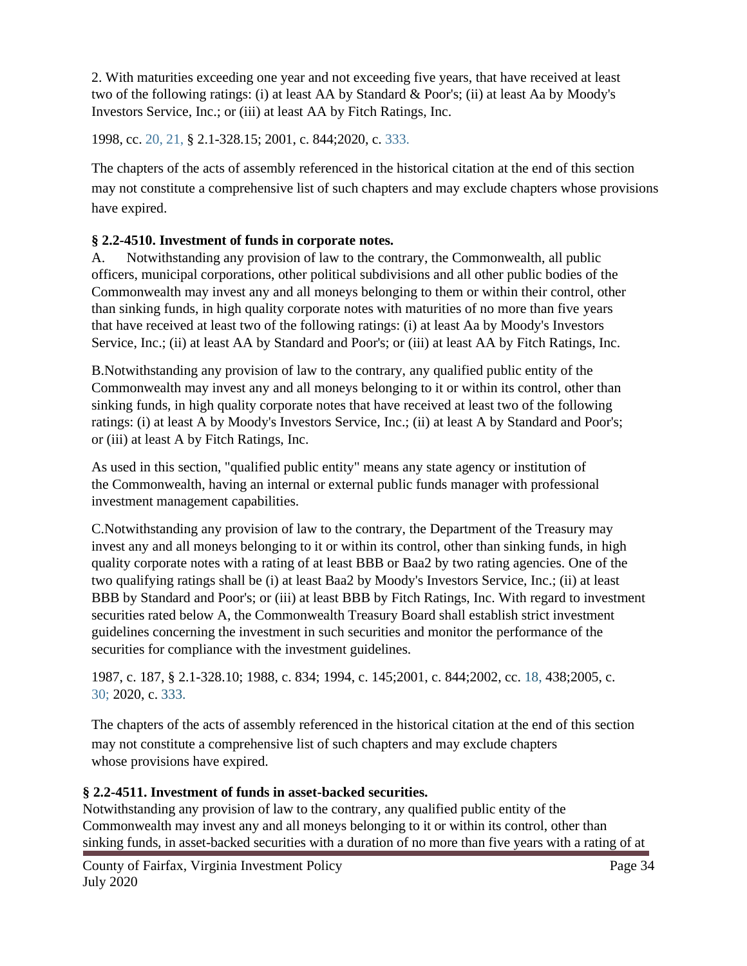2. With maturities exceeding one year and not exceeding five years, that have received at least two of the following ratings: (i) at least AA by Standard & Poor's; (ii) at least Aa by Moody's Investors Service, Inc.; or (iii) at least AA by Fitch Ratings, Inc.

1998, cc. 20, 21, § 2.1-328.15; 2001, c. 844;2020, c. 333.

The chapters of the acts of assembly referenced in the historical citation at the end of this section may not constitute a comprehensive list of such chapters and may exclude chapters whose provisions have expired.

## **§ 2.2-4510. Investment of funds in corporate notes.**

A. Notwithstanding any provision of law to the contrary, the Commonwealth, all public officers, municipal corporations, other political subdivisions and all other public bodies of the Commonwealth may invest any and all moneys belonging to them or within their control, other than sinking funds, in high quality corporate notes with maturities of no more than five years that have received at least two of the following ratings: (i) at least Aa by Moody's Investors Service, Inc.; (ii) at least AA by Standard and Poor's; or (iii) at least AA by Fitch Ratings, Inc.

B.Notwithstanding any provision of law to the contrary, any qualified public entity of the Commonwealth may invest any and all moneys belonging to it or within its control, other than sinking funds, in high quality corporate notes that have received at least two of the following ratings: (i) at least A by Moody's Investors Service, Inc.; (ii) at least A by Standard and Poor's; or (iii) at least A by Fitch Ratings, Inc.

As used in this section, "qualified public entity" means any state agency or institution of the Commonwealth, having an internal or external public funds manager with professional investment management capabilities.

C.Notwithstanding any provision of law to the contrary, the Department of the Treasury may invest any and all moneys belonging to it or within its control, other than sinking funds, in high quality corporate notes with a rating of at least BBB or Baa2 by two rating agencies. One of the two qualifying ratings shall be (i) at least Baa2 by Moody's Investors Service, Inc.; (ii) at least BBB by Standard and Poor's; or (iii) at least BBB by Fitch Ratings, Inc. With regard to investment securities rated below A, the Commonwealth Treasury Board shall establish strict investment guidelines concerning the investment in such securities and monitor the performance of the securities for compliance with the investment guidelines.

1987, c. 187, § 2.1-328.10; 1988, c. 834; 1994, c. 145;2001, c. 844;2002, cc. 18, 438;2005, c. 30; 2020, c. 333.

The chapters of the acts of assembly referenced in the historical citation at the end of this section may not constitute a comprehensive list of such chapters and may exclude chapters whose provisions have expired.

## **§ 2.2-4511. Investment of funds in asset-backed securities.**

Notwithstanding any provision of law to the contrary, any qualified public entity of the Commonwealth may invest any and all moneys belonging to it or within its control, other than sinking funds, in asset-backed securities with a duration of no more than five years with a rating of at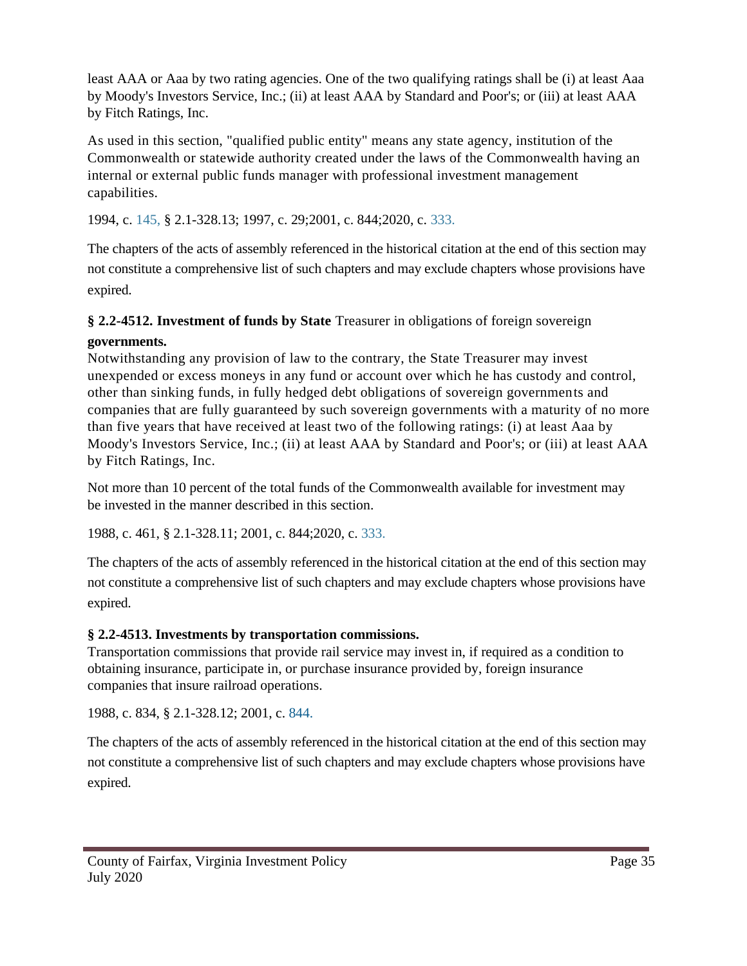least AAA or Aaa by two rating agencies. One of the two qualifying ratings shall be (i) at least Aaa by Moody's Investors Service, Inc.; (ii) at least AAA by Standard and Poor's; or (iii) at least AAA by Fitch Ratings, Inc.

As used in this section, "qualified public entity" means any state agency, institution of the Commonwealth or statewide authority created under the laws of the Commonwealth having an internal or external public funds manager with professional investment management capabilities.

1994, c. 145, § 2.1-328.13; 1997, c. 29;2001, c. 844;2020, c. 333.

The chapters of the acts of assembly referenced in the historical citation at the end of this section may not constitute a comprehensive list of such chapters and may exclude chapters whose provisions have expired.

## **§ 2.2-4512. Investment of funds by State** Treasurer in obligations of foreign sovereign

## **governments.**

Notwithstanding any provision of law to the contrary, the State Treasurer may invest unexpended or excess moneys in any fund or account over which he has custody and control, other than sinking funds, in fully hedged debt obligations of sovereign governments and companies that are fully guaranteed by such sovereign governments with a maturity of no more than five years that have received at least two of the following ratings: (i) at least Aaa by Moody's Investors Service, Inc.; (ii) at least AAA by Standard and Poor's; or (iii) at least AAA by Fitch Ratings, Inc.

Not more than 10 percent of the total funds of the Commonwealth available for investment may be invested in the manner described in this section.

1988, c. 461, § 2.1-328.11; 2001, c. 844;2020, c. 333.

The chapters of the acts of assembly referenced in the historical citation at the end of this section may not constitute a comprehensive list of such chapters and may exclude chapters whose provisions have expired.

## **§ 2.2-4513. Investments by transportation commissions.**

Transportation commissions that provide rail service may invest in, if required as a condition to obtaining insurance, participate in, or purchase insurance provided by, foreign insurance companies that insure railroad operations.

1988, c. 834, § 2.1-328.12; 2001, c. 844.

The chapters of the acts of assembly referenced in the historical citation at the end of this section may not constitute a comprehensive list of such chapters and may exclude chapters whose provisions have expired.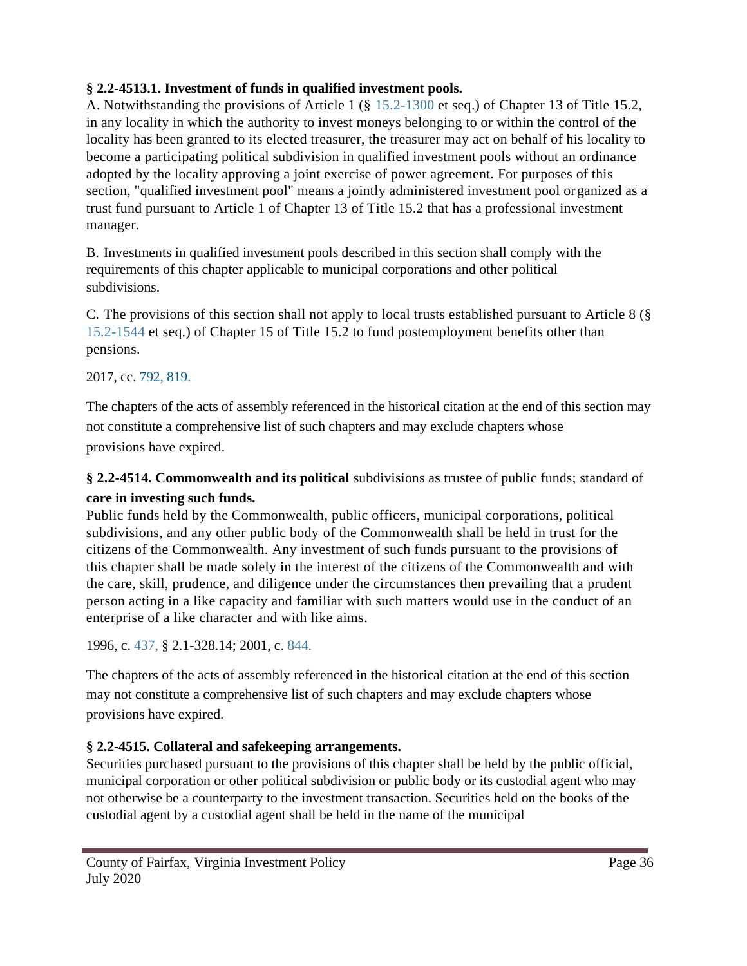## **§ 2.2-4513.1. Investment of funds in qualified investment pools.**

A. Notwithstanding the provisions of Article 1 (§ 15.2-1300 et seq.) of Chapter 13 of Title 15.2, in any locality in which the authority to invest moneys belonging to or within the control of the locality has been granted to its elected treasurer, the treasurer may act on behalf of his locality to become a participating political subdivision in qualified investment pools without an ordinance adopted by the locality approving a joint exercise of power agreement. For purposes of this section, "qualified investment pool" means a jointly administered investment pool organized as a trust fund pursuant to Article 1 of Chapter 13 of Title 15.2 that has a professional investment manager.

B. Investments in qualified investment pools described in this section shall comply with the requirements of this chapter applicable to municipal corporations and other political subdivisions.

C. The provisions of this section shall not apply to local trusts established pursuant to Article 8 (§ 15.2-1544 et seq.) of Chapter 15 of Title 15.2 to fund postemployment benefits other than pensions.

### 2017, cc. 792, 819.

The chapters of the acts of assembly referenced in the historical citation at the end of this section may not constitute a comprehensive list of such chapters and may exclude chapters whose provisions have expired.

**§ 2.2-4514. Commonwealth and its political** subdivisions as trustee of public funds; standard of **care in investing such funds.**

Public funds held by the Commonwealth, public officers, municipal corporations, political subdivisions, and any other public body of the Commonwealth shall be held in trust for the citizens of the Commonwealth. Any investment of such funds pursuant to the provisions of this chapter shall be made solely in the interest of the citizens of the Commonwealth and with the care, skill, prudence, and diligence under the circumstances then prevailing that a prudent person acting in a like capacity and familiar with such matters would use in the conduct of an enterprise of a like character and with like aims.

1996, c. 437, § 2.1-328.14; 2001, c. 844.

The chapters of the acts of assembly referenced in the historical citation at the end of this section may not constitute a comprehensive list of such chapters and may exclude chapters whose provisions have expired.

## **§ 2.2-4515. Collateral and safekeeping arrangements.**

Securities purchased pursuant to the provisions of this chapter shall be held by the public official, municipal corporation or other political subdivision or public body or its custodial agent who may not otherwise be a counterparty to the investment transaction. Securities held on the books of the custodial agent by a custodial agent shall be held in the name of the municipal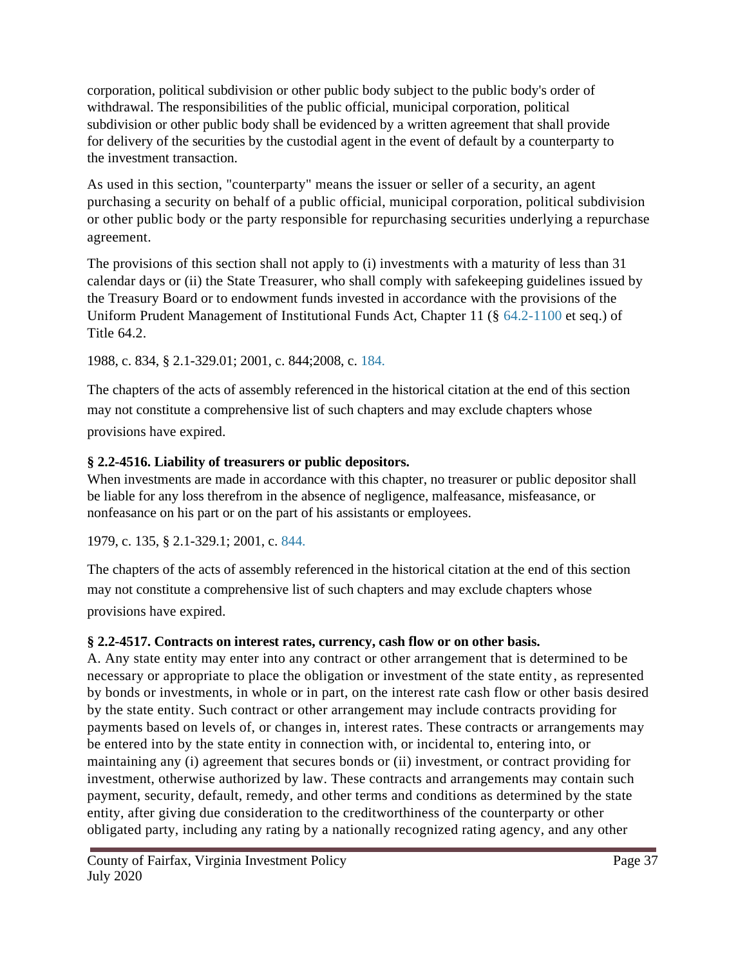corporation, political subdivision or other public body subject to the public body's order of withdrawal. The responsibilities of the public official, municipal corporation, political subdivision or other public body shall be evidenced by a written agreement that shall provide for delivery of the securities by the custodial agent in the event of default by a counterparty to the investment transaction.

As used in this section, "counterparty" means the issuer or seller of a security, an agent purchasing a security on behalf of a public official, municipal corporation, political subdivision or other public body or the party responsible for repurchasing securities underlying a repurchase agreement.

The provisions of this section shall not apply to (i) investments with a maturity of less than 31 calendar days or (ii) the State Treasurer, who shall comply with safekeeping guidelines issued by the Treasury Board or to endowment funds invested in accordance with the provisions of the Uniform Prudent Management of Institutional Funds Act, Chapter 11 (§ 64.2-1100 et seq.) of **Title 64.2** 

1988, c. 834, § 2.1-329.01; 2001, c. 844;2008, c. 184.

The chapters of the acts of assembly referenced in the historical citation at the end of this section may not constitute a comprehensive list of such chapters and may exclude chapters whose provisions have expired.

## **§ 2.2-4516. Liability of treasurers or public depositors.**

When investments are made in accordance with this chapter, no treasurer or public depositor shall be liable for any loss therefrom in the absence of negligence, malfeasance, misfeasance, or nonfeasance on his part or on the part of his assistants or employees.

1979, c. 135, § 2.1-329.1; 2001, c. 844.

The chapters of the acts of assembly referenced in the historical citation at the end of this section may not constitute a comprehensive list of such chapters and may exclude chapters whose provisions have expired.

## **§ 2.2-4517. Contracts on interest rates, currency, cash flow or on other basis.**

A. Any state entity may enter into any contract or other arrangement that is determined to be necessary or appropriate to place the obligation or investment of the state entity, as represented by bonds or investments, in whole or in part, on the interest rate cash flow or other basis desired by the state entity. Such contract or other arrangement may include contracts providing for payments based on levels of, or changes in, interest rates. These contracts or arrangements may be entered into by the state entity in connection with, or incidental to, entering into, or maintaining any (i) agreement that secures bonds or (ii) investment, or contract providing for investment, otherwise authorized by law. These contracts and arrangements may contain such payment, security, default, remedy, and other terms and conditions as determined by the state entity, after giving due consideration to the creditworthiness of the counterparty or other obligated party, including any rating by a nationally recognized rating agency, and any other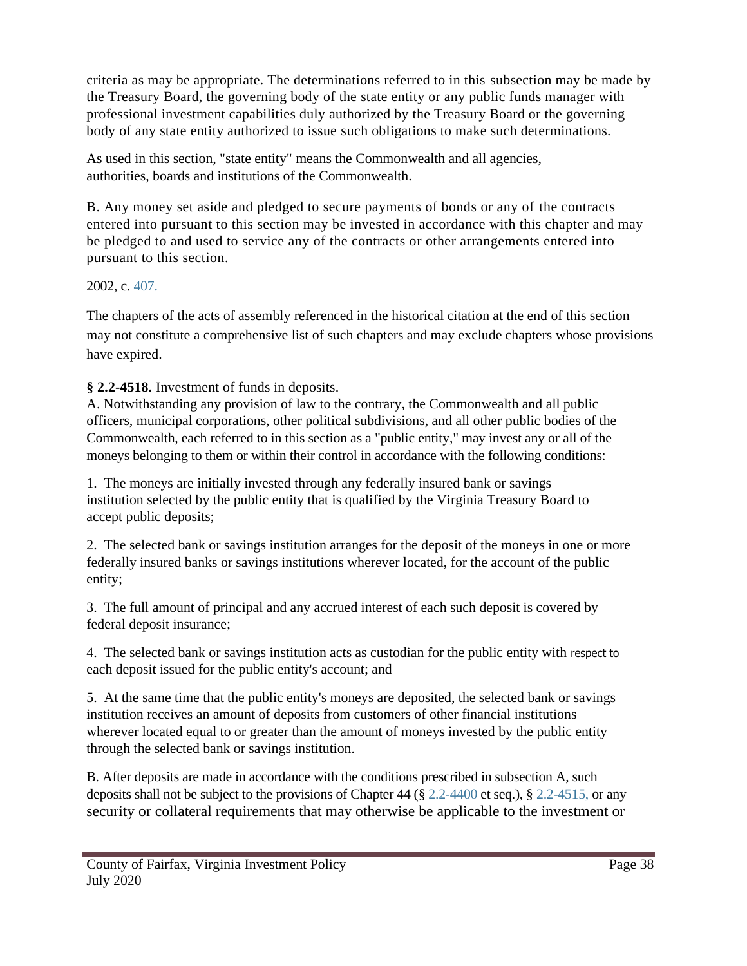criteria as may be appropriate. The determinations referred to in this subsection may be made by the Treasury Board, the governing body of the state entity or any public funds manager with professional investment capabilities duly authorized by the Treasury Board or the governing body of any state entity authorized to issue such obligations to make such determinations.

As used in this section, "state entity" means the Commonwealth and all agencies, authorities, boards and institutions of the Commonwealth.

B. Any money set aside and pledged to secure payments of bonds or any of the contracts entered into pursuant to this section may be invested in accordance with this chapter and may be pledged to and used to service any of the contracts or other arrangements entered into pursuant to this section.

## 2002, c. 407.

The chapters of the acts of assembly referenced in the historical citation at the end of this section may not constitute a comprehensive list of such chapters and may exclude chapters whose provisions have expired.

**§ 2.2-4518.** Investment of funds in deposits.

A. Notwithstanding any provision of law to the contrary, the Commonwealth and all public officers, municipal corporations, other political subdivisions, and all other public bodies of the Commonwealth, each referred to in this section as a "public entity," may invest any or all of the moneys belonging to them or within their control in accordance with the following conditions:

1. The moneys are initially invested through any federally insured bank or savings institution selected by the public entity that is qualified by the Virginia Treasury Board to accept public deposits;

2. The selected bank or savings institution arranges for the deposit of the moneys in one or more federally insured banks or savings institutions wherever located, for the account of the public entity;

3. The full amount of principal and any accrued interest of each such deposit is covered by federal deposit insurance;

4. The selected bank or savings institution acts as custodian for the public entity with respect to each deposit issued for the public entity's account; and

5. At the same time that the public entity's moneys are deposited, the selected bank or savings institution receives an amount of deposits from customers of other financial institutions wherever located equal to or greater than the amount of moneys invested by the public entity through the selected bank or savings institution.

B. After deposits are made in accordance with the conditions prescribed in subsection A, such deposits shall not be subject to the provisions of Chapter 44 ( $\S 2.2$ -4400 et seq.),  $\S 2.2$ -4515, or any security or collateral requirements that may otherwise be applicable to the investment or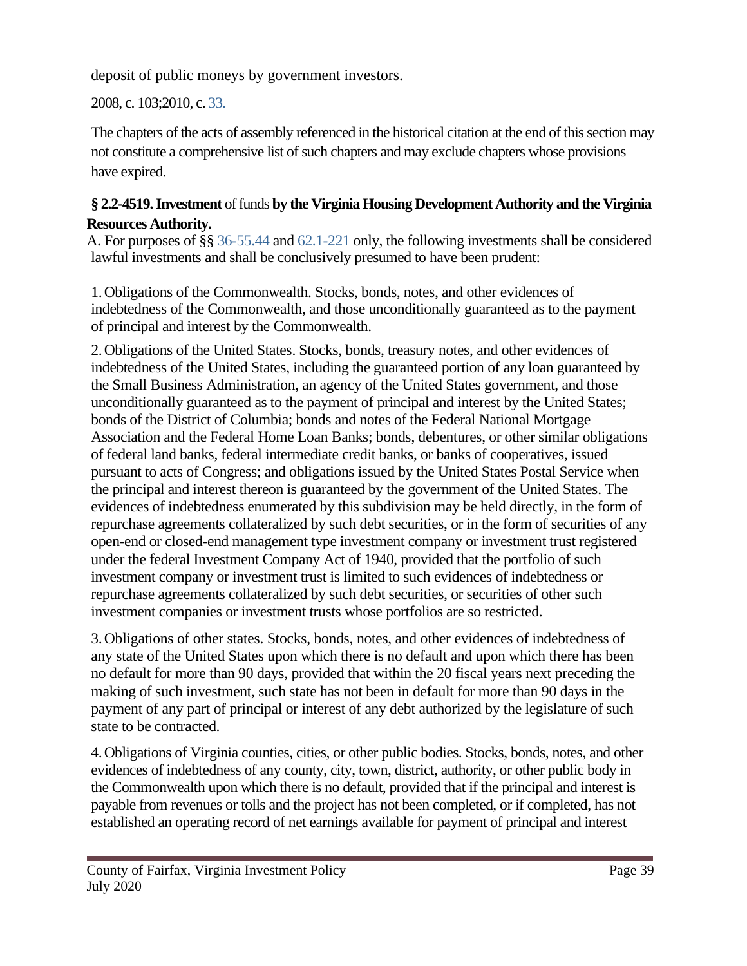deposit of public moneys by government investors.

2008, c. 103;2010, c. 33.

The chapters of the acts of assembly referenced in the historical citation at the end of this section may not constitute a comprehensive list of such chapters and may exclude chapters whose provisions have expired.

## **§ 2.2-4519. Investment** of funds **by the Virginia Housing Development Authority and the Virginia Resources Authority.**

A. For purposes of §§ 36-55.44 and 62.1-221 only, the following investments shall be considered lawful investments and shall be conclusively presumed to have been prudent:

1.Obligations of the Commonwealth. Stocks, bonds, notes, and other evidences of indebtedness of the Commonwealth, and those unconditionally guaranteed as to the payment of principal and interest by the Commonwealth.

2.Obligations of the United States. Stocks, bonds, treasury notes, and other evidences of indebtedness of the United States, including the guaranteed portion of any loan guaranteed by the Small Business Administration, an agency of the United States government, and those unconditionally guaranteed as to the payment of principal and interest by the United States; bonds of the District of Columbia; bonds and notes of the Federal National Mortgage Association and the Federal Home Loan Banks; bonds, debentures, or other similar obligations of federal land banks, federal intermediate credit banks, or banks of cooperatives, issued pursuant to acts of Congress; and obligations issued by the United States Postal Service when the principal and interest thereon is guaranteed by the government of the United States. The evidences of indebtedness enumerated by this subdivision may be held directly, in the form of repurchase agreements collateralized by such debt securities, or in the form of securities of any open-end or closed-end management type investment company or investment trust registered under the federal Investment Company Act of 1940, provided that the portfolio of such investment company or investment trust is limited to such evidences of indebtedness or repurchase agreements collateralized by such debt securities, or securities of other such investment companies or investment trusts whose portfolios are so restricted.

3.Obligations of other states. Stocks, bonds, notes, and other evidences of indebtedness of any state of the United States upon which there is no default and upon which there has been no default for more than 90 days, provided that within the 20 fiscal years next preceding the making of such investment, such state has not been in default for more than 90 days in the payment of any part of principal or interest of any debt authorized by the legislature of such state to be contracted.

4.Obligations of Virginia counties, cities, or other public bodies. Stocks, bonds, notes, and other evidences of indebtedness of any county, city, town, district, authority, or other public body in the Commonwealth upon which there is no default, provided that if the principal and interest is payable from revenues or tolls and the project has not been completed, or if completed, has not established an operating record of net earnings available for payment of principal and interest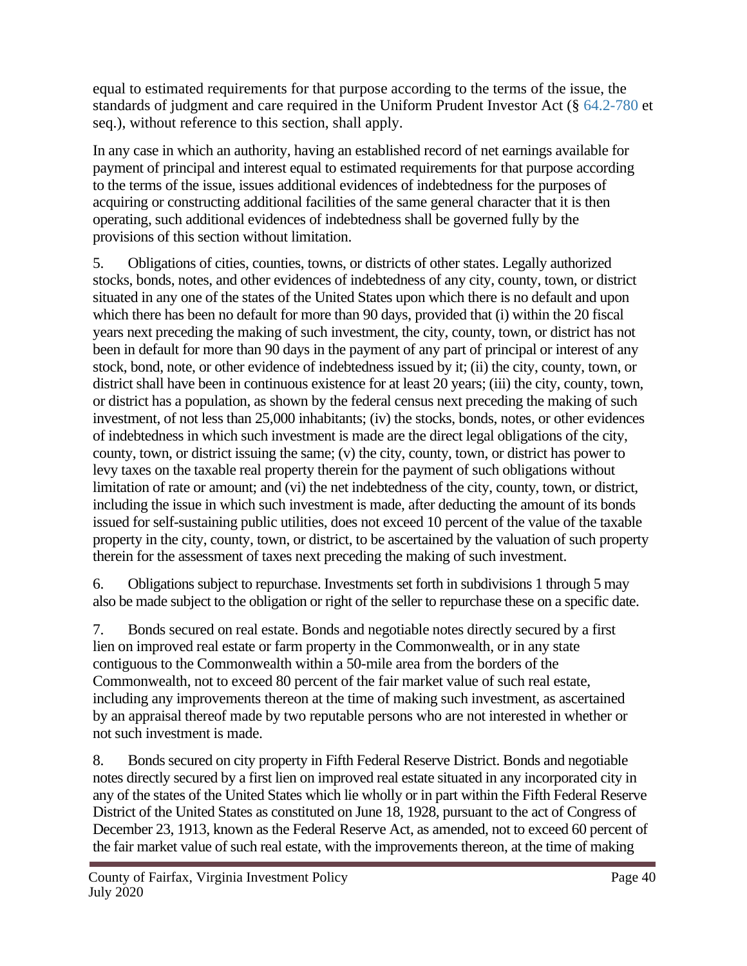equal to estimated requirements for that purpose according to the terms of the issue, the standards of judgment and care required in the Uniform Prudent Investor Act (§ 64.2-780 et seq.), without reference to this section, shall apply.

In any case in which an authority, having an established record of net earnings available for payment of principal and interest equal to estimated requirements for that purpose according to the terms of the issue, issues additional evidences of indebtedness for the purposes of acquiring or constructing additional facilities of the same general character that it is then operating, such additional evidences of indebtedness shall be governed fully by the provisions of this section without limitation.

5. Obligations of cities, counties, towns, or districts of other states. Legally authorized stocks, bonds, notes, and other evidences of indebtedness of any city, county, town, or district situated in any one of the states of the United States upon which there is no default and upon which there has been no default for more than 90 days, provided that (i) within the 20 fiscal years next preceding the making of such investment, the city, county, town, or district has not been in default for more than 90 days in the payment of any part of principal or interest of any stock, bond, note, or other evidence of indebtedness issued by it; (ii) the city, county, town, or district shall have been in continuous existence for at least 20 years; (iii) the city, county, town, or district has a population, as shown by the federal census next preceding the making of such investment, of not less than 25,000 inhabitants; (iv) the stocks, bonds, notes, or other evidences of indebtedness in which such investment is made are the direct legal obligations of the city, county, town, or district issuing the same; (v) the city, county, town, or district has power to levy taxes on the taxable real property therein for the payment of such obligations without limitation of rate or amount; and (vi) the net indebtedness of the city, county, town, or district, including the issue in which such investment is made, after deducting the amount of its bonds issued for self-sustaining public utilities, does not exceed 10 percent of the value of the taxable property in the city, county, town, or district, to be ascertained by the valuation of such property therein for the assessment of taxes next preceding the making of such investment.

6. Obligations subject to repurchase. Investments set forth in subdivisions 1 through 5 may also be made subject to the obligation or right of the seller to repurchase these on a specific date.

7. Bonds secured on real estate. Bonds and negotiable notes directly secured by a first lien on improved real estate or farm property in the Commonwealth, or in any state contiguous to the Commonwealth within a 50-mile area from the borders of the Commonwealth, not to exceed 80 percent of the fair market value of such real estate, including any improvements thereon at the time of making such investment, as ascertained by an appraisal thereof made by two reputable persons who are not interested in whether or not such investment is made.

8. Bonds secured on city property in Fifth Federal Reserve District. Bonds and negotiable notes directly secured by a first lien on improved real estate situated in any incorporated city in any of the states of the United States which lie wholly or in part within the Fifth Federal Reserve District of the United States as constituted on June 18, 1928, pursuant to the act of Congress of December 23, 1913, known as the Federal Reserve Act, as amended, not to exceed 60 percent of the fair market value of such real estate, with the improvements thereon, at the time of making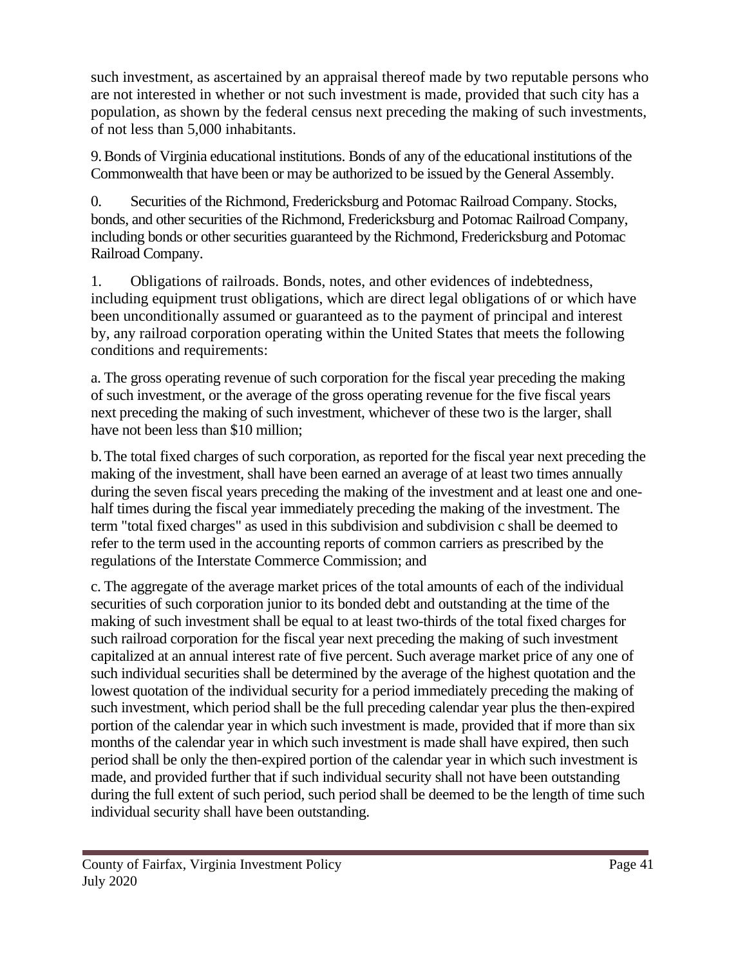such investment, as ascertained by an appraisal thereof made by two reputable persons who are not interested in whether or not such investment is made, provided that such city has a population, as shown by the federal census next preceding the making of such investments, of not less than 5,000 inhabitants.

9.Bonds of Virginia educational institutions. Bonds of any of the educational institutions of the Commonwealth that have been or may be authorized to be issued by the General Assembly.

0. Securities of the Richmond, Fredericksburg and Potomac Railroad Company. Stocks, bonds, and other securities of the Richmond, Fredericksburg and Potomac Railroad Company, including bonds or other securities guaranteed by the Richmond, Fredericksburg and Potomac Railroad Company.

1. Obligations of railroads. Bonds, notes, and other evidences of indebtedness, including equipment trust obligations, which are direct legal obligations of or which have been unconditionally assumed or guaranteed as to the payment of principal and interest by, any railroad corporation operating within the United States that meets the following conditions and requirements:

a. The gross operating revenue of such corporation for the fiscal year preceding the making of such investment, or the average of the gross operating revenue for the five fiscal years next preceding the making of such investment, whichever of these two is the larger, shall have not been less than \$10 million;

b.The total fixed charges of such corporation, as reported for the fiscal year next preceding the making of the investment, shall have been earned an average of at least two times annually during the seven fiscal years preceding the making of the investment and at least one and onehalf times during the fiscal year immediately preceding the making of the investment. The term "total fixed charges" as used in this subdivision and subdivision c shall be deemed to refer to the term used in the accounting reports of common carriers as prescribed by the regulations of the Interstate Commerce Commission; and

c. The aggregate of the average market prices of the total amounts of each of the individual securities of such corporation junior to its bonded debt and outstanding at the time of the making of such investment shall be equal to at least two-thirds of the total fixed charges for such railroad corporation for the fiscal year next preceding the making of such investment capitalized at an annual interest rate of five percent. Such average market price of any one of such individual securities shall be determined by the average of the highest quotation and the lowest quotation of the individual security for a period immediately preceding the making of such investment, which period shall be the full preceding calendar year plus the then-expired portion of the calendar year in which such investment is made, provided that if more than six months of the calendar year in which such investment is made shall have expired, then such period shall be only the then-expired portion of the calendar year in which such investment is made, and provided further that if such individual security shall not have been outstanding during the full extent of such period, such period shall be deemed to be the length of time such individual security shall have been outstanding.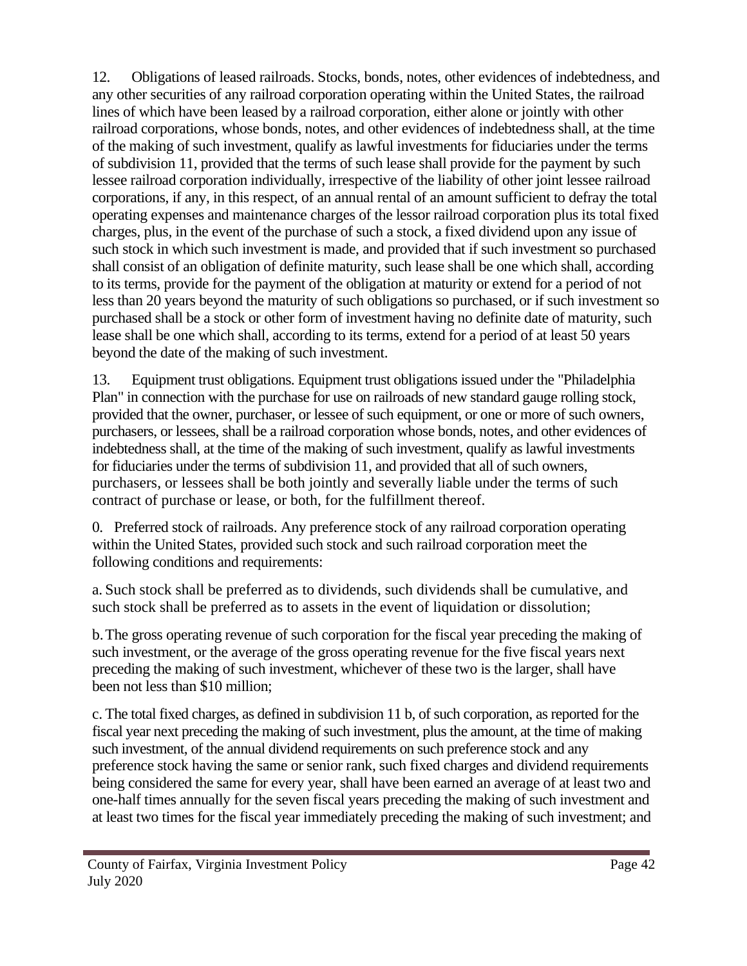12. Obligations of leased railroads. Stocks, bonds, notes, other evidences of indebtedness, and any other securities of any railroad corporation operating within the United States, the railroad lines of which have been leased by a railroad corporation, either alone or jointly with other railroad corporations, whose bonds, notes, and other evidences of indebtedness shall, at the time of the making of such investment, qualify as lawful investments for fiduciaries under the terms of subdivision 11, provided that the terms of such lease shall provide for the payment by such lessee railroad corporation individually, irrespective of the liability of other joint lessee railroad corporations, if any, in this respect, of an annual rental of an amount sufficient to defray the total operating expenses and maintenance charges of the lessor railroad corporation plus its total fixed charges, plus, in the event of the purchase of such a stock, a fixed dividend upon any issue of such stock in which such investment is made, and provided that if such investment so purchased shall consist of an obligation of definite maturity, such lease shall be one which shall, according to its terms, provide for the payment of the obligation at maturity or extend for a period of not less than 20 years beyond the maturity of such obligations so purchased, or if such investment so purchased shall be a stock or other form of investment having no definite date of maturity, such lease shall be one which shall, according to its terms, extend for a period of at least 50 years beyond the date of the making of such investment.

13. Equipment trust obligations. Equipment trust obligations issued under the "Philadelphia Plan" in connection with the purchase for use on railroads of new standard gauge rolling stock, provided that the owner, purchaser, or lessee of such equipment, or one or more of such owners, purchasers, or lessees, shall be a railroad corporation whose bonds, notes, and other evidences of indebtedness shall, at the time of the making of such investment, qualify as lawful investments for fiduciaries under the terms of subdivision 11, and provided that all of such owners, purchasers, or lessees shall be both jointly and severally liable under the terms of such contract of purchase or lease, or both, for the fulfillment thereof.

0. Preferred stock of railroads. Any preference stock of any railroad corporation operating within the United States, provided such stock and such railroad corporation meet the following conditions and requirements:

a. Such stock shall be preferred as to dividends, such dividends shall be cumulative, and such stock shall be preferred as to assets in the event of liquidation or dissolution;

b.The gross operating revenue of such corporation for the fiscal year preceding the making of such investment, or the average of the gross operating revenue for the five fiscal years next preceding the making of such investment, whichever of these two is the larger, shall have been not less than \$10 million;

c. The total fixed charges, as defined in subdivision 11 b, of such corporation, as reported for the fiscal year next preceding the making of such investment, plus the amount, at the time of making such investment, of the annual dividend requirements on such preference stock and any preference stock having the same or senior rank, such fixed charges and dividend requirements being considered the same for every year, shall have been earned an average of at least two and one-half times annually for the seven fiscal years preceding the making of such investment and at least two times for the fiscal year immediately preceding the making of such investment; and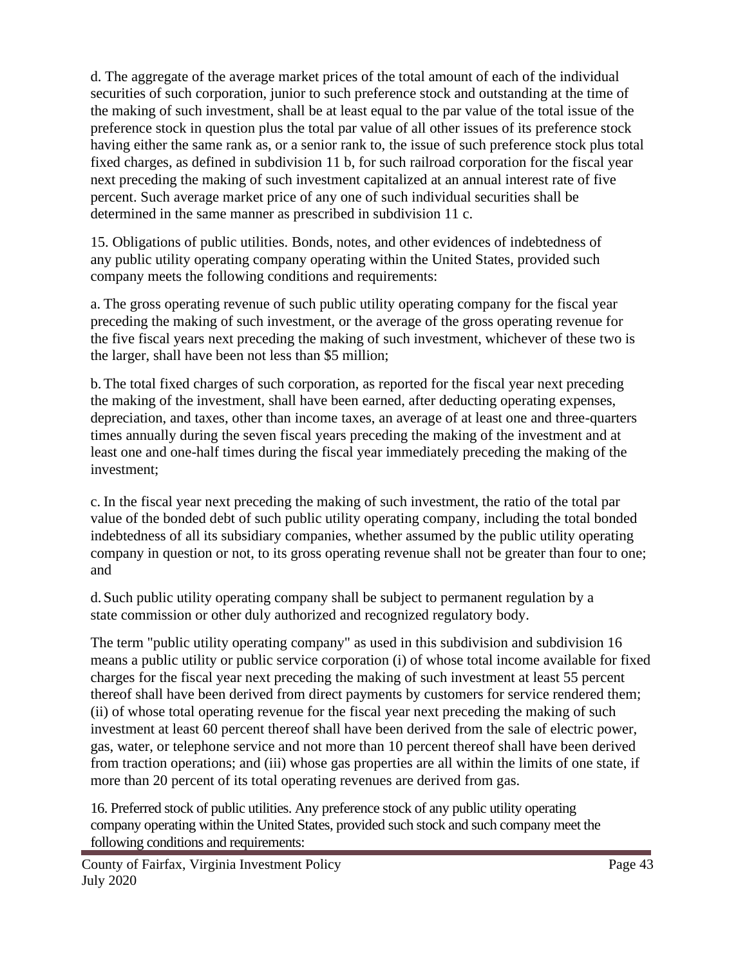d. The aggregate of the average market prices of the total amount of each of the individual securities of such corporation, junior to such preference stock and outstanding at the time of the making of such investment, shall be at least equal to the par value of the total issue of the preference stock in question plus the total par value of all other issues of its preference stock having either the same rank as, or a senior rank to, the issue of such preference stock plus total fixed charges, as defined in subdivision 11 b, for such railroad corporation for the fiscal year next preceding the making of such investment capitalized at an annual interest rate of five percent. Such average market price of any one of such individual securities shall be determined in the same manner as prescribed in subdivision 11 c.

15. Obligations of public utilities. Bonds, notes, and other evidences of indebtedness of any public utility operating company operating within the United States, provided such company meets the following conditions and requirements:

a. The gross operating revenue of such public utility operating company for the fiscal year preceding the making of such investment, or the average of the gross operating revenue for the five fiscal years next preceding the making of such investment, whichever of these two is the larger, shall have been not less than \$5 million;

b.The total fixed charges of such corporation, as reported for the fiscal year next preceding the making of the investment, shall have been earned, after deducting operating expenses, depreciation, and taxes, other than income taxes, an average of at least one and three-quarters times annually during the seven fiscal years preceding the making of the investment and at least one and one-half times during the fiscal year immediately preceding the making of the investment;

c. In the fiscal year next preceding the making of such investment, the ratio of the total par value of the bonded debt of such public utility operating company, including the total bonded indebtedness of all its subsidiary companies, whether assumed by the public utility operating company in question or not, to its gross operating revenue shall not be greater than four to one; and

d. Such public utility operating company shall be subject to permanent regulation by a state commission or other duly authorized and recognized regulatory body.

The term "public utility operating company" as used in this subdivision and subdivision 16 means a public utility or public service corporation (i) of whose total income available for fixed charges for the fiscal year next preceding the making of such investment at least 55 percent thereof shall have been derived from direct payments by customers for service rendered them; (ii) of whose total operating revenue for the fiscal year next preceding the making of such investment at least 60 percent thereof shall have been derived from the sale of electric power, gas, water, or telephone service and not more than 10 percent thereof shall have been derived from traction operations; and (iii) whose gas properties are all within the limits of one state, if more than 20 percent of its total operating revenues are derived from gas.

16. Preferred stock of public utilities. Any preference stock of any public utility operating company operating within the United States, provided such stock and such company meet the following conditions and requirements: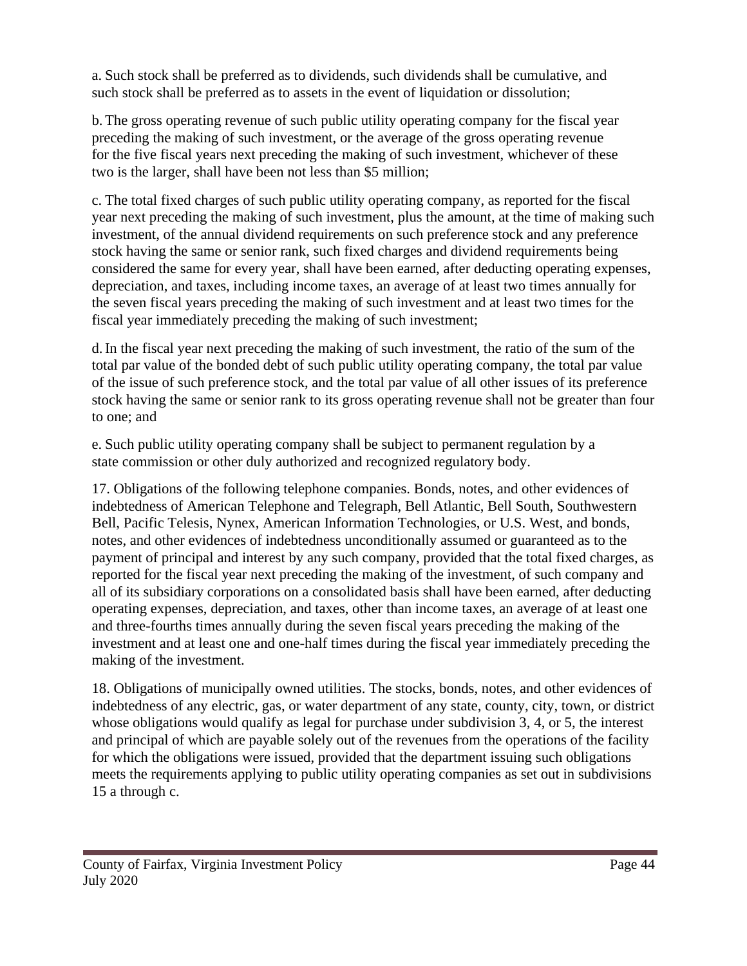a. Such stock shall be preferred as to dividends, such dividends shall be cumulative, and such stock shall be preferred as to assets in the event of liquidation or dissolution;

b.The gross operating revenue of such public utility operating company for the fiscal year preceding the making of such investment, or the average of the gross operating revenue for the five fiscal years next preceding the making of such investment, whichever of these two is the larger, shall have been not less than \$5 million;

c. The total fixed charges of such public utility operating company, as reported for the fiscal year next preceding the making of such investment, plus the amount, at the time of making such investment, of the annual dividend requirements on such preference stock and any preference stock having the same or senior rank, such fixed charges and dividend requirements being considered the same for every year, shall have been earned, after deducting operating expenses, depreciation, and taxes, including income taxes, an average of at least two times annually for the seven fiscal years preceding the making of such investment and at least two times for the fiscal year immediately preceding the making of such investment;

d.In the fiscal year next preceding the making of such investment, the ratio of the sum of the total par value of the bonded debt of such public utility operating company, the total par value of the issue of such preference stock, and the total par value of all other issues of its preference stock having the same or senior rank to its gross operating revenue shall not be greater than four to one; and

e. Such public utility operating company shall be subject to permanent regulation by a state commission or other duly authorized and recognized regulatory body.

17. Obligations of the following telephone companies. Bonds, notes, and other evidences of indebtedness of American Telephone and Telegraph, Bell Atlantic, Bell South, Southwestern Bell, Pacific Telesis, Nynex, American Information Technologies, or U.S. West, and bonds, notes, and other evidences of indebtedness unconditionally assumed or guaranteed as to the payment of principal and interest by any such company, provided that the total fixed charges, as reported for the fiscal year next preceding the making of the investment, of such company and all of its subsidiary corporations on a consolidated basis shall have been earned, after deducting operating expenses, depreciation, and taxes, other than income taxes, an average of at least one and three-fourths times annually during the seven fiscal years preceding the making of the investment and at least one and one-half times during the fiscal year immediately preceding the making of the investment.

18. Obligations of municipally owned utilities. The stocks, bonds, notes, and other evidences of indebtedness of any electric, gas, or water department of any state, county, city, town, or district whose obligations would qualify as legal for purchase under subdivision 3, 4, or 5, the interest and principal of which are payable solely out of the revenues from the operations of the facility for which the obligations were issued, provided that the department issuing such obligations meets the requirements applying to public utility operating companies as set out in subdivisions 15 a through c.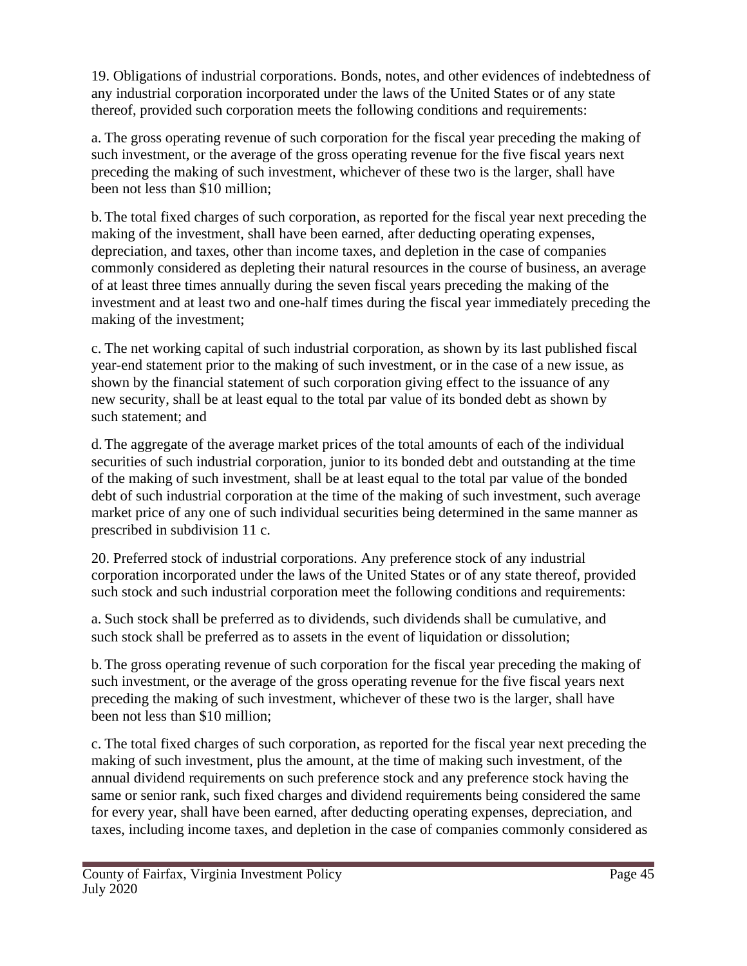19. Obligations of industrial corporations. Bonds, notes, and other evidences of indebtedness of any industrial corporation incorporated under the laws of the United States or of any state thereof, provided such corporation meets the following conditions and requirements:

a. The gross operating revenue of such corporation for the fiscal year preceding the making of such investment, or the average of the gross operating revenue for the five fiscal years next preceding the making of such investment, whichever of these two is the larger, shall have been not less than \$10 million;

b.The total fixed charges of such corporation, as reported for the fiscal year next preceding the making of the investment, shall have been earned, after deducting operating expenses, depreciation, and taxes, other than income taxes, and depletion in the case of companies commonly considered as depleting their natural resources in the course of business, an average of at least three times annually during the seven fiscal years preceding the making of the investment and at least two and one-half times during the fiscal year immediately preceding the making of the investment;

c. The net working capital of such industrial corporation, as shown by its last published fiscal year-end statement prior to the making of such investment, or in the case of a new issue, as shown by the financial statement of such corporation giving effect to the issuance of any new security, shall be at least equal to the total par value of its bonded debt as shown by such statement; and

d.The aggregate of the average market prices of the total amounts of each of the individual securities of such industrial corporation, junior to its bonded debt and outstanding at the time of the making of such investment, shall be at least equal to the total par value of the bonded debt of such industrial corporation at the time of the making of such investment, such average market price of any one of such individual securities being determined in the same manner as prescribed in subdivision 11 c.

20. Preferred stock of industrial corporations. Any preference stock of any industrial corporation incorporated under the laws of the United States or of any state thereof, provided such stock and such industrial corporation meet the following conditions and requirements:

a. Such stock shall be preferred as to dividends, such dividends shall be cumulative, and such stock shall be preferred as to assets in the event of liquidation or dissolution;

b.The gross operating revenue of such corporation for the fiscal year preceding the making of such investment, or the average of the gross operating revenue for the five fiscal years next preceding the making of such investment, whichever of these two is the larger, shall have been not less than \$10 million;

c. The total fixed charges of such corporation, as reported for the fiscal year next preceding the making of such investment, plus the amount, at the time of making such investment, of the annual dividend requirements on such preference stock and any preference stock having the same or senior rank, such fixed charges and dividend requirements being considered the same for every year, shall have been earned, after deducting operating expenses, depreciation, and taxes, including income taxes, and depletion in the case of companies commonly considered as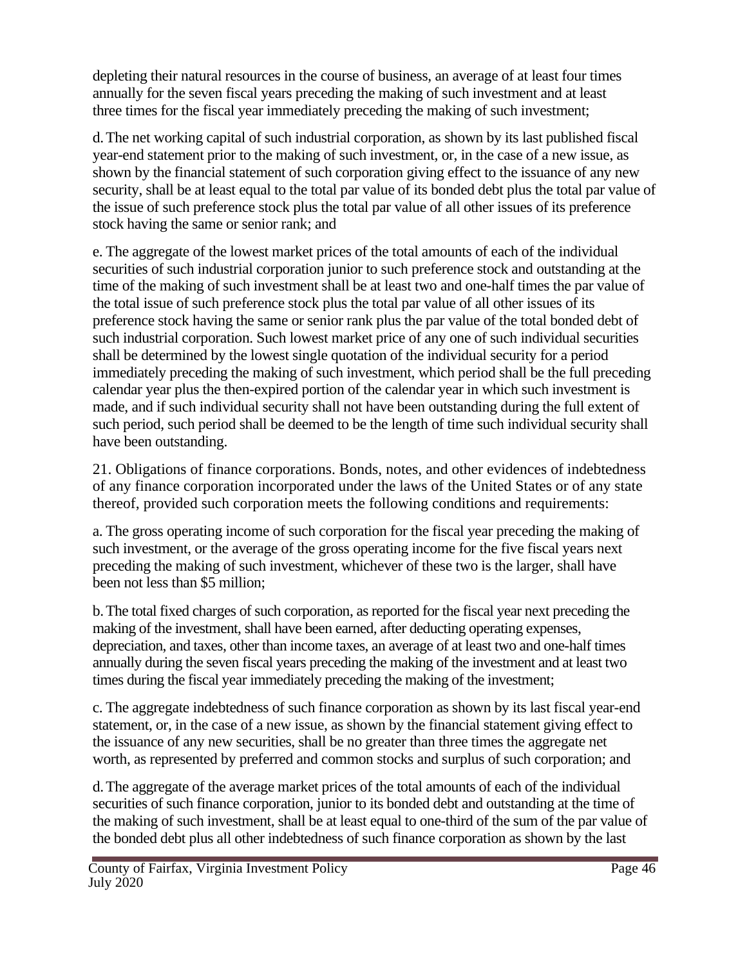depleting their natural resources in the course of business, an average of at least four times annually for the seven fiscal years preceding the making of such investment and at least three times for the fiscal year immediately preceding the making of such investment;

d.The net working capital of such industrial corporation, as shown by its last published fiscal year-end statement prior to the making of such investment, or, in the case of a new issue, as shown by the financial statement of such corporation giving effect to the issuance of any new security, shall be at least equal to the total par value of its bonded debt plus the total par value of the issue of such preference stock plus the total par value of all other issues of its preference stock having the same or senior rank; and

e. The aggregate of the lowest market prices of the total amounts of each of the individual securities of such industrial corporation junior to such preference stock and outstanding at the time of the making of such investment shall be at least two and one-half times the par value of the total issue of such preference stock plus the total par value of all other issues of its preference stock having the same or senior rank plus the par value of the total bonded debt of such industrial corporation. Such lowest market price of any one of such individual securities shall be determined by the lowest single quotation of the individual security for a period immediately preceding the making of such investment, which period shall be the full preceding calendar year plus the then-expired portion of the calendar year in which such investment is made, and if such individual security shall not have been outstanding during the full extent of such period, such period shall be deemed to be the length of time such individual security shall have been outstanding.

21. Obligations of finance corporations. Bonds, notes, and other evidences of indebtedness of any finance corporation incorporated under the laws of the United States or of any state thereof, provided such corporation meets the following conditions and requirements:

a. The gross operating income of such corporation for the fiscal year preceding the making of such investment, or the average of the gross operating income for the five fiscal years next preceding the making of such investment, whichever of these two is the larger, shall have been not less than \$5 million;

b.The total fixed charges of such corporation, as reported for the fiscal year next preceding the making of the investment, shall have been earned, after deducting operating expenses, depreciation, and taxes, other than income taxes, an average of at least two and one-half times annually during the seven fiscal years preceding the making of the investment and at least two times during the fiscal year immediately preceding the making of the investment;

c. The aggregate indebtedness of such finance corporation as shown by its last fiscal year-end statement, or, in the case of a new issue, as shown by the financial statement giving effect to the issuance of any new securities, shall be no greater than three times the aggregate net worth, as represented by preferred and common stocks and surplus of such corporation; and

d.The aggregate of the average market prices of the total amounts of each of the individual securities of such finance corporation, junior to its bonded debt and outstanding at the time of the making of such investment, shall be at least equal to one-third of the sum of the par value of the bonded debt plus all other indebtedness of such finance corporation as shown by the last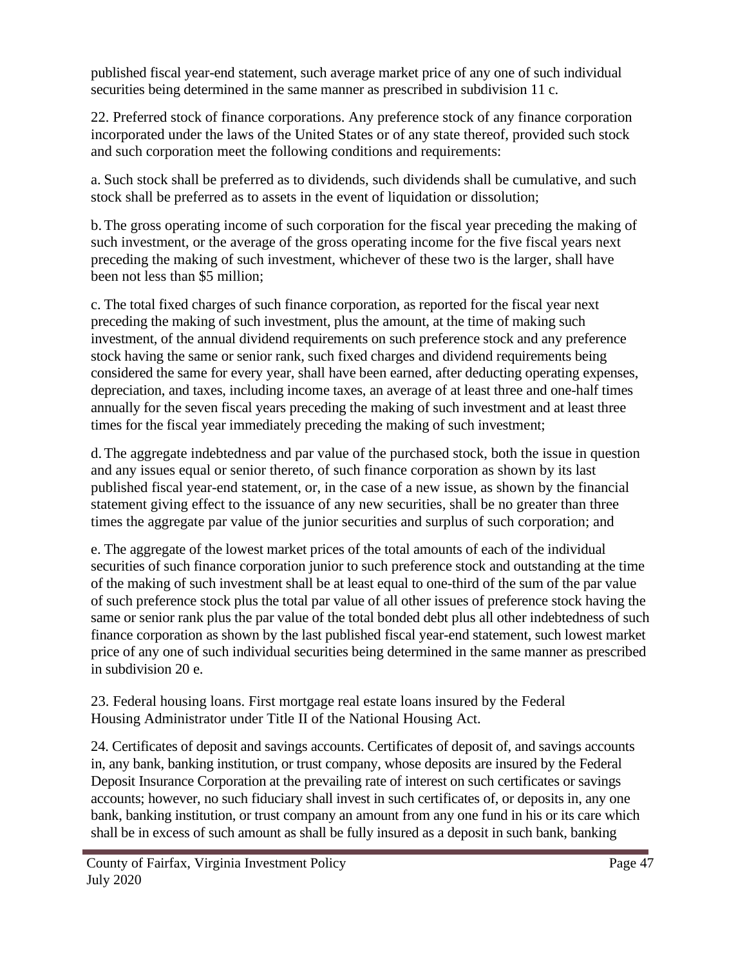published fiscal year-end statement, such average market price of any one of such individual securities being determined in the same manner as prescribed in subdivision 11 c.

22. Preferred stock of finance corporations. Any preference stock of any finance corporation incorporated under the laws of the United States or of any state thereof, provided such stock and such corporation meet the following conditions and requirements:

a. Such stock shall be preferred as to dividends, such dividends shall be cumulative, and such stock shall be preferred as to assets in the event of liquidation or dissolution;

b.The gross operating income of such corporation for the fiscal year preceding the making of such investment, or the average of the gross operating income for the five fiscal years next preceding the making of such investment, whichever of these two is the larger, shall have been not less than \$5 million;

c. The total fixed charges of such finance corporation, as reported for the fiscal year next preceding the making of such investment, plus the amount, at the time of making such investment, of the annual dividend requirements on such preference stock and any preference stock having the same or senior rank, such fixed charges and dividend requirements being considered the same for every year, shall have been earned, after deducting operating expenses, depreciation, and taxes, including income taxes, an average of at least three and one-half times annually for the seven fiscal years preceding the making of such investment and at least three times for the fiscal year immediately preceding the making of such investment;

d.The aggregate indebtedness and par value of the purchased stock, both the issue in question and any issues equal or senior thereto, of such finance corporation as shown by its last published fiscal year-end statement, or, in the case of a new issue, as shown by the financial statement giving effect to the issuance of any new securities, shall be no greater than three times the aggregate par value of the junior securities and surplus of such corporation; and

e. The aggregate of the lowest market prices of the total amounts of each of the individual securities of such finance corporation junior to such preference stock and outstanding at the time of the making of such investment shall be at least equal to one-third of the sum of the par value of such preference stock plus the total par value of all other issues of preference stock having the same or senior rank plus the par value of the total bonded debt plus all other indebtedness of such finance corporation as shown by the last published fiscal year-end statement, such lowest market price of any one of such individual securities being determined in the same manner as prescribed in subdivision 20 e.

23. Federal housing loans. First mortgage real estate loans insured by the Federal Housing Administrator under Title II of the National Housing Act.

24. Certificates of deposit and savings accounts. Certificates of deposit of, and savings accounts in, any bank, banking institution, or trust company, whose deposits are insured by the Federal Deposit Insurance Corporation at the prevailing rate of interest on such certificates or savings accounts; however, no such fiduciary shall invest in such certificates of, or deposits in, any one bank, banking institution, or trust company an amount from any one fund in his or its care which shall be in excess of such amount as shall be fully insured as a deposit in such bank, banking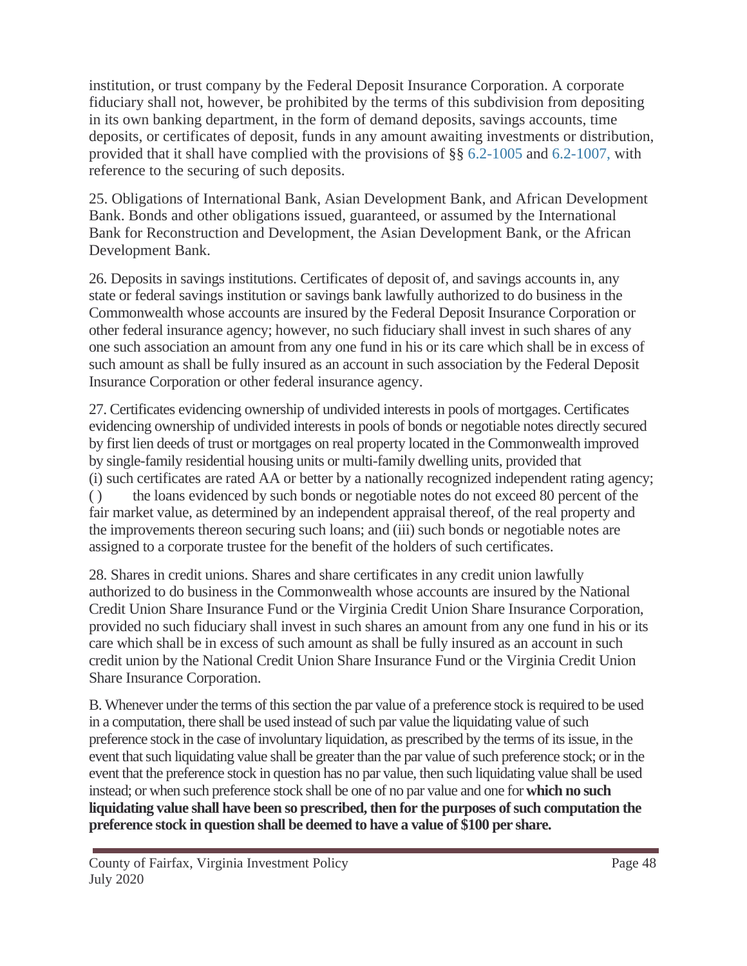institution, or trust company by the Federal Deposit Insurance Corporation. A corporate fiduciary shall not, however, be prohibited by the terms of this subdivision from depositing in its own banking department, in the form of demand deposits, savings accounts, time deposits, or certificates of deposit, funds in any amount awaiting investments or distribution, provided that it shall have complied with the provisions of §§ 6.2-1005 and 6.2-1007, with reference to the securing of such deposits.

25. Obligations of International Bank, Asian Development Bank, and African Development Bank. Bonds and other obligations issued, guaranteed, or assumed by the International Bank for Reconstruction and Development, the Asian Development Bank, or the African Development Bank.

26. Deposits in savings institutions. Certificates of deposit of, and savings accounts in, any state or federal savings institution or savings bank lawfully authorized to do business in the Commonwealth whose accounts are insured by the Federal Deposit Insurance Corporation or other federal insurance agency; however, no such fiduciary shall invest in such shares of any one such association an amount from any one fund in his or its care which shall be in excess of such amount as shall be fully insured as an account in such association by the Federal Deposit Insurance Corporation or other federal insurance agency.

27. Certificates evidencing ownership of undivided interests in pools of mortgages. Certificates evidencing ownership of undivided interests in pools of bonds or negotiable notes directly secured by first lien deeds of trust or mortgages on real property located in the Commonwealth improved by single-family residential housing units or multi-family dwelling units, provided that (i) such certificates are rated AA or better by a nationally recognized independent rating agency; ( ) the loans evidenced by such bonds or negotiable notes do not exceed 80 percent of the fair market value, as determined by an independent appraisal thereof, of the real property and the improvements thereon securing such loans; and (iii) such bonds or negotiable notes are assigned to a corporate trustee for the benefit of the holders of such certificates.

28. Shares in credit unions. Shares and share certificates in any credit union lawfully authorized to do business in the Commonwealth whose accounts are insured by the National Credit Union Share Insurance Fund or the Virginia Credit Union Share Insurance Corporation, provided no such fiduciary shall invest in such shares an amount from any one fund in his or its care which shall be in excess of such amount as shall be fully insured as an account in such credit union by the National Credit Union Share Insurance Fund or the Virginia Credit Union Share Insurance Corporation.

B. Whenever under the terms of this section the par value of a preference stock is required to be used in a computation, there shall be used instead of such par value the liquidating value of such preference stock in the case of involuntary liquidation, as prescribed by the terms of its issue, in the event that such liquidating value shall be greater than the par value of such preference stock; or in the event that the preference stock in question has no par value, then such liquidating value shall be used instead; or when such preference stock shall be one of no par value and one for **which no such liquidating value shall have been so prescribed, then for the purposes of such computation the preference stock in question shall be deemed to have a value of \$100 per share.**